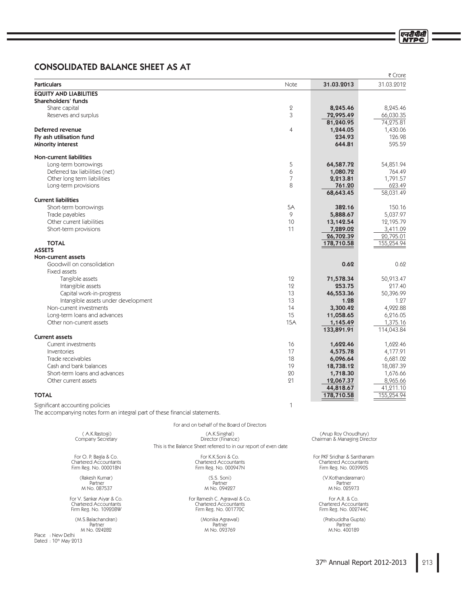# CONSOLIDATED BALANCE SHEET AS AT

|                                                                                                                |                                                                  |                |                                         | ₹ Crore                 |
|----------------------------------------------------------------------------------------------------------------|------------------------------------------------------------------|----------------|-----------------------------------------|-------------------------|
| <b>Particulars</b>                                                                                             |                                                                  | Note           | 31.03.2013                              | 31.03.2012              |
| <b>EQUITY AND LIABILITIES</b>                                                                                  |                                                                  |                |                                         |                         |
| Shareholders' funds                                                                                            |                                                                  |                |                                         |                         |
| Share capital                                                                                                  |                                                                  | $\mathbf 2$    | 8,245.46                                | 8,245.46                |
| Reserves and surplus                                                                                           |                                                                  | 3              | 72,995.49                               | 66,030.35               |
|                                                                                                                |                                                                  |                | 81,240.95                               | 74,275.81               |
| Deferred revenue                                                                                               |                                                                  | $\overline{4}$ | 1,244.05                                | 1,430.06<br>126.98      |
| Fly ash utilisation fund<br>Minority interest                                                                  |                                                                  |                | 234.93<br>644.81                        | 595.59                  |
|                                                                                                                |                                                                  |                |                                         |                         |
| <b>Non-current liabilities</b>                                                                                 |                                                                  |                |                                         |                         |
| Long-term borrowings<br>Deferred tax liabilities (net)                                                         |                                                                  | 5<br>6         | 64,587.72<br>1,080.72                   | 54,851.94<br>764.49     |
| Other long term liabilities                                                                                    |                                                                  | 7              | 2,213.81                                | 1,791.57                |
| Long-term provisions                                                                                           |                                                                  | 8              | 761.20                                  | 623.49                  |
|                                                                                                                |                                                                  |                | 68,643.45                               | 58,031.49               |
| <b>Current liabilities</b>                                                                                     |                                                                  |                |                                         |                         |
| Short-term borrowings                                                                                          |                                                                  | 5A             | 382.16                                  | 150.16                  |
| Trade payables                                                                                                 |                                                                  | 9              | 5,888.67                                | 5,037.97                |
| Other current liabilities                                                                                      |                                                                  | 10             | 13,142.54                               | 12,195.79               |
| Short-term provisions                                                                                          |                                                                  | 11             | 7,289.02                                | 3,411.09                |
| <b>TOTAL</b>                                                                                                   |                                                                  |                | 26,702.39<br>178,710.58                 | 20,795.01<br>155,254.94 |
| <b>ASSETS</b>                                                                                                  |                                                                  |                |                                         |                         |
| Non-current assets                                                                                             |                                                                  |                |                                         |                         |
| Goodwill on consolidation                                                                                      |                                                                  |                | 0.62                                    | 0.62                    |
| Fixed assets                                                                                                   |                                                                  |                |                                         |                         |
| Tangible assets                                                                                                |                                                                  | 12             | 71,578.34                               | 50,913.47               |
| Intangible assets                                                                                              |                                                                  | 12             | 253.75                                  | 217.40                  |
| Capital work-in-progress                                                                                       |                                                                  | 13             | 46,553.36                               | 50,396.99               |
| Intangible assets under development                                                                            |                                                                  | 13             | 1.28                                    | 1.27                    |
| Non-current investments                                                                                        |                                                                  | 14             | 3,300.42                                | 4,922.88                |
| Long-term loans and advances                                                                                   |                                                                  | 15             | 11,058.65                               | 6,216.05                |
| Other non-current assets                                                                                       |                                                                  | <b>15A</b>     | 1,145.49                                | 1,375.16                |
|                                                                                                                |                                                                  |                | 133,891.91                              | 114,043.84              |
| <b>Current assets</b>                                                                                          |                                                                  |                |                                         |                         |
| Current investments                                                                                            |                                                                  | 16             | 1,622.46                                | 1,622.46                |
| Inventories                                                                                                    |                                                                  | 17             | 4,575.78                                | 4,177.91                |
| Trade receivables                                                                                              |                                                                  | 18             | 6,096.64                                | 6,681.02                |
| Cash and bank balances                                                                                         |                                                                  | 19             | 18,738.12                               | 18,087.39               |
| Short-term loans and advances                                                                                  |                                                                  | 20             | 1,718.30                                | 1,676.66                |
| Other current assets                                                                                           |                                                                  | 21             | 12,067.37                               | 8,965.66                |
| <b>TOTAL</b>                                                                                                   |                                                                  |                | 44,818.67<br>178,710.58                 | 41,211.10<br>155,254.94 |
|                                                                                                                |                                                                  |                |                                         |                         |
| Significant accounting policies<br>The accompanying notes form an integral part of these financial statements. |                                                                  | 1              |                                         |                         |
|                                                                                                                | For and on behalf of the Board of Directors                      |                |                                         |                         |
| (A.K.Rastogi)                                                                                                  | (A.K.Singhal)                                                    |                | (Arup Roy Choudhury)                    |                         |
| Company Secretary                                                                                              | Director (Finance)                                               |                | Chairman & Managing Director            |                         |
|                                                                                                                | This is the Balance Sheet referred to in our report of even date |                |                                         |                         |
| For O. P. Bagla & Co.                                                                                          | For K.K.Soni & Co.                                               |                | For PKF Sridhar & Santhanam             |                         |
| <b>Chartered Accountants</b>                                                                                   | <b>Chartered Accountants</b>                                     |                | <b>Chartered Accountants</b>            |                         |
| Firm Reg. No. 000018N                                                                                          | Firm Reg. No. 000947N                                            |                | Firm Reg. No. 003990S                   |                         |
| (Rakesh Kumar)                                                                                                 | (S.S. Soni)                                                      |                | (V.Kothandaraman)                       |                         |
| Partner<br>M No. 087537                                                                                        | Partner<br>M No. 094227                                          |                | Partner<br>M No. 025973                 |                         |
|                                                                                                                |                                                                  |                |                                         |                         |
| For V. Sankar Aiyar & Co.<br>Chartered Accountants                                                             | For Ramesh C. Agrawal & Co.<br>Chartered Accountants             |                | For A.R. & Co.<br>Chartered Accountants |                         |
| Firm Reg. No. 109208W                                                                                          | Firm Reg. No. 001770C                                            |                | Firm Reg. No. 002744C                   |                         |
|                                                                                                                |                                                                  |                |                                         |                         |

(M.S.Balachandran)<br>Partner<br>M No. 024282 .POJLB"HSBXBM 1BSUOFS 1BSUOFS 1BSUOFS ./P ./P ./P

Place : New Delhi<br>Dated : 10<sup>th</sup> May 2013

(Prabuddha Gupta)

एनटीपीसी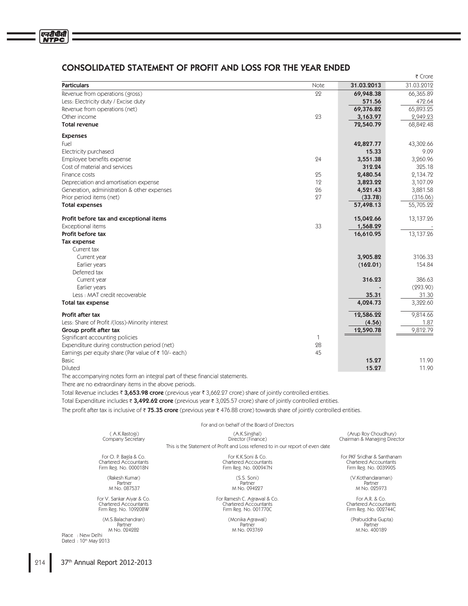# CONSOLIDATED STATEMENT OF PROFIT AND LOSS FOR THE YEAR ENDED

|                                                                |      |            | र Crore    |
|----------------------------------------------------------------|------|------------|------------|
| <b>Particulars</b>                                             | Note | 31.03.2013 | 31.03.2012 |
| Revenue from operations (gross)                                | 22   | 69,948.38  | 66,365.89  |
| Less: Electricity duty / Excise duty                           |      | 571.56     | 472.64     |
| Revenue from operations (net)                                  |      | 69,376.82  | 65,893.25  |
| Other income                                                   | 23   | 3,163.97   | 2,949.23   |
| Total revenue                                                  |      | 72,540.79  | 68,842.48  |
| <b>Expenses</b>                                                |      |            |            |
| Fuel                                                           |      | 42,827.77  | 43,302.66  |
| Electricity purchased                                          |      | 15.33      | 9.09       |
| Employee benefits expense                                      | 24   | 3,551.38   | 3,260.96   |
| Cost of material and services                                  |      | 312.24     | 325.18     |
| Finance costs                                                  | 25   | 2,480.54   | 2,134.72   |
| Depreciation and amortisation expense                          | 12   | 3,823.22   | 3,107.09   |
| Generation, administration & other expenses                    | 26   | 4,521.43   | 3,881.58   |
| Prior period items (net)                                       | 27   | (33.78)    | (316.06)   |
| <b>Total expenses</b>                                          |      | 57,498.13  | 55,705.22  |
|                                                                |      |            |            |
| Profit before tax and exceptional items                        |      | 15,042.66  | 13,137.26  |
| Exceptional items                                              | 33   | 1,568.29   |            |
| Profit before tax                                              |      | 16,610.95  | 13,137.26  |
| Tax expense                                                    |      |            |            |
| Current tax                                                    |      |            |            |
| Current year                                                   |      | 3,905.82   | 3106.33    |
| Earlier years                                                  |      | (162.01)   | 154.84     |
| Deferred tax                                                   |      |            |            |
| Current year                                                   |      | 316.23     | 386.63     |
| Earlier years                                                  |      |            | (293.90)   |
| Less: MAT credit recoverable                                   |      | 35.31      | 31.30      |
| Total tax expense                                              |      | 4,024.73   | 3,322.60   |
| Profit after tax                                               |      | 12,586.22  | 9,814.66   |
| Less: Share of Profit /(loss)-Minority interest                |      | (4.56)     | 1.87       |
| Group profit after tax                                         |      | 12,590.78  | 9,812.79   |
| Significant accounting policies                                | 1    |            |            |
| Expenditure during construction period (net)                   | 28   |            |            |
| Earnings per equity share (Par value of $\bar{\tau}$ 10/-each) | 45   |            |            |
| <b>Basic</b>                                                   |      | 15.27      | 11.90      |
| Diluted                                                        |      | 15.27      | 11.90      |
|                                                                |      |            |            |

The accompanying notes form an integral part of these financial statements.

There are no extraordinary items in the above periods.

Total Revenue includes ₹ 3,653.98 crore (previous year ₹ 3,662.27 crore) share of jointly controlled entities.

Total Expenditure includes ₹ 3,492.62 crore (previous year ₹ 3,025.57 crore) share of jointly controlled entities.

The profit after tax is inclusive of ₹75.35 crore (previous year ₹476.88 crore) towards share of jointly controlled entities.

| For and on behalf of the Board of Directors |                                                                                 |                              |  |  |
|---------------------------------------------|---------------------------------------------------------------------------------|------------------------------|--|--|
| (A.K.Rastogi)                               | (A.K.Singhal)                                                                   | (Arup Roy Choudhury)         |  |  |
| Company Secretary                           | Director (Finance)                                                              | Chairman & Managing Director |  |  |
|                                             | This is the Statement of Profit and Loss referred to in our report of even date |                              |  |  |
| For O. P. Bagla & Co.                       | For K.K.Soni & Co.                                                              | For PKF Sridhar & Santhanam  |  |  |
| <b>Chartered Accountants</b>                | <b>Chartered Accountants</b>                                                    | <b>Chartered Accountants</b> |  |  |
| Firm Reg. No. 000018N                       | Firm Reg. No. 000947N                                                           | Firm Reg. No. 003990S        |  |  |
| (Rakesh Kumar)                              | $(S.S.$ Soni $)$                                                                | (V.Kothandaraman)            |  |  |
| Partner                                     | Partner                                                                         | Partner                      |  |  |
| M No. 087537                                | M No. 094227                                                                    | M No. 025973                 |  |  |
| For V. Sankar Aiyar & Co.                   | For Ramesh C. Agrawal & Co.                                                     | For A.R. $& Co.$             |  |  |
| <b>Chartered Accountants</b>                | <b>Chartered Accountants</b>                                                    | <b>Chartered Accountants</b> |  |  |
| Firm Reg. No. 109208W                       | Firm Reg. No. 001770C                                                           | Firm Reg. No. 002744C        |  |  |
| (M.S.Balachandran)                          | (Monika Agrawal)                                                                | (Prabuddha Gupta)            |  |  |
| Partner                                     | Partner                                                                         | Partner                      |  |  |
| M No. 024282                                | M No. 093769                                                                    | M.No. 400189                 |  |  |

37th Annual Report 2012-2013

Place : New Delhi Dated: 10th May 2013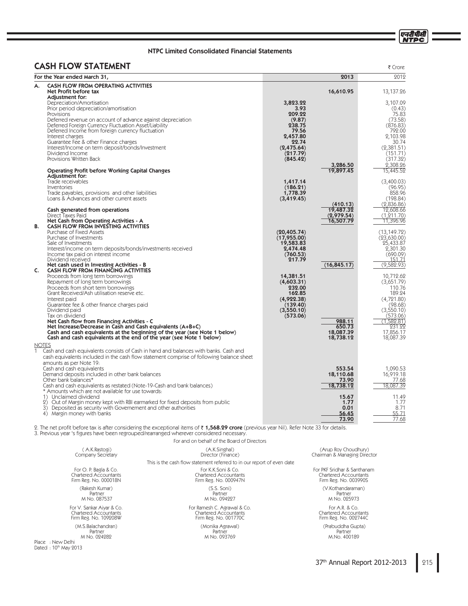एनदीपीसी<br>NTPC

# NTPC Limited Consolidated Financial Statements

# CASH FLOW STATEMENT

| <b>CASH FLOW STATEMENT</b>                                                                                                                                                            |                             |                         | ₹ Crore                     |
|---------------------------------------------------------------------------------------------------------------------------------------------------------------------------------------|-----------------------------|-------------------------|-----------------------------|
| For the Year ended March 31,                                                                                                                                                          |                             | 2013                    | 2012                        |
| <b>CASH FLOW FROM OPERATING ACTIVITIES</b><br>А.<br>Net Profit before tax<br>Adiustment for:                                                                                          |                             | 16,610.95               | 13,137.26                   |
| Depreciation/Amortisation                                                                                                                                                             | 3,823.22                    |                         | 3,107.09                    |
| Prior period depreciation/amortisation                                                                                                                                                | 3.93                        |                         | (0.43)                      |
| Provisions<br>Deferred revenue on account of advance against depreciation                                                                                                             | 209.22<br>(9.87)            |                         | 75.83<br>(73.58)            |
| Deferred Foreign Currency Fluctuation Asset/Liability                                                                                                                                 | 238.75                      |                         | (876.83)                    |
| Deferred Income from foreign currency fluctuation<br>Interest charges                                                                                                                 | 79.56<br>2,457.80           |                         | 792.00<br>2,103.98          |
| Guarantee Fee & other Finance charges                                                                                                                                                 | 22.74                       |                         | 30.74                       |
| Interest/Income on term deposit/bonds/Investment                                                                                                                                      | (2,475.64)                  |                         | (2.381.51)                  |
| Dividend Income<br>Provisions Written Back                                                                                                                                            | (217.79)<br>(845.42)        |                         | (151.71)<br>(317.32)        |
|                                                                                                                                                                                       |                             | 3,286.50                | 2,308.26                    |
| <b>Operating Profit before Working Capital Changes</b><br>Adjustment for:                                                                                                             |                             | 19,897.45               | 15,445.52                   |
| Trade receivables                                                                                                                                                                     | 1,417.14                    |                         | (3,400.03)                  |
| Inventories                                                                                                                                                                           | (186.21)                    |                         | (96.95)                     |
| Trade payables, provisions and other liabilities<br>Loans & Advances and other current assets                                                                                         | 1,778.39<br>(3,419.45)      |                         | 858.96<br>(198.84)          |
|                                                                                                                                                                                       |                             | (410.13)                | (2,836.86)                  |
| Cash generated from operations<br>Direct Taxes Paid                                                                                                                                   |                             | 19,487.32<br>(2,979.54) | 12,608.66<br>(1, 211.70)    |
| Net Cash from Operating Activities - A                                                                                                                                                |                             | 16,507.79               | 11,396.96                   |
| <b>CASH FLOW FROM INVESTING ACTIVITIES</b><br>В.                                                                                                                                      |                             |                         |                             |
| Purchase of Fixed Assets<br>Purchase of Investments                                                                                                                                   | (20, 405.74)<br>(17,955.00) |                         | (13, 149.72)<br>(23,630.00) |
| Sale of Investments                                                                                                                                                                   | 19,583.83                   |                         | 25,433.87                   |
| Interest/income on term deposits/bonds/investments received<br>Income tax paid on interest income                                                                                     | 2,474.48<br>(760.53)        |                         | 2,301.30<br>(690.09)        |
| Dividend received                                                                                                                                                                     | 217.79                      |                         | 151.71                      |
| Net cash used in Investing Activities - B<br>CASH FLOW FROM FINANCING ACTIVITIES<br>C.                                                                                                |                             | (16, 845.17)            | (9,582.93)                  |
| Proceeds from long term borrowings                                                                                                                                                    | 14,381.51                   |                         | 10,712.62                   |
| Repayment of long term borrowings                                                                                                                                                     | (4,603.31)                  |                         | (3,651.79)                  |
| Proceeds from short term borrowings<br>Grant Received/Ash utilisation reserve etc.                                                                                                    | 232.00<br>162.85            |                         | 110.76<br>189.24            |
| Interest paid                                                                                                                                                                         | (4,922.38)                  |                         | (4.721.80)                  |
| Guarantee fee & other finance charges paid<br>Dividend paid                                                                                                                           | (139.40)<br>(3,550.10)      |                         | (98.68)<br>(3,550.10)       |
| Tax on dividend                                                                                                                                                                       | (573.06)                    |                         | (573.06)                    |
| Net Cash flow from Financing Activities - C                                                                                                                                           |                             | 988.11<br>650.73        | (1,582.81)                  |
| Net Increase/Decrease in Cash and Cash equivalents (A+B+C)<br>Cash and cash equivalents at the beginning of the year (see Note 1 below)                                               |                             | 18,087.39               | 231.22<br>17.856.17         |
| Cash and cash equivalents at the end of the year (see Note 1 below)                                                                                                                   |                             | 18,738.12               | 18,087.39                   |
| <b>NOTES</b>                                                                                                                                                                          |                             |                         |                             |
| 1<br>Cash and cash equivalents consists of Cash in hand and balances with banks. Cash and<br>cash equivalents included in the cash flow statement comprise of following balance sheet |                             |                         |                             |
| amounts as per Note 19:                                                                                                                                                               |                             |                         |                             |
| Cash and cash equivalents<br>Demand deposits included in other bank balances                                                                                                          |                             | 553.54<br>18,110.68     | 1,090.53<br>16,919.18       |
| Other bank balances*                                                                                                                                                                  |                             | 73.90                   | 77.68                       |
| Cash and cash equivalents as restated (Note-19-Cash and bank balances)                                                                                                                |                             | 18,738.12               | 18,087.39                   |
| * Amounts which are not available for use towards:<br>1) Unclaimed dividend                                                                                                           |                             | 15.67                   | 11.49                       |
| 2) Out of Margin money kept with RBI earmarked for fixed deposits from public                                                                                                         |                             | 1.77                    | 1.77                        |
| 3) Deposited as security with Governement and other authorities<br>4) Margin money with banks                                                                                         |                             | 0.01<br>56.45           | 8.71<br>55.71               |
|                                                                                                                                                                                       |                             | 73.90                   | 77.68                       |

2. The net profit before tax is after considering the exceptional items of **₹ 1,568.29 crore** (previous year Nil). Refer Note 33 for details.<br>3. Previous year 's figures have been regrouped/rearranged wherever considered n

For and on behalf of the Board of Directors

| (A.K.Rastogi)                                                                             | (A.K.Singhal)                                                          | (Arup Roy Choudhury)                         |
|-------------------------------------------------------------------------------------------|------------------------------------------------------------------------|----------------------------------------------|
| Company Secretary                                                                         | Director (Finance)                                                     | Chairman & Managing Director                 |
|                                                                                           | This is the cash flow statement referred to in our report of even date |                                              |
| For O. P. Bagla & Co.                                                                     | For K.K.Soni & Co.                                                     | For PKF Sridhar & Santhanam                  |
| <b>Chartered Accountants</b>                                                              | Chartered Accountants                                                  | <b>Chartered Accountants</b>                 |
| Firm Reg. No. 000018N                                                                     | Firm Reg. No. 000947N                                                  | Firm Reg. No. 003990S                        |
| (Rakesh Kumar)                                                                            | (S.S. Soni)                                                            | (V.Kothandaraman)                            |
| Partner                                                                                   | Partner                                                                | Partner                                      |
| M No. 087537                                                                              | M No. 094227                                                           | M No. 025973                                 |
| For V. Sankar Aiyar & Co.                                                                 | For Ramesh C. Agrawal & Co.                                            | For A.R. & Co.                               |
| Chartered Accountants                                                                     | Chartered Accountants                                                  | Chartered Accountants                        |
| Firm Reg. No. 109208W                                                                     | Firm Reg. No. 001770C                                                  | Firm Reg. No. 002744C                        |
| (M.S.Balachandran)<br>Partner<br>M No. 024282<br>Place: New Delhi<br>Dated: 10th May 2013 | (Monika Agrawal)<br>Partner<br>M No. 093769                            | (Prabuddha Gupta)<br>Partner<br>M.No. 400189 |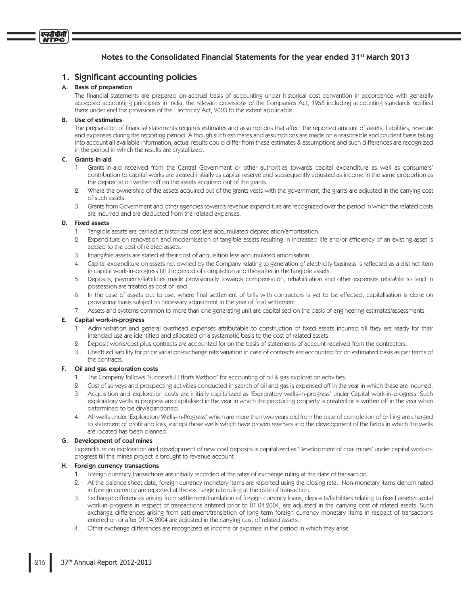# Notes to the Consolidated Financial Statements for the year ended 31<sup>st</sup> March 2013

# 1. Significant accounting policies

# A. Basis of preparation

एनदीपीसी

The financial statements are prepared on accrual basis of accounting under historical cost convention in accordance with generally accepted accounting principles in India, the relevant provisions of the Companies Act, 1956 including accounting standards notified there under and the provisions of the Electricity Act, 2003 to the extent applicable.

### **B.** Use of estimates

The preparation of financial statements requires estimates and assumptions that affect the reported amount of assets, liabilities, revenue and expenses during the reporting period. Although such estimates and assumptions are made on a reasonable and prudent basis taking into account all available information, actual results could differ from these estimates & assumptions and such differences are recognized in the period in which the results are crystallized.

#### $\mathsf{C}$ . Grants-in-aid

- 1. Grants-in-aid received from the Central Government or other authorities towards capital expenditure as well as consumers' contribution to capital works are treated initially as capital reserve and subsequently adjusted as income in the same proportion as the depreciation written off on the assets acquired out of the grants.
- 2. Where the ownership of the assets acquired out of the grants vests with the government, the grants are adjusted in the carrying cost of such assets.
- 3. Grants from Government and other agencies towards revenue expenditure are recognized over the period in which the related costs are incurred and are deducted from the related expenses.

### D. Fixed assets

- 1. Tangible assets are carried at historical cost less accumulated depreciation/amortisation.
- 2. Expenditure on renovation and modernisation of tangible assets resulting in increased life and/or efficiency of an existing asset is added to the cost of related assets.
- 3. Intangible assets are stated at their cost of acquisition less accumulated amortisation.
- 4. Capital expenditure on assets not owned by the Company relating to generation of electricity business is reflected as a distinct item in capital work-in-progress till the period of completion and thereafter in the tangible assets.
- 5. Deposits, payments/liabilities made provisionally towards compensation, rehabilitation and other expenses relatable to land in possession are treated as cost of land.
- In the case of assets put to use, where final settlement of bills with contractors is yet to be effected, capitalisation is done on 6. provisional basis subject to necessary adjustment in the year of final settlement.
- 7. Assets and systems common to more than one generating unit are capitalised on the basis of engineering estimates/assessments.

# E. Capital work-in-progress

- 1. Administration and general overhead expenses attributable to construction of fixed assets incurred till they are ready for their intended use are identified and allocated on a systematic basis to the cost of related assets.
- $Q_{\perp}$ Deposit works/cost plus contracts are accounted for on the basis of statements of account received from the contractors.
- 3. Unsettled liability for price variation/exchange rate variation in case of contracts are accounted for on estimated basis as per terms of the contracts.

#### F. Oil and gas exploration costs

- 1. The Company follows 'Successful Efforts Method' for accounting of oil & gas exploration activities.
- 9. Cost of surveys and prospecting activities conducted in search of oil and gas is expensed off in the year in which these are incurred.
- Acquisition and exploration costs are initially capitalized as 'Exploratory wells-in-progress' under Capital work-in-progress. Such  $\mathcal{S}$ exploratory wells in progress are capitalised in the year in which the producing property is created or is written off in the year when determined to be dry/abandoned.
- 4. All wells under 'Exploratory Wells-in-Progress' which are more than two years old from the date of completion of drilling are charged to statement of profit and loss, except those wells which have proven reserves and the development of the fields in which the wells are located has been planned.

# G. Development of coal mines

Expenditure on exploration and development of new coal deposits is capitalized as 'Development of coal mines' under capital work-inprogress till the mines project is brought to revenue account.

# H. Foreign currency transactions

- 1. Foreign currency transactions are initially recorded at the rates of exchange ruling at the date of transaction.
- 2. At the balance sheet date, foreign currency monetary items are reported using the closing rate. Non-monetary items denominated in foreign currency are reported at the exchange rate ruling at the date of transaction.
- 3. Exchange differences arising from settlement/translation of foreign currency loans, deposits/liabilities relating to fixed assets/capital work-in-progress in respect of transactions entered prior to 01.04.2004, are adjusted in the carrying cost of related assets. Such exchange differences arising from settlement/translation of long term foreign currency monetary items in respect of transactions entered on or after 01.04.2004 are adjusted in the carrying cost of related assets.
- 4. Other exchange differences are recognized as income or expense in the period in which they arise.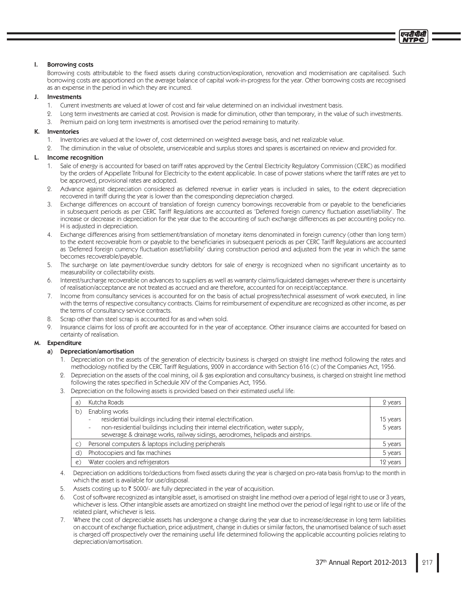#### L. **Borrowing costs**

Borrowing costs attributable to the fixed assets during construction/exploration, renovation and modernisation are capitalised. Such borrowing costs are apportioned on the average balance of capital work-in-progress for the year. Other borrowing costs are recognised as an expense in the period in which they are incurred.

#### J. Investments

- 1. Current investments are valued at lower of cost and fair value determined on an individual investment basis.
- 2. Long term investments are carried at cost. Provision is made for diminution, other than temporary, in the value of such investments.
- 3. Premium paid on long term investments is amortised over the period remaining to maturity.

#### K. Inventories

- 1. Inventories are valued at the lower of, cost determined on weighted average basis, and net realizable value.
- 2. The diminution in the value of obsolete, unserviceable and surplus stores and spares is ascertained on review and provided for.

#### L. Income recognition

- 1. Sale of energy is accounted for based on tariff rates approved by the Central Electricity Regulatory Commission (CERC) as modified by the orders of Appellate Tribunal for Electricity to the extent applicable. In case of power stations where the tariff rates are yet to be approved, provisional rates are adopted.
- 2. Advance against depreciation considered as deferred revenue in earlier years is included in sales, to the extent depreciation recovered in tariff during the year is lower than the corresponding depreciation charged.
- 3. Exchange differences on account of translation of foreign currency borrowings recoverable from or payable to the beneficiaries in subsequent periods as per CERC Tariff Regulations are accounted as 'Deferred foreign currency fluctuation asset/liability'. The increase or decrease in depreciation for the year due to the accounting of such exchange differences as per accounting policy no. H is adjusted in depreciation.
- $4<sup>1</sup>$ Exchange differences arising from settlement/translation of monetary items denominated in foreign currency (other than long term) to the extent recoverable from or payable to the beneficiaries in subsequent periods as per CERC Tariff Regulations are accounted as 'Deferred foreign currency fluctuation asset/liability' during construction period and adjusted from the year in which the same becomes recoverable/payable.
- 5. The surcharge on late payment/overdue sundry debtors for sale of energy is recognized when no significant uncertainty as to measurability or collectability exists.
- 6. Interest/surcharge recoverable on advances to suppliers as well as warranty claims/liquidated damages wherever there is uncertainty of realisation/acceptance are not treated as accrued and are therefore, accounted for on receipt/acceptance.
- Income from consultancy services is accounted for on the basis of actual progress/technical assessment of work executed, in line 7. with the terms of respective consultancy contracts. Claims for reimbursement of expenditure are recognized as other income, as per the terms of consultancy service contracts.
- Scrap other than steel scrap is accounted for as and when sold. 8.
- Insurance claims for loss of profit are accounted for in the year of acceptance. Other insurance claims are accounted for based on  $\circ$ certainty of realisation.

#### м. **Expenditure**

#### a) Depreciation/amortisation

- 1. Depreciation on the assets of the generation of electricity business is charged on straight line method following the rates and methodology notified by the CERC Tariff Regulations, 2009 in accordance with Section 616 (c) of the Companies Act, 1956.
- 2. Depreciation on the assets of the coal mining, oil & gas exploration and consultancy business, is charged on straight line method following the rates specified in Schedule XIV of the Companies Act, 1956.
- 3. Depreciation on the following assets is provided based on their estimated useful life:

| a)             | Kutcha Roads                                                                                                  | 2 years  |
|----------------|---------------------------------------------------------------------------------------------------------------|----------|
| b)             | Enabling works                                                                                                |          |
|                | residential buildings including their internal electrification.<br>$\overline{\phantom{0}}$                   | 15 years |
|                | non-residential buildings including their internal electrification, water supply,<br>$\overline{\phantom{0}}$ | 5 years  |
|                | sewerage & drainage works, railway sidings, aerodromes, helipads and airstrips.                               |          |
| $\mathsf{C}$ ) | Personal computers & laptops including peripherals                                                            | 5 years  |
| d)             | Photocopiers and fax machines                                                                                 | 5 years  |
| $\mathcal{C}$  | Water coolers and refrigerators                                                                               | 12 years |

- 4. Depreciation on additions to/deductions from fixed assets during the year is charged on pro-rata basis from/up to the month in which the asset is available for use/disposal.
- 5. Assets costing up to ₹5000/- are fully depreciated in the year of acquisition.
- 6. Cost of software recognized as intangible asset, is amortised on straight line method over a period of legal right to use or 3 years, whichever is less. Other intangible assets are amortized on straight line method over the period of legal right to use or life of the related plant, whichever is less.
- 7. Where the cost of depreciable assets has undergone a change during the year due to increase/decrease in long term liabilities on account of exchange fluctuation, price adjustment, change in duties or similar factors, the unamortised balance of such asset is charged off prospectively over the remaining useful life determined following the applicable accounting policies relating to depreciation/amortisation.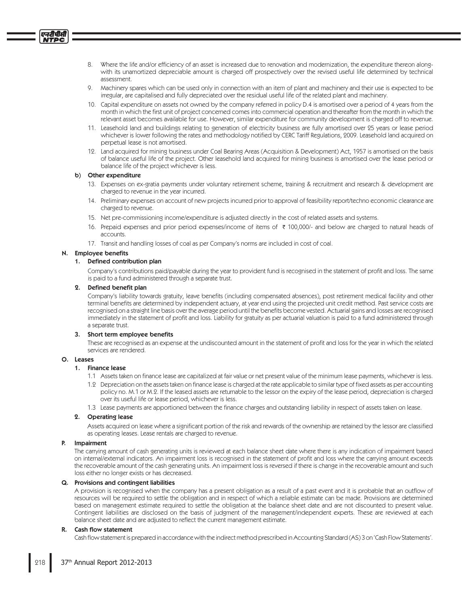- 8. Where the life and/or efficiency of an asset is increased due to renovation and modernization, the expenditure thereon alongwith its unamortized depreciable amount is charged off prospectively over the revised useful life determined by technical assessment
- 9. Machinery spares which can be used only in connection with an item of plant and machinery and their use is expected to be irregular, are capitalised and fully depreciated over the residual useful life of the related plant and machinery.
- 10. Capital expenditure on assets not owned by the company referred in policy D.4 is amortised over a period of 4 years from the month in which the first unit of project concerned comes into commercial operation and thereafter from the month in which the relevant asset becomes available for use. However, similar expenditure for community development is charged off to revenue.
- 11. Leasehold land and buildings relating to generation of electricity business are fully amortised over 25 years or lease period whichever is lower following the rates and methodology notified by CERC Tariff Regulations, 2009. Leasehold land acquired on perpetual lease is not amortised.
- 12. Land acquired for mining business under Coal Bearing Areas (Acquisition & Development) Act, 1957 is amortised on the basis of balance useful life of the project. Other leasehold land acquired for mining business is amortised over the lease period or balance life of the project whichever is less.

#### b) Other expenditure

- 13. Expenses on ex-gratia payments under voluntary retirement scheme, training & recruitment and research & development are charged to revenue in the year incurred.
- 14. Preliminary expenses on account of new projects incurred prior to approval of feasibility report/techno economic clearance are charged to revenue.
- 15. Net pre-commissioning income/expenditure is adjusted directly in the cost of related assets and systems.
- 16. Prepaid expenses and prior period expenses/income of items of ₹ 100,000/- and below are charged to natural heads of accounts.
- 17. Transit and handling losses of coal as per Company's norms are included in cost of coal.

# N. Employee benefits

## 1. Defined contribution plan

Company's contributions paid/payable during the year to provident fund is recognised in the statement of profit and loss. The same is paid to a fund administered through a separate trust.

## 2. Defined benefit plan

Company's liability towards gratuity, leave benefits (including compensated absences), post retirement medical facility and other terminal benefits are determined by independent actuary, at year end using the projected unit credit method. Past service costs are recognised on a straight line basis over the average period until the benefits become vested. Actuarial gains and losses are recognised immediately in the statement of profit and loss. Liability for gratuity as per actuarial valuation is paid to a fund administered through a separate trust.

#### 3. Short term employee benefits

These are recognised as an expense at the undiscounted amount in the statement of profit and loss for the year in which the related services are rendered.

# O. Leases

### 1. Finance lease

- 1.1 Assets taken on finance lease are capitalized at fair value or net present value of the minimum lease payments, whichever is less.
- 1.2 Depreciation on the assets taken on finance lease is charged at the rate applicable to similar type of fixed assets as per accounting policy no. M.1 or M.2. If the leased assets are returnable to the lessor on the expiry of the lease period, depreciation is charged over its useful life or lease period, whichever is less.
- 1.3 Lease payments are apportioned between the finance charges and outstanding liability in respect of assets taken on lease.

#### 2. Operating lease

Assets acquired on lease where a significant portion of the risk and rewards of the ownership are retained by the lessor are classified as operating leases. Lease rentals are charged to revenue.

#### P. Impairment

The carrying amount of cash generating units is reviewed at each balance sheet date where there is any indication of impairment based on internal/external indicators. An impairment loss is recognised in the statement of profit and loss where the carrying amount exceeds the recoverable amount of the cash generating units. An impairment loss is reversed if there is change in the recoverable amount and such loss either no longer exists or has decreased.

#### Q. Provisions and contingent liabilities

A provision is recognised when the company has a present obligation as a result of a past event and it is probable that an outflow of resources will be required to settle the obligation and in respect of which a reliable estimate can be made. Provisions are determined based on management estimate required to settle the obligation at the balance sheet date and are not discounted to present value. Contingent liabilities are disclosed on the basis of judgment of the management/independent experts. These are reviewed at each balance sheet date and are adjusted to reflect the current management estimate.

#### R. Cash flow statement

Cash flow statement is prepared in accordance with the indirect method prescribed in Accounting Standard (AS) 3 on 'Cash Flow Statements'.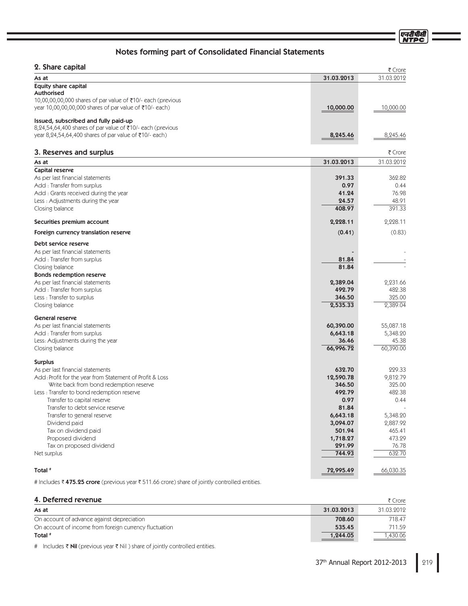एन<u>टी</u>पीर्स

# Notes forming part of Consolidated Financial Statements

| z. Share Capital                                                |                      | ₹ Crore    |
|-----------------------------------------------------------------|----------------------|------------|
| As at                                                           | 31.03.2013           | 31.03.2012 |
| <b>Equity share capital</b>                                     |                      |            |
| <b>Authorised</b>                                               |                      |            |
| 10,00,00,00,000 shares of par value of ₹10/- each (previous     |                      |            |
| year 10,00,00,00,000 shares of par value of ₹10/- each)         | 10,000.00            | 10,000.00  |
| Issued, subscribed and fully paid-up                            |                      |            |
| 8,24,54,64,400 shares of par value of ₹10/- each (previous      |                      |            |
| year 8,24,54,64,400 shares of par value of ₹10/- each)          | 8,245.46             | 8,245.46   |
|                                                                 |                      |            |
| 3. Reserves and surplus                                         |                      | ₹ Crore    |
| As at                                                           | 31.03.2013           | 31.03.2012 |
| Capital reserve<br>As per last financial statements             | 391.33               | 362.82     |
| Add: Transfer from surplus                                      | 0.97                 | 0.44       |
| Add : Grants received during the year                           | 41.24                | 76.98      |
| Less: Adjustments during the year                               | 24.57                | 48.91      |
| Closing balance                                                 | 408.97               | 391.33     |
|                                                                 |                      |            |
| Securities premium account                                      | 2,228.11             | 2,228.11   |
| Foreign currency translation reserve                            | (0.41)               | (0.83)     |
| Debt service reserve                                            |                      |            |
| As per last financial statements                                |                      |            |
| Add: Transfer from surplus                                      | 81.84                |            |
| Closing balance                                                 | 81.84                |            |
| <b>Bonds redemption reserve</b>                                 |                      |            |
| As per last financial statements                                | 2,389.04             | 2,231.66   |
| Add: Transfer from surplus                                      | 492.79               | 482.38     |
| Less : Transfer to surplus                                      | 346.50               | 325.00     |
| Closing balance                                                 | 2,535.33             | 2,389.04   |
| <b>General reserve</b>                                          |                      |            |
| As per last financial statements                                | 60,390.00            | 55,087.18  |
| Add: Transfer from surplus                                      | 6,643.18             | 5,348.20   |
| Less: Adjustments during the year                               | 36.46                | 45.38      |
| Closing balance                                                 | 66,996.72            | 60,390.00  |
| <b>Surplus</b>                                                  |                      |            |
| As per last financial statements                                | 632.70               | 229.33     |
| Add: Profit for the year from Statement of Profit & Loss        | 12,590.78            | 9,812.79   |
| Write back from bond redemption reserve                         | 346.50               | 325.00     |
| Less : Transfer to bond redemption reserve                      | 492.79               | 482.38     |
| Transfer to capital reserve                                     | 0.97                 | 0.44       |
| Transfer to debt service reserve<br>Transfer to general reserve | 81.84                | 5,348.20   |
| Dividend paid                                                   | 6,643.18<br>3,094.07 | 2,887.92   |
| Tax on dividend paid                                            | 501.94               | 465.41     |
| Proposed dividend                                               | 1,718.27             | 473.29     |
| Tax on proposed dividend                                        | 291.99               | 76.78      |
| Net surplus                                                     | 744.93               | 632.70     |
|                                                                 |                      |            |
| Total #                                                         | 72,995.49            | 66,030.35  |

# Includes ₹ 475.25 crore (previous year ₹ 511.66 crore) share of jointly controlled entities.

# 4. Deferred revenue  $\frac{1}{2}$  Crore

| As at                                                  | 31.03.2013 | 31.03.2012 |
|--------------------------------------------------------|------------|------------|
| On account of advance against depreciation             | 708.60     | 718.47     |
| On account of income from foreign currency fluctuation | 535.45     | 711.59     |
| Total <sup>#</sup>                                     | 1,244.05   | ,430.06    |

# Includes Nil (previous year Nil ) share of jointly controlled entities.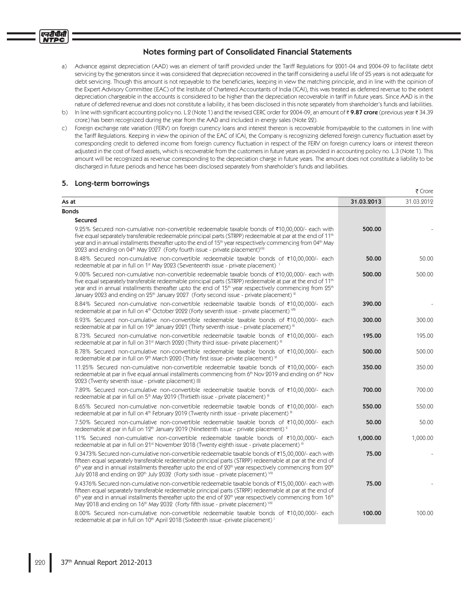- a) Advance against depreciation (AAD) was an element of tariff provided under the Tariff Regulations for 2001-04 and 2004-09 to facilitate debt servicing by the generators since it was considered that depreciation recovered in the tariff considering a useful life of 25 years is not adequate for debt servicing. Though this amount is not repayable to the beneficiaries, keeping in view the matching principle, and in line with the opinion of the Expert Advisory Committee (EAC) of the Institute of Chartered Accountants of India (ICAI), this was treated as deferred revenue to the extent depreciation chargeable in the accounts is considered to be higher than the depreciation recoverable in tariff in future years. Since AAD is in the nature of deferred revenue and does not constitute a liability, it has been disclosed in this note separately from shareholder's funds and liabilities.
- b) In line with significant accounting policy no. L.2 (Note 1) and the revised CERC order for 2004-09, an amount of ₹9.87 crore (previous year ₹34.39 crore) has been recognized during the year from the AAD and included in energy sales (Note 22).
- c) Foreign exchange rate variation (FERV) on foreign currency loans and interest thereon is recoverable from/payable to the customers in line with the Tariff Regulations. Keeping in view the opinion of the EAC of ICAI, the Company is recognizing deferred foreign currency fluctuation asset by corresponding credit to deferred income from foreign currency fluctuation in respect of the FERV on foreign currency loans or interest thereon adjusted in the cost of fixed assets, which is recoverable from the customers in future years as provided in accounting policy no. L.3 (Note 1). This amount will be recognized as revenue corresponding to the depreciation charge in future years. The amount does not constitute a liability to be discharged in future periods and hence has been disclosed separately from shareholder's funds and liabilities.

# 5. Long-term borrowings

एनदीपीसी **NTPC** 

|                                                                                                                                                                                                                                                                                                                                                                                                                                                              |            | ₹ Crore    |
|--------------------------------------------------------------------------------------------------------------------------------------------------------------------------------------------------------------------------------------------------------------------------------------------------------------------------------------------------------------------------------------------------------------------------------------------------------------|------------|------------|
| As at                                                                                                                                                                                                                                                                                                                                                                                                                                                        | 31.03.2013 | 31.03.2012 |
| <b>Bonds</b>                                                                                                                                                                                                                                                                                                                                                                                                                                                 |            |            |
| <b>Secured</b>                                                                                                                                                                                                                                                                                                                                                                                                                                               |            |            |
| 9.25% Secured non-cumulative non-convertible redeemable taxable bonds of ₹10,00,000/- each with<br>five equal separately transferable redeemable principal parts (STRPP) redeemable at par at the end of 11 <sup>th</sup><br>year and in annual installments thereafter upto the end of 15 <sup>th</sup> year respectively commencing from 04 <sup>th</sup> May<br>2023 and ending on 04th May 2027 (Forty fourth issue - private placement) <sup>VIII</sup> | 500.00     |            |
| 8.48% Secured non-cumulative non-convertible redeemable taxable bonds of ₹10,00,000/- each<br>redeemable at par in full on 1 <sup>st</sup> May 2023 (Seventeenth issue - private placement) <sup>1</sup>                                                                                                                                                                                                                                                     | 50.00      | 50.00      |
| 9.00% Secured non-cumulative non-convertible redeemable taxable bonds of ₹10,00,000/- each with<br>five equal separately transferable redeemable principal parts (STRPP) redeemable at par at the end of 11 <sup>th</sup><br>year and in annual installments thereafter upto the end of $15th$ year respectively commencing from $25th$<br>January 2023 and ending on 25 <sup>th</sup> January 2027 (Forty second issue - private placement) III             | 500.00     | 500.00     |
| 8.84% Secured non-cumulative non-convertible redeemable taxable bonds of ₹10,00,000/- each<br>redeemable at par in full on 4th October 2022 (Forty seventh issue - private placement) VIII                                                                                                                                                                                                                                                                   | 390.00     |            |
| 8.93% Secured non-cumulative non-convertible redeemable taxable bonds of ₹10,00,000/- each<br>redeemable at par in full on 19 <sup>th</sup> January 2021 (Thirty seventh issue - private placement) III                                                                                                                                                                                                                                                      | 300.00     | 300.00     |
| 8.73% Secured non-cumulative non-convertible redeemable taxable bonds of ₹10,00,000/- each<br>redeemable at par in full on 31 <sup>st</sup> March 2020 (Thirty third issue- private placement) III                                                                                                                                                                                                                                                           | 195.00     | 195.00     |
| 8.78% Secured non-cumulative non-convertible redeemable taxable bonds of ₹10,00,000/- each<br>redeemable at par in full on 9 <sup>th</sup> March 2020 (Thirty first issue- private placement) III                                                                                                                                                                                                                                                            | 500.00     | 500.00     |
| 11.25% Secured non-cumulative non-convertible redeemable taxable bonds of ₹10,00,000/- each<br>redeemable at par in five equal annual installments commencing from 6 <sup>th</sup> Nov 2019 and ending on 6 <sup>th</sup> Nov<br>2023 (Twenty seventh issue - private placement) III                                                                                                                                                                         | 350.00     | 350.00     |
| 7.89% Secured non-cumulative non-convertible redeemable taxable bonds of ₹10,00,000/- each<br>redeemable at par in full on 5th May 2019 (Thirtieth issue - private placement) III                                                                                                                                                                                                                                                                            | 700.00     | 700.00     |
| 8.65% Secured non-cumulative non-convertible redeemable taxable bonds of ₹10,00,000/- each<br>redeemable at par in full on 4 <sup>th</sup> February 2019 (Twenty ninth issue - private placement) III                                                                                                                                                                                                                                                        | 550.00     | 550.00     |
| 7.50% Secured non-cumulative non-convertible redeemable taxable bonds of ₹10,00,000/- each<br>redeemable at par in full on 12 <sup>th</sup> January 2019 (Nineteenth issue - private placement) <sup>11</sup>                                                                                                                                                                                                                                                | 50.00      | 50.00      |
| 11% Secured non-cumulative non-convertible redeemable taxable bonds of ₹10,00,000/- each<br>redeemable at par in full on 21 <sup>st</sup> November 2018 (Twenty eighth issue - private placement) III                                                                                                                                                                                                                                                        | 1,000.00   | 1,000.00   |
| 9.3473% Secured non-cumulative non-convertible redeemable taxable bonds of ₹15,00,000/- each with<br>fifteen equal separately transferable redeemable principal parts (STRPP) redeemable at par at the end of<br>6th year and in annual installments thereafter upto the end of 20th year respectively commencing from 20th<br>July 2018 and ending on 20 <sup>th</sup> July 2032 (Forty sixth issue - private placement) VIII                               | 75.00      |            |
| 9.4376% Secured non-cumulative non-convertible redeemable taxable bonds of ₹15,00,000/- each with<br>fifteen equal separately transferable redeemable principal parts (STRPP) redeemable at par at the end of<br>$6th$ year and in annual installments thereafter upto the end of $20th$ year respectively commencing from 16 <sup>th</sup><br>May 2018 and ending on 16 <sup>th</sup> May 2032 (Forty fifth issue - private placement) VIII                 | 75.00      |            |
| 8.00% Secured non-cumulative non-convertible redeemable taxable bonds of ₹10,00,000/- each<br>redeemable at par in full on 10 <sup>th</sup> April 2018 (Sixteenth issue -private placement) <sup>1</sup>                                                                                                                                                                                                                                                     | 100.00     | 100.00     |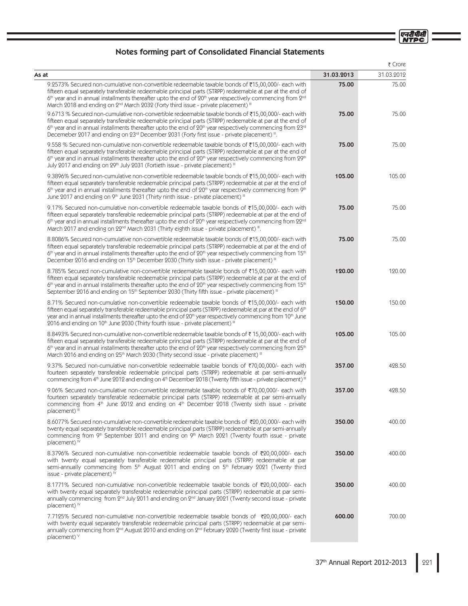एनदीपीसी<br>NTPC

# Notes forming part of Consolidated Financial Statements

|                                                                                                                                                                                                                                                                                                                                                                                                                                                         |            | ₹ Crore    |
|---------------------------------------------------------------------------------------------------------------------------------------------------------------------------------------------------------------------------------------------------------------------------------------------------------------------------------------------------------------------------------------------------------------------------------------------------------|------------|------------|
| As at                                                                                                                                                                                                                                                                                                                                                                                                                                                   | 31.03.2013 | 31.03.2012 |
| 9.2573% Secured non-cumulative non-convertible redeemable taxable bonds of ₹15,00,000/- each with<br>fifteen equal separately transferable redeemable principal parts (STRPP) redeemable at par at the end of<br>6th year and in annual installments thereafter upto the end of 20th year respectively commencing from 2nd<br>March 2018 and ending on 2 <sup>nd</sup> March 2032 (Forty third issue - private placement) III                           | 75.00      | 75.00      |
| 9.6713 % Secured non-cumulative non-convertible redeemable taxable bonds of ₹15,00,000/- each with<br>fifteen equal separately transferable redeemable principal parts (STRPP) redeemable at par at the end of<br>$6th$ year and in annual installments thereafter upto the end of $20th$ year respectively commencing from $23rd$<br>Decemeber 2017 and ending on 23rd December 2031 (Forty first issue - private placement) III.                      | 75.00      | 75.00      |
| 9.558 % Secured non-cumulative non-convertible redeemable taxable bonds of ₹15,00,000/- each with<br>fifteen equal separately transferable redeemable principal parts (STRPP) redeemable at par at the end of<br>$6th$ year and in annual installments thereafter upto the end of $20th$ year respectively commencing from $29th$<br>July 2017 and ending on 29 <sup>th</sup> July 2031 (Fortieth issue - private placement) III                        | 75.00      | 75.00      |
| 9.3896% Secured non-cumulative non-convertible redeemable taxable bonds of ₹15,00,000/- each with<br>fifteen equal separately transferable redeemable principal parts (STRPP) redeemable at par at the end of<br>6 <sup>th</sup> year and in annual installments thereafter upto the end of 20 <sup>th</sup> year respectively commencing from 9 <sup>th</sup><br>June 2017 and ending on 9th June 2031 (Thirty ninth issue - private placement) III    | 105.00     | 105.00     |
| 9.17% Secured non-cumulative non-convertible redeemable taxable bonds of ₹15,00,000/- each with<br>fifteen equal separately transferable redeemable principal parts (STRPP) redeemable at par at the end of<br>$6th$ year and in annual installments thereafter upto the end of $20th$ year respectively commencing from $22nd$<br>March 2017 and ending on 22 <sup>nd</sup> March 2031 (Thirty eighth issue - private placement) ".                    | 75.00      | 75.00      |
| 8.8086% Secured non-cumulative non-convertible redeemable taxable bonds of ₹15,00,000/- each with<br>fifteen equal separately transferable redeemable principal parts (STRPP) redeemable at par at the end of<br>$6th$ year and in annual installments thereafter upto the end of $20th$ year respectively commencing from 15 <sup>th</sup><br>December 2016 and ending on 15 <sup>th</sup> December 2030 (Thirty sixth issue - private placement) III  | 75.00      | 75.00      |
| 8.785% Secured non-cumulative non-convertible redeemable taxable bonds of ₹15,00,000/- each with<br>fifteen equal separately transferable redeemable principal parts (STRPP) redeemable at par at the end of<br>$6th$ year and in annual installments thereafter upto the end of $20th$ year respectively commencing from 15 <sup>th</sup><br>September 2016 and ending on 15 <sup>th</sup> September 2030 (Thirty fifth issue - private placement) III | 120.00     | 120.00     |
| 8.71% Secured non-cumulative non-convertible redeemable taxable bonds of ₹15,00,000/- each with<br>fifteen equal separately transferable redeemable principal parts (STRPP) redeemable at par at the end of 6th<br>year and in annual installments thereafter upto the end of 20 <sup>th</sup> year respectively commencing from 10 <sup>th</sup> June<br>2016 and ending on 10th June 2030 (Thirty fourth issue - private placement) III               | 150.00     | 150.00     |
| 8.8493% Secured non-cumulative non-convertible redeemable taxable bonds of ₹ 15,00,000/- each with<br>fifteen equal separately transferable redeemable principal parts (STRPP) redeemable at par at the end of<br>$6th$ year and in annual installments thereafter upto the end of $20th$ year respectively commencing from $25th$<br>March 2016 and ending on 25 <sup>th</sup> March 2030 (Thirty second issue - private placement) III                | 105.00     | 105.00     |
| 9.37% Secured non-cumulative non-convertible redeemable taxable bonds of ₹70,00,000/- each with<br>fourteen separately transferable redeemable principal parts (STRPP) redeemable at par semi-annually<br>commencing from 4th June 2012 and ending on 4th December 2018 (Twenty fifth issue - private placement) III                                                                                                                                    | 357.00     | 428.50     |
| 9.06% Secured non-cumulative non-convertible redeemable taxable bonds of ₹70,00,000/- each with<br>fourteen separately transferable redeemable principal parts (STRPP) redeemable at par semi-annually<br>commencing from 4 <sup>th</sup> June 2012 and ending on 4 <sup>th</sup> December 2018 (Twenty sixth issue - private<br>placement) "                                                                                                           | 357.00     | 428.50     |
| 8.6077% Secured non-cumulative non-convertible redeemable taxable bonds of ₹20,00,000/- each with<br>twenty equal separately transferable redeemable principal parts (STRPP) redeemable at par semi-annually<br>commencing from 9th September 2011 and ending on 9th March 2021 (Twenty fourth issue - private<br>placement) $\mathbb{M}$                                                                                                               | 350.00     | 400.00     |
| 8.3796% Secured non-cumulative non-convertible redeemable taxable bonds of ₹20,00,000/- each<br>with twenty equal separately transferable redeemable principal parts (STRPP) redeemable at par<br>semi-annually commencing from 5 <sup>th</sup> August 2011 and ending on 5 <sup>th</sup> February 2021 (Twenty third<br>issue - private placement) <sup>IV</sup>                                                                                       | 350.00     | 400.00     |
| 8.1771% Secured non-cumulative non-convertible redeemable taxable bonds of ₹20,00,000/- each<br>with twenty equal separately transferable redeemable principal parts (STRPP) redeemable at par semi-<br>annually commencing from 2 <sup>nd</sup> July 2011 and ending on 2 <sup>nd</sup> January 2021 (Twenty second issue - private<br>placement) $\mathbb{M}$                                                                                         | 350.00     | 400.00     |
| 7.7125% Secured non-cumulative non-convertible redeemable taxable bonds of ₹20,00,000/- each<br>with twenty equal separately transferable redeemable principal parts (STRPP) redeemable at par semi-<br>annually commencing from 2 <sup>nd</sup> August 2010 and ending on 2 <sup>nd</sup> February 2020 (Twenty first issue - private<br>placement) v                                                                                                  | 600.00     | 700.00     |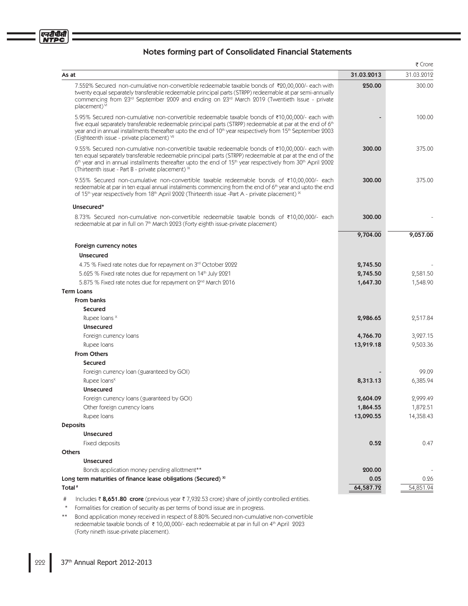|                                                                                                                                                                                                                                                                                                                                                                                                                     |            | ₹ Crore    |
|---------------------------------------------------------------------------------------------------------------------------------------------------------------------------------------------------------------------------------------------------------------------------------------------------------------------------------------------------------------------------------------------------------------------|------------|------------|
| As at                                                                                                                                                                                                                                                                                                                                                                                                               | 31.03.2013 | 31.03.2012 |
| 7.552% Secured non-cumulative non-convertible redeemable taxable bonds of ₹20,00,000/- each with<br>twenty equal separately transferable redeemable principal parts (STRPP) redeemable at par semi-annually<br>commencing from 23rd September 2009 and ending on 23rd March 2019 (Twentieth Issue - private<br>placement) <sup>VI</sup>                                                                             | 250.00     | 300.00     |
| 5.95% Secured non-cumulative non-convertible redeemable taxable bonds of ₹10,00,000/- each with<br>five equal separately transferable redeemable principal parts (STRPP) redeemable at par at the end of 6th<br>year and in annual installments thereafter upto the end of 10 <sup>th</sup> year respectively from 15 <sup>th</sup> September 2003<br>(Eighteenth issue - private placement) VII                    |            | 100.00     |
| 9.55% Secured non-cumulative non-convertible taxable redeemable bonds of ₹10,00,000/- each with<br>ten equal separately transferable redeemable principal parts (STRPP) redeemable at par at the end of the<br>6 <sup>th</sup> year and in annual installments thereafter upto the end of 15 <sup>th</sup> year respectively from 30 <sup>th</sup> April 2002<br>(Thirteenth issue - Part B - private placement) IX | 300.00     | 375.00     |
| 9.55% Secured non-cumulative non-convertible taxable redeemable bonds of ₹10,00,000/- each<br>redeemable at par in ten equal annual instalments commencing from the end of 6 <sup>th</sup> year and upto the end<br>of 15 <sup>th</sup> year respectively from 18 <sup>th</sup> April 2002 (Thirteenth issue -Part A - private placement) $\frac{1}{x}$                                                             | 300.00     | 375.00     |
| Unsecured*                                                                                                                                                                                                                                                                                                                                                                                                          |            |            |
| 8.73% Secured non-cumulative non-convertible redeemable taxable bonds of ₹10,00,000/- each<br>redeemable at par in full on 7 <sup>th</sup> March 2023 (Forty eighth issue-private placement)                                                                                                                                                                                                                        | 300.00     |            |
|                                                                                                                                                                                                                                                                                                                                                                                                                     | 9,704.00   | 9,057.00   |
| Foreign currency notes                                                                                                                                                                                                                                                                                                                                                                                              |            |            |
| <b>Unsecured</b>                                                                                                                                                                                                                                                                                                                                                                                                    |            |            |
| 4.75 % Fixed rate notes due for repayment on 3rd October 2022                                                                                                                                                                                                                                                                                                                                                       | 2,745.50   |            |
| 5.625 % Fixed rate notes due for repayment on 14 <sup>th</sup> July 2021                                                                                                                                                                                                                                                                                                                                            | 2,745.50   | 2,581.50   |
| 5.875 % Fixed rate notes due for repayment on 2 <sup>nd</sup> March 2016                                                                                                                                                                                                                                                                                                                                            | 1,647.30   | 1,548.90   |
| <b>Term Loans</b>                                                                                                                                                                                                                                                                                                                                                                                                   |            |            |
| <b>From banks</b>                                                                                                                                                                                                                                                                                                                                                                                                   |            |            |
| <b>Secured</b>                                                                                                                                                                                                                                                                                                                                                                                                      |            |            |
| Rupee loans ×                                                                                                                                                                                                                                                                                                                                                                                                       | 2,986.65   | 2,517.84   |
| <b>Unsecured</b>                                                                                                                                                                                                                                                                                                                                                                                                    |            |            |
| Foreign currency loans                                                                                                                                                                                                                                                                                                                                                                                              | 4,766.70   | 3,927.15   |
| Rupee Ioans                                                                                                                                                                                                                                                                                                                                                                                                         | 13,919.18  | 9,503.36   |
| <b>From Others</b>                                                                                                                                                                                                                                                                                                                                                                                                  |            |            |
| <b>Secured</b>                                                                                                                                                                                                                                                                                                                                                                                                      |            |            |
| Foreign currency loan (guaranteed by GOI)                                                                                                                                                                                                                                                                                                                                                                           |            | 99.09      |
| Rupee loans <sup>x</sup>                                                                                                                                                                                                                                                                                                                                                                                            | 8,313.13   | 6,385.94   |
| <b>Unsecured</b>                                                                                                                                                                                                                                                                                                                                                                                                    |            |            |
| Foreign currency loans (guaranteed by GOI)                                                                                                                                                                                                                                                                                                                                                                          | 2,604.09   | 2,999.49   |
| Other foreign currency loans                                                                                                                                                                                                                                                                                                                                                                                        | 1,864.55   | 1,872.51   |
| Rupee Ioans                                                                                                                                                                                                                                                                                                                                                                                                         | 13,090.55  | 14,358.43  |
| <b>Deposits</b>                                                                                                                                                                                                                                                                                                                                                                                                     |            |            |
| <b>Unsecured</b>                                                                                                                                                                                                                                                                                                                                                                                                    |            |            |
| Fixed deposits<br><b>Others</b>                                                                                                                                                                                                                                                                                                                                                                                     | 0.52       | 0.47       |
| <b>Unsecured</b>                                                                                                                                                                                                                                                                                                                                                                                                    |            |            |
| Bonds application money pending allottment**                                                                                                                                                                                                                                                                                                                                                                        | 200.00     |            |
| Long term maturities of finance lease obligations (Secured) XI                                                                                                                                                                                                                                                                                                                                                      | 0.05       | 0.26       |
| Total <sup>#</sup>                                                                                                                                                                                                                                                                                                                                                                                                  | 64,587.72  | 54,851.94  |
|                                                                                                                                                                                                                                                                                                                                                                                                                     |            |            |

# Includes ₹8,651.80 crore (previous year ₹7,932.53 crore) share of jointly controlled entities.

\* Formalities for creation of security as per terms of bond issue are in progress.

\*\* Bond application money received in respect of 8.80% Secured non-cumulative non-convertible redeemable taxable bonds of ₹ 10,00,000/- each redeemable at par in full on 4<sup>th</sup> April 2023 (Forty nineth issue-private placement).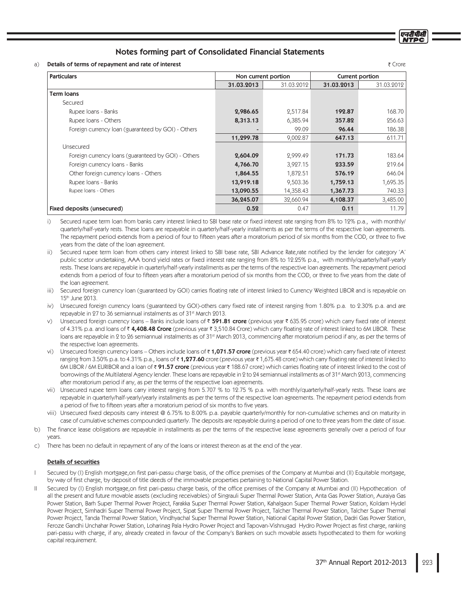a) **Details of terms of repayment and rate of interest**  $\bar{\zeta}$  **CrossFermion Section 2.8 SPSF Fermion Section 2.8 SPSF** 

| <b>Particulars</b>                                  |            | Non current portion |            | Current portion |
|-----------------------------------------------------|------------|---------------------|------------|-----------------|
|                                                     | 31.03.2013 | 31.03.2012          | 31.03.2013 | 31.03.2012      |
| <b>Term loans</b>                                   |            |                     |            |                 |
| Secured                                             |            |                     |            |                 |
| Rupee Ioans - Banks                                 | 2,986.65   | 2,517.84            | 192.87     | 168.70          |
| Rupee Ioans - Others                                | 8,313.13   | 6,385.94            | 357.82     | 256.63          |
| Foreign currency loan (guaranteed by GOI) - Others  |            | 99.09               | 96.44      | 186.38          |
|                                                     | 11,299.78  | 9,002.87            | 647.13     | 611.71          |
| Unsecured                                           |            |                     |            |                 |
| Foreign currency loans (guaranteed by GOI) - Others | 2,604.09   | 2,999.49            | 171.73     | 183.64          |
| Foreign currency loans - Banks                      | 4,766.70   | 3,927.15            | 233.59     | 219.64          |
| Other foreign currency loans - Others               | 1,864.55   | 1,872.51            | 576.19     | 646.04          |
| Rupee Ioans - Banks                                 | 13,919.18  | 9,503.36            | 1,759.13   | 1,695.35        |
| Rupee Ioans - Others                                | 13,090.55  | 14,358.43           | 1,367.73   | 740.33          |
|                                                     | 36,245.07  | 32,660.94           | 4,108.37   | 3,485.00        |
| Fixed deposits (unsecured)                          | 0.52       | 0.47                | 0.11       | 11.79           |

 $\overline{1}$ Secured rupee term loan from banks carry interest linked to SBI base rate or fixed interest rate ranging from 8% to 12% p.a., with monthly/ quarterly/half-yearly rests. These loans are repayable in quarterly/half-yearly installments as per the terms of the respective loan agreements. The repayment period extends from a period of four to fifteen years after a moratorium period of six months from the COD, or three to five years from the date of the loan agreement.

ii) Secured rupee term loan from others carry interest linked to SBI base rate, SBI Advance Rate,rate notified by the lender for category 'A' public scetor undertaking, AAA bond yield rates or fixed interest rate ranging from 8% to 12.25% p.a., with monthly/quarterly/half-yearly rests. These loans are repayable in quarterly/half-yearly installments as per the terms of the respective loan agreements. The repayment period extends from a period of four to fifteen years after a moratorium period of six months from the COD, or three to five years from the date of the loan agreement.

 $\overline{iii}$ Secured foreign currency Ioan (guaranteed by GOI) carries floating rate of interest linked to Currency Weighted LIBOR and is repayable on 15th June 2013.

iv) Unsecured foreign currency loans (guaranteed by GOI)-others carry fixed rate of interest ranging from 1.80% p.a. to 2.30% p.a. and are repayable in 27 to 36 semiannual instalments as of 31<sup>st</sup> March 2013.

- W Unsecured foreign currency loans – Banks include loans of ₹ 591.81 crore (previous year ₹ 635.95 crore) which carry fixed rate of interest of 4.31% p.a. and loans of ₹ 4**,408.48 Crore** (previous year ₹ 3,510.84 Crore) which carry floating rate of interest linked to 6M LIBOR. These loans are repayable in 2 to 26 semiannual instalments as of 31<sup>st</sup> March 2013, commencing after moratorium period if any, as per the terms of the respective loan agreements.
- $Vi$ ) Unsecured foreign currency loans – Others include loans of ₹ **1,071.57 crore** (previous year ₹ 654.40 crore) which carry fixed rate of interest ranging from 3.50% p.a. to 4.31% p.a., loans of ₹ **1,277.60** crore (previous year ₹ 1,675.48 crore) which carry floating rate of interest linked to 6M LIBOR / 6M EURIBOR and a loan of ₹ 91.57 crore (previous year ₹ 188.67 crore) which carries floating rate of interest linked to the cost of borrowings of the Multilateral Agency lender. These loans are repayable in 2 to 24 semiannual installments as of 31st March 2013, commencing after moratorium period if any, as per the terms of the respective loan agreements.
- vii) Unsecured rupee term loans carry interest ranging from 5.707 % to 12.75 % p.a. with monthly/quarterly/half-yearly rests. These loans are repayable in quarterly/half-yearly/yearly installments as per the terms of the respective loan agreements. The repayment period extends from a period of five to fifteen years after a moratorium period of six months to five years.
- viii) Unsecured fixed deposits carry interest @ 6.75% to 8.00% p.a. payable quarterly/monthly for non-cumulative schemes and on maturity in case of cumulative schemes compounded quarterly. The deposits are repayable during a period of one to three years from the date of issue.
- $b)$ The finance lease obligations are repayable in installments as per the terms of the respective lease agreements generally over a period of four vears.
- $\overline{C}$ There has been no default in repayment of any of the loans or interest thereon as at the end of the year.

#### Details of securities

- l Secured by (I) English mortgage,on first pari-passu charge basis, of the office premises of the Company at Mumbai and (II) Equitable mortgage, by way of first charge, by deposit of title deeds of the immovable properties pertaining to National Capital Power Station
- II Secured by (I) English mortgage,on first pari-passu charge basis, of the office premises of the Company at Mumbai and (II) Hypothecation of all the present and future movable assets (excluding receivables) of Singrauli Super Thermal Power Station, Anta Gas Power Station, Auraiya Gas Power Station, Barh Super Thermal Power Project, Farakka Super Thermal Power Station, Kahalgaon Super Thermal Power Station, Koldam Hydel Power Project, Simhadri Super Thermal Power Project, Sipat Super Thermal Power Project, Talcher Thermal Power Station, Talcher Super Thermal Power Project, Tanda Thermal Power Station, Vindhyachal Super Thermal Power Station, National Capital Power Station, Dadri Gas Power Station, Feroze Gandhi Unchahar Power Station, Loharinag Pala Hydro Power Project and Tapovan-Vishnugad Hydro Power Project as first charge, ranking pari-passu with charge, if any, already created in favour of the Company's Bankers on such movable assets hypothecated to them for working capital requirement.



एनरीपीर्स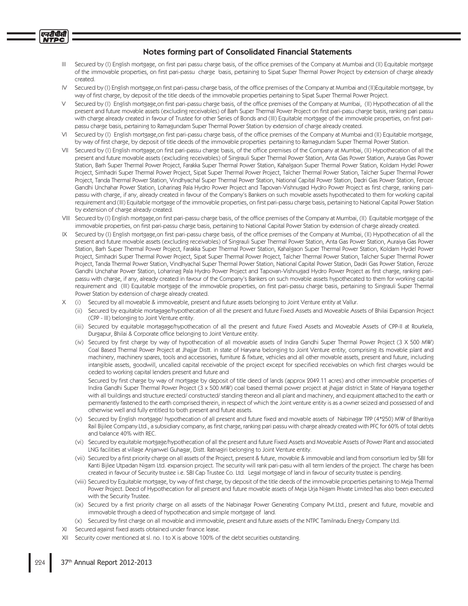#### एनटीपीसी **ITPC**

# Notes forming part of Consolidated Financial Statements

- III Secured by (I) English mortgage, on first pari passu charge basis, of the office premises of the Company at Mumbai and (II) Equitable mortgage of the immovable properties, on first pari-passu charge basis, pertaining to Sipat Super Thermal Power Project by extension of charge already created.
- IV Secured by (I) English mortgage,on first pari-passu charge basis, of the office premises of the Company at Mumbai and (II)Equitable mortgage, by way of first charge, by deposit of the title deeds of the immovable properties pertaining to Sipat Super Thermal Power Project.
- V Secured by (I) English mortgage,on first pari-passu charge basis, of the office premises of the Company at Mumbai, (II) Hypothecation of all the present and future movable assets (excluding receivables) of Barh Super Thermal Power Project on first pari-pasu charge basis, ranking pari passu with charge already created in favour of Trustee for other Series of Bonds and (III) Equitable mortgage of the immovable properties, on first paripassu charge basis, pertaining to Ramagundam Super Thermal Power Station by extension of charge already created.
- VI Secured by (I) English mortgage,on first pari-passu charge basis, of the office premises of the Company at Mumbai and (II) Equitable mortgage, by way of first charge, by deposit of title deeds of the immovable properties pertaining to Ramagundam Super Thermal Power Station.
- VII Secured by (I) English mortgage,on first pari-passu charge basis, of the office premises of the Company at Mumbai, (II) Hypothecation of all the present and future movable assets (excluding receivables) of Singrauli Super Thermal Power Station, Anta Gas Power Station, Auraiya Gas Power Station, Barh Super Thermal Power Project, Farakka Super Thermal Power Station, Kahalgaon Super Thermal Power Station, Koldam Hydel Power Project, Simhadri Super Thermal Power Project, Sipat Super Thermal Power Project, Talcher Thermal Power Station, Talcher Super Thermal Power Project, Tanda Thermal Power Station, Vindhyachal Super Thermal Power Station, National Capital Power Station, Dadri Gas Power Station, Feroze Gandhi Unchahar Power Station, Loharinag Pala Hydro Power Project and Tapovan-Vishnugad Hydro Power Project as first charge, ranking paripassu with charge, if any, already created in favour of the Company's Bankers on such movable assets hypothecated to them for working capital requirement and (III) Equitable mortgage of the immovable properties, on first pari-passu charge basis, pertaining to National Capital Power Station by extension of charge already created.
- VIII Secured by (I) English mortgage,on first pari-passu charge basis, of the office premises of the Company at Mumbai, (II) Equitable mortgage of the immovable properties, on first pari-passu charge basis, pertaining to National Capital Power Station by extension of charge already created.
- IX Secured by (I) English mortgage,on first pari-passu charge basis, of the office premises of the Company at Mumbai, (II) Hypothecation of all the present and future movable assets (excluding receivables) of Singrauli Super Thermal Power Station, Anta Gas Power Station, Auraiya Gas Power Station, Barh Super Thermal Power Project, Farakka Super Thermal Power Station, Kahalgaon Super Thermal Power Station, Koldam Hydel Power Project, Simhadri Super Thermal Power Project, Sipat Super Thermal Power Project, Talcher Thermal Power Station, Talcher Super Thermal Power Project, Tanda Thermal Power Station, Vindhyachal Super Thermal Power Station, National Capital Power Station, Dadri Gas Power Station, Feroze Gandhi Unchahar Power Station, Loharinag Pala Hydro Power Project and Tapovan-Vishnugad Hydro Power Project as first charge, ranking paripassu with charge, if any, already created in favour of the Company's Bankers on such movable assets hypothecated to them for working capital requirement and (III) Equitable mortgage of the immovable properties, on first pari-passu charge basis, pertaining to Singrauli Super Thermal Power Station by extension of charge already created.
- X (i) Secured by all moveable & immoveable, present and future assets belonging to Joint Venture entity at Vallur.
- (ii) Secured by equitable mortagage/hypothecation of all the present and future Fixed Assets and Moveable Assets of Bhilai Expansion Project (CPP - III) belonging to Joint Venture entity.
- (iii) Secured by equitable mortagage/hypothecation of all the present and future Fixed Assets and Moveable Assets of CPP-II at Rourkela, Durgapur, Bhilai & Corporate office belonging to Joint Venture entity.
- (iv) Secured by first charge by way of hypothecation of all moveable assets of Indira Gandhi Super Thermal Power Project (3 X 500 MW) Coal Based Thermal Power Project at Jhajjar Distt. in state of Haryana belonging to Joint Venture entity, comprising its movable plant and machinery, machinery spares, tools and accessories, furniture & fixture, vehicles and all other movable assets, present and future, including intangible assets, goodwill, uncalled capital receivable of the project except for specified receivables on which first charges would be ceded to working capital lenders present and future and

Secured by first charge by way of mortgage by deposit of title deed of lands (approx 2049.11 acres) and other immovable properties of Indira Gandhi Super Thermal Power Project (3 x 500 MW) coal based thermal power project at jhajjar district in State of Haryana together with all buildings and structure erected/ constructed/ standing thereon and all plant and machinery, and equipment attached to the earth or permanently fastened to the earth comprised therein, in respect of which the Joint venture entity is as a owner seized and possessed of and otherwise well and fully entitled to both present and future assets.

- (v) Secured by English mortgage/ hypothecation of all present and future fixed and movable assets of Nabinagar TPP (4\*250) MW of Bharitiya Rail Bijilee Company Ltd., a subsidiary company, as first charge, ranking pari passu with charge already created with PFC for 60% of total debts and balance 40% with REC.
- (vi) Secured by equitable mortgage/hypothecation of all the present and future Fixed Assets and Moveable Assets of Power Plant and associated LNG facilities at village Anjanwel Guhagar, Distt. Ratnagiri belonging to Joint Venture entity.
- (vii) Secured by a first priority charge on all assets of the Project, present & future, movable & immovable and land from consortium led by SBI for Kanti Bijlee Utpadan Nigam Ltd. expansion project. The security will rank pari-pasu with all term lenders of the project. The charge has been created in favour of Security trustee i.e. SBI Cap Trustee Co. Ltd. Legal mortgage of land in favour of security trustee is pending.
- (viii) Secured by Equitable mortgage, by way of first charge, by deposit of the title deeds of the immovable properties pertaining to Meja Thermal Power Project. Deed of Hypothecation for all present and future movable assets of Meja Urja Nigam Private Limited has also been executed with the Security Trustee
- (ix) Secured by a first priority charge on all assets of the Nabinagar Power Generating Company Pvt.Ltd., present and future, movable and immovable through a deed of hypothecation and simple mortgage of land.
- (x) Secured by first charge on all movable and immovable, present and future assets of the NTPC Tamilnadu Energy Company Ltd.
- Secured against fixed assets obtained under finance lease.
- XII Security cover mentioned at sl. no. I to X is above 100% of the debt securities outstanding.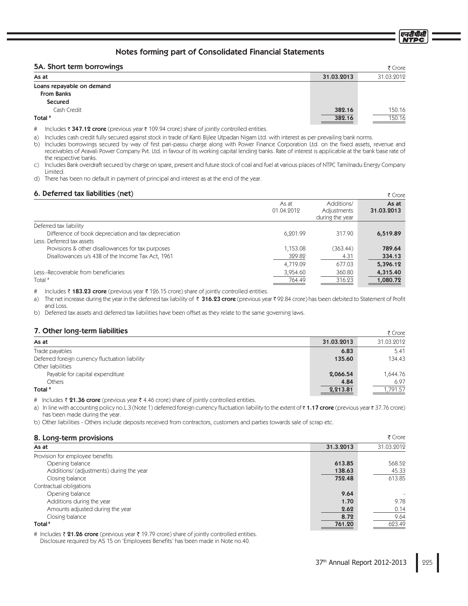# 54 Short term horrowings

| 5A. Short term borrowings |            | ₹ Crore    |
|---------------------------|------------|------------|
| As at                     | 31.03.2013 | 31.03.2012 |
| Loans repayable on demand |            |            |
| <b>From Banks</b>         |            |            |
| Secured                   |            |            |
| Cash Credit               | 382.16     | 150.16     |
| Total #                   | 382.16     | 150.16     |

# Includes ₹ 347.12 crore (previous year ₹ 109.94 crore) share of jointly controlled entities.

a) Includes cash credit fully secured against stock in trade of Kanti Bijlee Utpadan Nigam Ltd. with interest as per prevailing bank norms.

b) Includes borrowings secured by way of first pari-passu charge along with Power Finance Corporation Ltd. on the fixed assets, revenue and receivables of Aravali Power Company Pvt. Ltd. in favour of its working capital lending banks. Rate of interest is applicable at the bank base rate of the respective banks.

Includes Bank overdraft secured by charge on spare, present and future stock of coal and fuel at various places of NTPC Tamilnadu Energy Company  $\mathsf{C}$ ) Limited.

d) There has been no default in payment of principal and interest as at the end of the year.

# A Deferred tay liabilities (net)

|                     |                                              | ז כוטופ             |
|---------------------|----------------------------------------------|---------------------|
| As at<br>01.04.2012 | Additions/<br>Adjustments<br>during the year | As at<br>31.03.2013 |
|                     |                                              |                     |
| 6.201.99            | 317.90                                       | 6,519.89            |
|                     |                                              |                     |
| 1,153.08            | (363.44)                                     | 789.64              |
| 329.82              | 4.31                                         | 334.13              |
| 4,719.09            | 677.03                                       | 5,396.12            |
| 3,954.60            | 360.80                                       | 4,315.40            |
| 764.49              | 316.23                                       | 1,080.72            |
|                     |                                              |                     |

Includes ₹ 183.23 crore (previous year ₹ 126.15 crore) share of jointly controlled entities.  $#$ 

The net increase during the year in the deferred tax liability of ₹ 316.23 crore (previous year ₹ 92.84 crore) has been debited to Statement of Profit a) and Loss.

Deferred tax assets and deferred tax liabilities have been offset as they relate to the same governing laws.  $b)$ 

# 7 Other Iona-term liabilities

| $1.9$ and $101.3$ with navigate                 |            | R CIOIR    |
|-------------------------------------------------|------------|------------|
| As at                                           | 31.03.2013 | 31.03.2012 |
| Trade payables                                  | 6.83       | 5.41       |
| Deferred foreign currency fluctuation liability | 135.60     | 134.43     |
| Other liabilities                               |            |            |
| Payable for capital expenditure                 | 2,066.54   | 1,644.76   |
| <b>Others</b>                                   | 4.84       | 6.97       |
| Total #                                         | 2,213.81   | ,791.57    |

# Includes ₹ 21.36 crore (previous year ₹ 4.46 crore) share of jointly controlled entities.

a) In line with accounting policy no.L.3 (Note 1) deferred foreign currency fluctuation liability to the extent of ₹1.17 crore (previous year ₹37.76 crore) has been made during the year.

b) Other liabilities - Others include deposits received from contractors, customers and parties towards sale of scrap etc.

# <sup>0</sup> Long torm provisions

| <b>O. LUITY-VEITH PROVISIONS</b>         |           | いしいし       |
|------------------------------------------|-----------|------------|
| As at                                    | 31.3.2013 | 31.03.2012 |
| Provision for employee benefits          |           |            |
| Opening balance                          | 613.85    | 568.52     |
| Additions/ (adjustments) during the year | 138.63    | 45.33      |
| Closing balance                          | 752.48    | 613.85     |
| Contractual obligations                  |           |            |
| Opening balance                          | 9.64      |            |
| Additions during the year                | 1.70      | 9.78       |
| Amounts adjusted during the year         | 2.62      | 0.14       |
| Closing balance                          | 8.72      | 9.64       |
| Total <sup>#</sup>                       | 761.20    | 623.49     |

# Includes ₹ 21.26 crore (previous year ₹ 19.79 crore) share of jointly controlled entities. Disclosure required by AS 15 on 'Employees Benefits' has been made in Note no.40.

 $F$  Crore

एनदीपीसी

 $\overline{z}$   $\overline{z}$   $\overline{z}$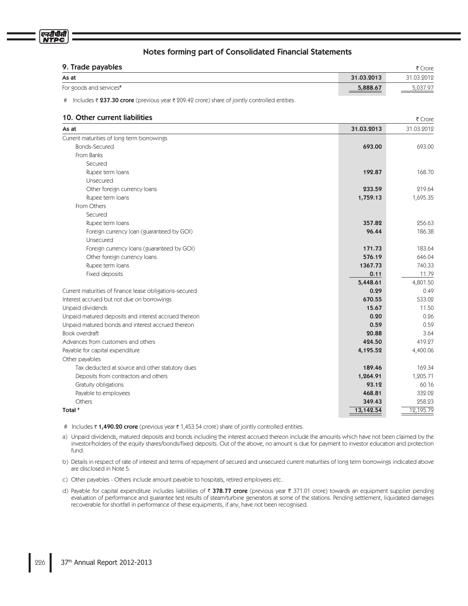| 9. Trade payables       |            | ₹ Crore    |
|-------------------------|------------|------------|
| As at                   | 31.03.2013 | 31.03.2012 |
| For goods and services# | 5,888.67   | 5,037.97   |

# Includes ₹ 237.30 crore (previous year ₹ 209.42 crore) share of jointly controlled entities.

# **10. Other current liabilities**  $\frac{3}{5}C_1 \times 5B_2$

|                                                         |            | $1$ CIOIR  |
|---------------------------------------------------------|------------|------------|
| As at                                                   | 31.03.2013 | 31.03.2012 |
| Current maturities of long term borrowings              |            |            |
| <b>Bonds-Secured</b>                                    | 693.00     | 693.00     |
| From Banks                                              |            |            |
| Secured                                                 |            |            |
| Rupee term loans                                        | 192.87     | 168.70     |
| Unsecured                                               |            |            |
| Other foreign currency loans                            | 233.59     | 219.64     |
| Rupee term loans                                        | 1,759.13   | 1,695.35   |
| From Others                                             |            |            |
| Secured                                                 |            |            |
| Rupee term loans                                        | 357.82     | 256.63     |
| Foreign currency loan (guaranteed by GOI)               | 96.44      | 186.38     |
| Unsecured                                               |            |            |
| Foreign currency loans (guaranteed by GOI)              | 171.73     | 183.64     |
| Other foreign currency loans                            | 576.19     | 646.04     |
| Rupee term loans                                        | 1367.73    | 740.33     |
| Fixed deposits                                          | 0.11       | 11.79      |
|                                                         | 5,448.61   | 4,801.50   |
| Current maturities of finance lease obligations-secured | 0.29       | 0.49       |
| Interest accrued but not due on borrowings              | 670.55     | 533.02     |
| Unpaid dividends                                        | 15.67      | 11.50      |
| Unpaid matured deposits and interest accrued thereon    | 0.20       | 0.26       |
| Unpaid matured bonds and interest accrued thereon       | 0.59       | 0.59       |
| Book overdraft                                          | 20.88      | 3.64       |
| Advances from customers and others                      | 424.50     | 419.27     |
| Payable for capital expenditure                         | 4,195.52   | 4,400.06   |
| Other payables                                          |            |            |
| Tax deducted at source and other statutory dues         | 189.46     | 169.34     |
| Deposits from contractors and others                    | 1,264.91   | 1,205.71   |
| Gratuity obligations                                    | 93.12      | 60.16      |
| Payable to employees                                    | 468.81     | 332.02     |
| Others                                                  | 349.43     | 258.23     |
| Total #                                                 | 13,142.54  | 12,195.79  |
|                                                         |            |            |

- # Includes ₹1,490.20 crore (previous year ₹1,453.54 crore) share of jointly controlled entities.
- a) Unpaid dividends, matured deposits and bonds including the interest accrued thereon include the amounts which have not been claimed by the investor/holders of the equity shares/bonds/fixed deposits. Out of the above, no amount is due for payment to investor education and protection fund.
- b) Details in respect of rate of interest and terms of repayment of secured and unsecured current maturities of long term borrowings indicated above are disclosed in Note 5.
- c) Other payables Others include amount payable to hospitals, retired employees etc..
- d) Payable for capital expenditure includes liabilities of ₹ **378.77 crore** (previous year ₹ 371.01 crore) towards an equipment supplier pending evaluation of performance and guarantee test results of steam/turbine generators at some of the stations. Pending settlement, liquidated damages recoverable for shortfall in performance of these equipments, if any, have not been recognised.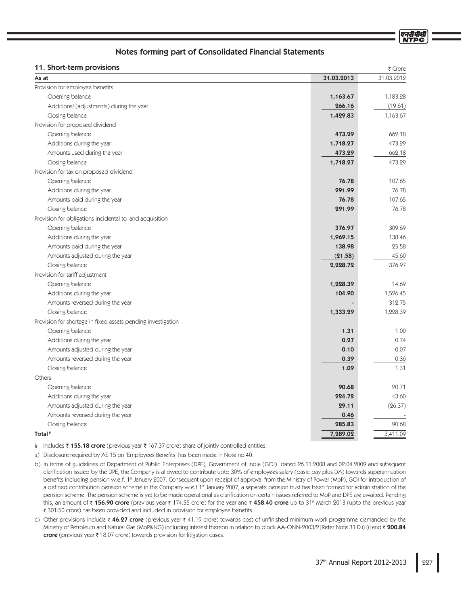एनदीपीर्स

# Notes forming part of Consolidated Financial Statements

| 11. Short-term provisions                                    |            | ₹ Crore    |
|--------------------------------------------------------------|------------|------------|
| As at                                                        | 31.03.2013 | 31.03.2012 |
| Provision for employee benefits                              |            |            |
| Opening balance                                              | 1,163.67   | 1,183.28   |
| Additions/ (adjustments) during the year                     | 266.16     | (19.61)    |
| Closing balance                                              | 1,429.83   | 1,163.67   |
| Provision for proposed dividend                              |            |            |
| Opening balance                                              | 473.29     | 662.18     |
| Additions during the year                                    | 1,718.27   | 473.29     |
| Amounts used during the year                                 | 473.29     | 662.18     |
| Closing balance                                              | 1,718.27   | 473.29     |
| Provision for tax on proposed dividend                       |            |            |
| Opening balance                                              | 76.78      | 107.65     |
| Additions during the year                                    | 291.99     | 76.78      |
| Amounts paid during the year                                 | 76.78      | 107.65     |
| Closing balance                                              | 291.99     | 76.78      |
| Provision for obligations incidental to land acquisition     |            |            |
| Opening balance                                              | 376.97     | 309.69     |
| Additions during the year                                    | 1,969.15   | 138.46     |
| Amounts paid during the year                                 | 138.98     | 25.58      |
| Amounts adjusted during the year                             | (21.58)    | 45.60      |
| Closing balance                                              | 2,228.72   | 376.97     |
| Provision for tariff adjustment                              |            |            |
| Opening balance                                              | 1,228.39   | 14.69      |
| Additions during the year                                    | 104.90     | 1,526.45   |
| Amounts reversed during the year                             |            | 312.75     |
| Closing balance                                              | 1,333.29   | 1,228.39   |
| Provision for shortage in fixed assets pending investigation |            |            |
| Opening balance                                              | 1.31       | 1.00       |
| Additions during the year                                    | 0.27       | 0.74       |
| Amounts adjusted during the year                             | 0.10       | 0.07       |
| Amounts reversed during the year                             | 0.39       | 0.36       |
| Closing balance                                              | 1.09       | 1.31       |
| Others                                                       |            |            |
| Opening balance                                              | 90.68      | 20.71      |
| Additions during the year                                    | 224.72     | 43.60      |
| Amounts adjusted during the year                             | 29.11      | (26.37)    |
| Amounts reversed during the year                             | 0.46       |            |
| Closing balance                                              | 285.83     | 90.68      |
| Total <sup>#</sup>                                           | 7,289.02   | 3,411.09   |

# Includes ₹ **155.18 crore** (previous year ₹ 167.37 crore) share of jointly controlled entities.

a) Disclosure required by AS 15 on 'Employees Benefits' has been made in Note no.40.

- b) In terms of guidelines of Department of Public Enterprises (DPE), Government of India (GOI) dated 26.11.2008 and 02.04.2009 and subsquent clarification issued by the DPE, the Company is allowed to contribute upto 30% of employees salary (basic pay plus DA) towards superannuation benefits including pension w.e.f. 1st January 2007. Consequent upon receipt of approval from the Ministry of Power (MoP), GOI for introduction of a defined contribution pension scheme in the Company w.e.f 1<sup>st</sup> January 2007, a separate pension trust has been formed for administration of the pension scheme. The pension scheme is yet to be made operational as clarification on certain issues referred to MoP and DPE are awaited. Pending this, an amount of ₹ **156.90 crore** (previous year ₹ 174.55 crore) for the year and ₹ **458.40 crore** up to 31st March 2013 (upto the previous year ₹ 301.50 crore) has been provided and included in provision for employee benefits.
- c) Other provisions include ₹ 46.27 crore (previous year ₹ 41.19 crore) towards cost of unfinished minimum work programme demanded by the Ministry of Petroleum and Natural Gas (MoP&NG) including interest thereon in relation to block AA-ONN-2003/2 [Refer Note 31 D (ii)] and ₹ **200.84** crore (previous year  $\bar{\tau}$  18.07 crore) towards provision for litigation cases.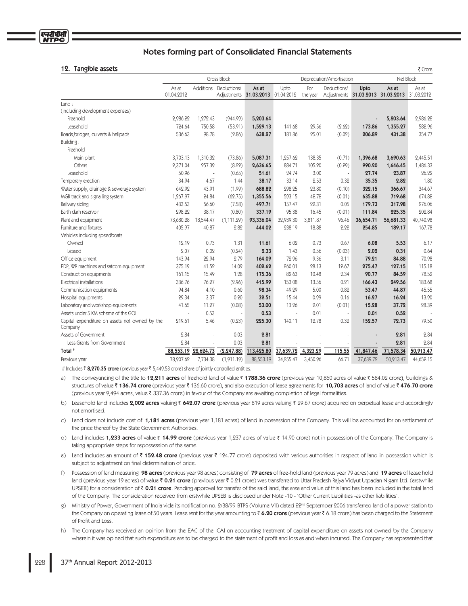#### 10 Tangible accete

| <b>Tangible assets</b><br>12.                             |                     |           |                       |                                            |           |                 |                                        |                |                                                       | ₹ Crore   |
|-----------------------------------------------------------|---------------------|-----------|-----------------------|--------------------------------------------|-----------|-----------------|----------------------------------------|----------------|-------------------------------------------------------|-----------|
|                                                           | Gross Block         |           |                       |                                            |           |                 | Net Block<br>Depreciation/Amortisation |                |                                                       |           |
|                                                           | As at<br>01.04.2012 |           | Additions Deductions/ | As at<br>Adjustments 31.03.2013 01.04.2012 | Upto      | For<br>the year | Deductions/                            | Upto           | As at<br>Adjustments 31.03.2013 31.03.2013 31.03.2012 | As at     |
| Land:                                                     |                     |           |                       |                                            |           |                 |                                        |                |                                                       |           |
| (including development expenses)                          |                     |           |                       |                                            |           |                 |                                        |                |                                                       |           |
| Freehold                                                  | 2,986.22            | 1,272.43  | (944.99)              | 5,203.64                                   |           |                 |                                        | $\blacksquare$ | 5,203.64                                              | 2,986.22  |
| Leasehold                                                 | 724.64              | 750.58    | (53.91)               | 1,529.13                                   | 141.68    | 29.56           | (2.62)                                 | 173.86         | 1,355.27                                              | 582.96    |
| Roads, bridges, culverts & helipads                       | 536.63              | 98.78     | (2.86)                | 638.27                                     | 181.86    | 25.01           | (0.02)                                 | 206.89         | 431.38                                                | 354.77    |
| Building:                                                 |                     |           |                       |                                            |           |                 |                                        |                |                                                       |           |
| Freehold                                                  |                     |           |                       |                                            |           |                 |                                        |                |                                                       |           |
| Main plant                                                | 3,703.13            | 1,310.32  | (73.86)               | 5,087.31                                   | 1,257.62  | 138.35          | (0.71)                                 | 1,396.68       | 3,690.63                                              | 2,445.51  |
| Others                                                    | 2,371.04            | 257.39    | (8.22)                | 2,636.65                                   | 884.71    | 105.20          | (0.29)                                 | 990.20         | 1,646.45                                              | 1,486.33  |
| Leasehold                                                 | 50.96               |           | (0.65)                | 51.61                                      | 24.74     | 3.00            | $\sim$                                 | 27.74          | 23.87                                                 | 26.22     |
| Temporary erection                                        | 34.94               | 4.67      | 1.44                  | 38.17                                      | 33.14     | 2.53            | 0.32                                   | 35.35          | 2.82                                                  | 1.80      |
| Water supply, drainage & sewerage system                  | 642.92              | 43.91     | (1.99)                | 688.82                                     | 298.25    | 23.80           | (0.10)                                 | 322.15         | 366.67                                                | 344.67    |
| MGR track and signalling system                           | 1,267.97            | 24.84     | (62.75)               | 1,355.56                                   | 593.15    | 42.72           | (0.01)                                 | 635.88         | 719.68                                                | 674.82    |
| Railway siding                                            | 433.53              | 56.60     | (7.58)                | 497.71                                     | 157.47    | 22.31           | 0.05                                   | 179.73         | 317.98                                                | 276.06    |
| Earth dam reservoir                                       | 298.22              | 38.17     | (0.80)                | 337.19                                     | 95.38     | 16.45           | (0.01)                                 | 111.84         | 225.35                                                | 202.84    |
| Plant and equipment                                       | 73,680.28           | 18,544.47 | (1, 111.29)           | 93,336.04                                  | 32,939.30 | 3,811.87        | 96.46                                  | 36,654.71      | 56,681.33                                             | 40,740.98 |
| Furniture and fixtures                                    | 405.97              | 40.87     | 2.82                  | 444.02                                     | 238.19    | 18.88           | 2.22                                   | 254.85         | 189.17                                                | 167.78    |
| Vehicles including speedboats                             |                     |           |                       |                                            |           |                 |                                        |                |                                                       |           |
| Owned                                                     | 12.19               | 0.73      | 1.31                  | 11.61                                      | 6.02      | 0.73            | 0.67                                   | 6.08           | 5.53                                                  | 6.17      |
| Leased                                                    | 2.07                | 0.02      | (0.24)                | 2.33                                       | 1.43      | 0.56            | (0.03)                                 | 2.02           | 0.31                                                  | 0.64      |
| Office equipment                                          | 143.94              | 22.94     | 2.79                  | 164.09                                     | 72.96     | 9.36            | 3.11                                   | 79.21          | 84.88                                                 | 70.98     |
| EDP, WP machines and satcom equipment                     | 375.19              | 41.52     | 14.09                 | 402.62                                     | 260.01    | 28.13           | 12.67                                  | 275.47         | 127.15                                                | 115.18    |
| Construction equipments                                   | 161.15              | 15.49     | 1.28                  | 175.36                                     | 82.63     | 10.48           | 2.34                                   | 90.77          | 84.59                                                 | 78.52     |
| Electrical installations                                  | 336.76              | 76.27     | (2.96)                | 415.99                                     | 153.08    | 13.56           | 0.21                                   | 166.43         | 249.56                                                | 183.68    |
| Communication equipments                                  | 94.84               | 4.10      | 0.60                  | 98.34                                      | 49.29     | 5.00            | 0.82                                   | 53.47          | 44.87                                                 | 45.55     |
| Hospital equipments                                       | 29.34               | 3.37      | 0.20                  | 32.51                                      | 15.44     | 0.99            | 0.16                                   | 16.27          | 16.24                                                 | 13.90     |
| Laboratory and workshop equipments                        | 41.65               | 11.27     | (0.08)                | 53.00                                      | 13.26     | 2.01            | (0.01)                                 | 15.28          | 37.72                                                 | 28.39     |
| Assets under 5 KM scheme of the GOI                       |                     | 0.53      | ł,                    | 0.53                                       | ä,        | 0.01            | $\sim$                                 | 0.01           | 0.52                                                  |           |
| Capital expenditure on assets not owned by the<br>Company | 219.61              | 5.46      | (0.23)                | 225.30                                     | 140.11    | 12.78           | 0.32                                   | 152.57         | 72.73                                                 | 79.50     |
| Assets of Government                                      | 2.84                |           | 0.03                  | 2.81                                       |           |                 |                                        |                | 2.81                                                  | 2.84      |
| Less:Grants from Government                               | 2.84                |           | 0.03                  | 2.81                                       |           |                 |                                        |                | 2.81                                                  | 2.84      |
| Total <sup>#</sup>                                        | 88,553.19           | 22,624.73 | (2, 247.88)           | 113,425.80                                 | 37,639.72 | 4,323.29        | 115.55                                 | 41,847.46      | 71,578.34                                             | 50,913.47 |
| Previous year                                             | 78,907.62           | 7,734.38  | (1,911.19)            | 88,553.19                                  | 34,255.47 | 3,450.96        | 66.71                                  | 37,639.72      | 50,913.47                                             | 44,652.15 |

# Includes ₹ 8,270.35 crore (previous year ₹ 5,449.53 crore) share of jointly controlled entities.

a) The conveyancing of the title to 12,211 acres of freehold land of value ₹1788.36 crore (previous year 10,860 acres of value ₹584.02 crore), buildings & structures of value ₹136.74 crore (previous year ₹136.60 crore), and also execution of lease agreements for 10,703 acres of land of value ₹476.70 crore (previous year 9,494 acres, value ₹ 337.36 crore) in favour of the Company are awaiting completion of legal formalities.

b) Leasehold land includes 2,002 acres valuing ₹ 642.07 crore (previous year 819 acres valuing ₹ 29.67 crore) acquired on perpetual lease and accordingly not amortised

c) Land does not include cost of 1,181 acres (previous year 1,181 acres) of land in possession of the Company. This will be accounted for on settlement of the price thereof by the State Government Authorities.

d) Land includes 1,233 acres of value ₹ 14.99 crore (previous year 1,237 acres of value ₹ 14.90 crore) not in possession of the Company. The Company is taking appropriate steps for repossession of the same.

e) Land includes an amount of ₹152.48 crore (previous year ₹124.77 crore) deposited with various authorities in respect of land in possession which is subject to adjustment on final determination of price.

- Possession of land measuring 98 acres (previous year 98 acres) consisting of 79 acres of free-hold land (previous year 79 acres) and 19 acres of lease hold  $f$ land (previous year 19 acres) of value ₹ 0.21 crore (previous year ₹ 0.21 crore) was transferred to Uttar Pradesh Rajya Vidyut Utpadan Nigam Ltd. (erstwhile UPSEB) for a consideration of ₹0.21 crore. Pending approval for transfer of the said land, the area and value of this land has been included in the total land of the Company. The consideration received from erstwhile UPSEB is disclosed under Note -10 - 'Other Current Liabilities -as other liabilities'
- g) Ministry of Power, Government of India vide its notification no. 2/38/99-BTPS (Volume VII) dated 22<sup>nd</sup> September 2006 transferred land of a power station to the Company on operating lease of 50 years. Lease rent for the year amounting to ₹6.20 crore (previous year ₹6.18 crore) has been charged to the Statement of Profit and Loss
- h) The Company has received an opinion from the EAC of the ICAI on accounting treatment of capital expenditure on assets not owned by the Company wherein it was opined that such expenditure are to be charged to the statement of profit and loss as and when incurred. The Company has represented that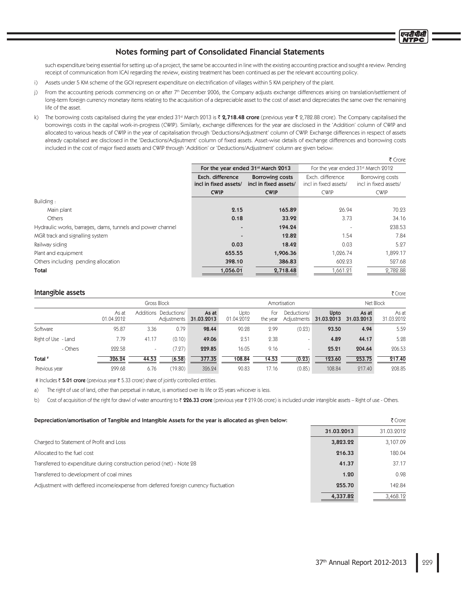such expenditure being essential for setting up of a project, the same be accounted in line with the existing accounting practice and sought a review. Pending receipt of communication from ICAI regarding the review, existing treatment has been continued as per the relevant accounting policy.

- i) Assets under 5 KM scheme of the GOI represent expenditure on electrification of villages within 5 KM periphery of the plant.
- j) From the accounting periods commencing on or after 7th December 2006, the Company adjusts exchange differences arising on translation/settlement of long-term foreign currency monetary items relating to the acquisition of a depreciable asset to the cost of asset and depreciates the same over the remaining life of the asset.
- k) The borrowing costs capitalised during the year ended 31<sup>st</sup> March 2013 is ₹ 2,718.48 crore (previous year ₹ 2,782.88 crore). The Company capitalised the borrowings costs in the capital work-in-progress (CWIP). Similarly, exchange differences for the year are disclosed in the 'Addition' column of CWIP and allocated to various heads of CWIP in the year of capitalisation through 'Deductions/Adjustment' column of CWIP. Exchange differences in respect of assets already capitalised are disclosed in the 'Deductions/Adjsutment' column of fixed assets. Asset-wise details of exchange differences and borrowing costs included in the cost of major fixed assets and CWIP through 'Addition' or 'Deductions/Adjustment' column are given below:

|                                                            |                                                                                              |                                                |                                           | $\sim$                                   |
|------------------------------------------------------------|----------------------------------------------------------------------------------------------|------------------------------------------------|-------------------------------------------|------------------------------------------|
|                                                            |                                                                                              | For the year ended 31 <sup>st</sup> March 2013 | For the year ended 31st March 2012        |                                          |
|                                                            | Exch. difference<br><b>Borrowing costs</b><br>incl in fixed assets/<br>incl in fixed assets/ |                                                | Exch. difference<br>incl in fixed assets/ | Borrowing costs<br>incl in fixed assets/ |
|                                                            | <b>CWIP</b>                                                                                  | <b>CWIP</b>                                    | <b>CWIP</b>                               | <b>CWIP</b>                              |
| Building:                                                  |                                                                                              |                                                |                                           |                                          |
| Main plant                                                 | 2.15                                                                                         | 165.89                                         | 26.94                                     | 70.23                                    |
| Others                                                     | 0.18                                                                                         | 33.92                                          | 3.73                                      | 34.16                                    |
| Hydraulic works, barrages, dams, tunnels and power channel |                                                                                              | 194.24                                         |                                           | 238.53                                   |
| MGR track and signalling system                            |                                                                                              | 12.82                                          | 1.54                                      | 7.84                                     |
| Railway siding                                             | 0.03                                                                                         | 18.42                                          | 0.03                                      | 5.27                                     |
| Plant and equipment                                        | 655.55                                                                                       | 1,906.36                                       | 1,026.74                                  | 1,899.17                                 |
| Others including pending allocation                        | 398.10                                                                                       | 386.83                                         | 602.23                                    | 527.68                                   |
| Total                                                      | 1,056.01                                                                                     | 2,718.48                                       | 1,661.21                                  | 2,782.88                                 |

#### Intangible assets

|                     |                     |       | Gross Block                          |                     | Amortisation       |                 |                            |                    | Net Block           |                     |  |
|---------------------|---------------------|-------|--------------------------------------|---------------------|--------------------|-----------------|----------------------------|--------------------|---------------------|---------------------|--|
|                     | As at<br>01.04.2012 |       | Additions Deductions/<br>Adjustments | As at<br>31.03.2013 | Upto<br>01.04.2012 | For<br>the year | Deductions/<br>Adjustments | Upto<br>31.03.2013 | As at<br>31.03.2013 | As at<br>31.03.2012 |  |
| Software            | 95.87               | 3.36  | 0.79                                 | 98.44               | 90.28              | 2.99            | (0.23)                     | 93.50              | 4.94                | 5.59                |  |
| Right of Use - Land | 7.79                | 41.17 | (0.10)                               | 49.06               | 2.51               | 2.38            |                            | 4.89               | 44.17               | 5.28                |  |
| - Others            | 222.58              | ٠     | (7.27)                               | 229.85              | 16.05              | 9.16            | $\sim$                     | 25.21              | 204.64              | 206.53              |  |
| Total <sup>#</sup>  | 326.24              | 44.53 | (6.58)                               | 377.35              | 108.84             | 14.53           | (0.23)                     | 123.60             | 253.75              | 217.40              |  |
| Previous year       | 299.68              | 6.76  | (19.80)                              | 326.24              | 90.83              | 17.16           | (0.85)                     | 108.84             | 217.40              | 208.85              |  |

# Includes ₹ 5.01 crore (previous year ₹ 5.33 crore) share of jointly controlled entities.

a) The right of use of land, other than perpetual in nature, is amortised over its life or 25 years whicever is less.

b) Cost of acquisition of the right for drawl of water amounting to ₹ 226.33 crore (previous year ₹ 219.06 crore) is included under intangible assets - Right of use - Others.

| Depreciation/amortisation of Tangible and Intangible Assets for the year is allocated as given below: | ₹ Crore    |            |  |
|-------------------------------------------------------------------------------------------------------|------------|------------|--|
|                                                                                                       | 31.03.2013 | 31.03.2012 |  |
| Charged to Statement of Profit and Loss                                                               | 3,823.22   | 3.107.09   |  |
| Allocated to the fuel cost                                                                            | 216.33     | 180.04     |  |
| Transferred to expenditure during construction period (net) - Note 28                                 | 41.37      | 37.17      |  |
| Transferred to development of coal mines                                                              | 1.20       | 0.98       |  |
| Adjustment with deffered income/expense from deferred foreign currency fluctuation                    | 255.70     | 142.84     |  |
|                                                                                                       | 4,337.82   | 3.468.12   |  |

एनटी पीक्ष

 $F$  Cross

₹ Crore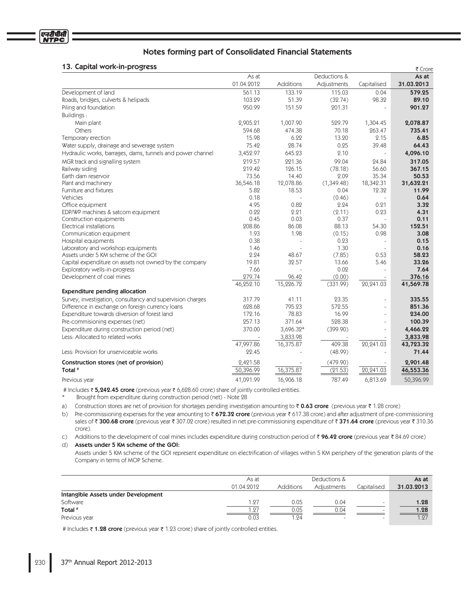# 12 Capital work-in-progress

| בסיוצטוק־ווו־חוטיונסט גו                                   |            |           |              |                | र Crore    |
|------------------------------------------------------------|------------|-----------|--------------|----------------|------------|
|                                                            | As at      |           | Deductions & |                | As at      |
|                                                            | 01.04.2012 | Additions | Adjustments  | Capitalised    | 31.03.2013 |
| Development of land                                        | 561.13     | 133.19    | 115.03       | 0.04           | 579.25     |
| Roads, bridges, culverts & helipads                        | 103.29     | 51.39     | (32.74)      | 98.32          | 89.10      |
| Piling and foundation                                      | 950.99     | 151.59    | 201.31       | $\overline{a}$ | 901.27     |
| Buildings:                                                 |            |           |              |                |            |
| Main plant                                                 | 2,905.21   | 1,007.90  | 529.79       | 1,304.45       | 2,078.87   |
| <b>Others</b>                                              | 594.68     | 474.38    | 70.18        | 263.47         | 735.41     |
| Temporary erection                                         | 15.98      | 6.22      | 13.20        | 2.15           | 6.85       |
| Water supply, drainage and sewerage system                 | 75.42      | 28.74     | 0.25         | 39.48          | 64.43      |
| Hydraulic works, barrages, dams, tunnels and power channel | 3,452.97   | 645.23    | 2.10         |                | 4,096.10   |
| MGR track and signalling system                            | 219.57     | 221.36    | 99.04        | 24.84          | 317.05     |
| Railway siding                                             | 219.42     | 126.15    | (78.18)      | 56.60          | 367.15     |
| Earth dam reservoir                                        | 73.56      | 14.40     | 2.09         | 35.34          | 50.53      |
| Plant and machinery                                        | 36,546.18  | 12,078.86 | (1,349.48)   | 18,342.31      | 31,632.21  |
| Furniture and fixtures                                     | 5.82       | 18.53     | 0.04         | 12.32          | 11.99      |
| Vehicles                                                   | 0.18       |           | (0.46)       |                | 0.64       |
| Office equipment                                           | 4.95       | 0.82      | 2.24         | 0.21           | 3.32       |
| EDP/WP machines & satcom equipment                         | 0.22       | 2.21      | (2.11)       | 0.23           | 4.31       |
| Construction equipments                                    | 0.45       | 0.03      | 0.37         | $\equiv$       | 0.11       |
| Electrical installations                                   | 208.86     | 86.08     | 88.13        | 54.30          | 152.51     |
| Communication equipment                                    | 1.93       | 1.98      | (0.15)       | 0.98           | 3.08       |
| Hospital equipments                                        | 0.38       |           | 0.23         |                | 0.15       |
| Laboratory and workshop equipments                         | 1.46       |           | 1.30         |                | 0.16       |
| Assets under 5 KM scheme of the GOI                        | 2.24       | 48.67     | (7.85)       | 0.53           | 58.23      |
| Capital expenditure on assets not owned by the company     | 19.81      | 32.57     | 13.66        | 5.46           | 33.26      |
| Exploratory wells-in-progress                              | 7.66       |           | 0.02         |                | 7.64       |
| Development of coal mines                                  | 279.74     | 96.42     | (0.00)       |                | 376.16     |
|                                                            | 46,252.10  | 15,226.72 | (331.99)     | 20,241.03      | 41,569.78  |
| <b>Expenditure pending allocation</b>                      |            |           |              |                |            |
| Survey, investigation, consultancy and supervision charges | 317.79     | 41.11     | 23.35        | L.             | 335.55     |
| Difference in exchange on foreign currency loans           | 628.68     | 795.23    | 572.55       | $\overline{a}$ | 851.36     |
| Expenditure towards diversion of forest land               | 172.16     | 78.83     | 16.99        | $\overline{a}$ | 234.00     |
| Pre-commisioning expenses (net)                            | 257.13     | 371.64    | 528.38       | L.             | 100.39     |
| Expenditure during construction period (net)               | 370.00     | 3,696.32* | (399.90)     | L.             | 4,466.22   |
| Less: Allocated to related works                           |            | 3,833.98  |              |                | 3,833.98   |
|                                                            | 47,997.86  | 16,375.87 | 409.38       | 20,241.03      | 43,723.32  |
| Less: Provision for unserviceable works                    | 22.45      |           | (48.99)      |                | 71.44      |
| Construction stores (net of provision)                     | 2,421.58   |           | (479.90)     |                | 2,901.48   |
| Total <sup>#</sup>                                         | 50,396.99  | 16,375.87 | (21.53)      | 20,241.03      | 46,553.36  |
| Previous year                                              | 41,091.99  | 16,906.18 | 787.49       | 6,813.69       | 50,396.99  |

# Includes ₹ 5,242.45 crore (previous year ₹ 6,628.60 crore) share of jointly controlled entities.

 $\ast$ Brought from expenditure during construction period (net) - Note 28

a) Construction stores are net of provision for shortages pending investigation amounting to  $\bar{\zeta}$  0.63 crore (previous year  $\bar{\zeta}$  1.98 crore)

b) Pre-commissioning expenses for the year amounting to  $\bar{\zeta}$  672.32 crore (previous year  $\bar{\zeta}$  617.38 crore) and after adjustment of pre-commissioning sales of ₹300.68 crore (previous year ₹307.02 crore) resulted in net pre-commissioning expenditure of ₹371.64 crore (previous year ₹310.36 crore).

c) Additions to the development of coal mines includes expenditure during construction period of ₹ 96.42 crore (previous year ₹ 84.69 crore)

d) Assets under 5 KM scheme of the GOI:

Assets under 5 KM scheme of the GOI represent expenditure on electrification of villages within 5 KM periphery of the generation plants of the Company in terms of MOP Scheme.

|                                     | As at      |                  | Deductions & |             | As at      |
|-------------------------------------|------------|------------------|--------------|-------------|------------|
|                                     | 01.04.2012 | <b>Additions</b> | Adjustments  | Capitalised | 31.03.2013 |
| Intangible Assets under Development |            |                  |              |             |            |
| Software                            | 1.27       | 0.05             | 0.04         |             | 1.28       |
| Total #                             | 1.27       | 0.05             | 0.04         |             | 1.28       |
| Previous year                       | 0.03       | .94              |              |             | 1.27       |

# Includes ₹ 1.28 crore (previous year ₹ 1.23 crore) share of jointly controlled entities.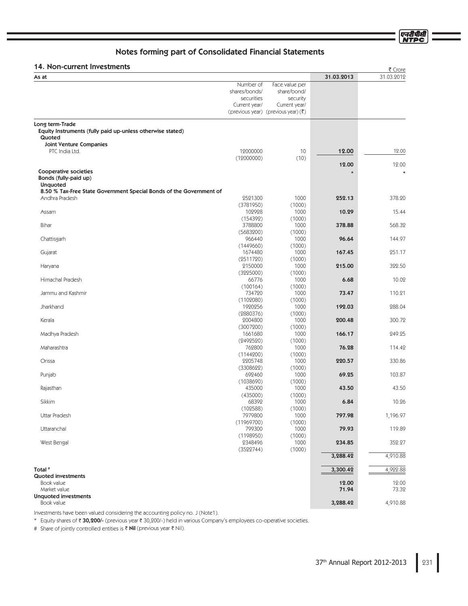एन<u>री</u>पीसी **NTPC** 

# Notes forming part of Consolidated Financial Statements

# 14. Non-current Investments

| ו אי ואטוו-רעווופווג ווואפטנוופוונא                                                   |                      |                                                                  |            | ₹ Crore    |
|---------------------------------------------------------------------------------------|----------------------|------------------------------------------------------------------|------------|------------|
| As at                                                                                 |                      |                                                                  | 31.03.2013 | 31.03.2012 |
|                                                                                       | Number of            | Face value per                                                   |            |            |
|                                                                                       | shares/bonds/        | share/bond/                                                      |            |            |
|                                                                                       | securities           | security                                                         |            |            |
|                                                                                       | Current year/        | Current year/<br>(previous year) (previous year) $(\bar{\zeta})$ |            |            |
|                                                                                       |                      |                                                                  |            |            |
| Long term-Trade                                                                       |                      |                                                                  |            |            |
| Equity Instruments (fully paid up-unless otherwise stated)                            |                      |                                                                  |            |            |
| Quoted                                                                                |                      |                                                                  |            |            |
| <b>Joint Venture Companies</b><br>PTC India Ltd.                                      | 12000000             | 10                                                               | 12.00      | 12.00      |
|                                                                                       | (12000000)           | (10)                                                             |            |            |
|                                                                                       |                      |                                                                  | 12.00      | 12.00      |
| Cooperative societies                                                                 |                      |                                                                  |            | $\ast$     |
| Bonds (fully-paid up)                                                                 |                      |                                                                  |            |            |
| <b>Unquoted</b>                                                                       |                      |                                                                  |            |            |
| 8.50 % Tax-Free State Government Special Bonds of the Government of<br>Andhra Pradesh | 2521300              | 1000                                                             | 252.13     | 378.20     |
|                                                                                       | (3781950)            | (1000)                                                           |            |            |
| Assam                                                                                 | 102928               | 1000                                                             | 10.29      | 15.44      |
|                                                                                       | (154392)             | (1000)                                                           |            |            |
| Bihar                                                                                 | 3788800              | 1000                                                             | 378.88     | 568.32     |
|                                                                                       | (5683200)            | (1000)                                                           |            |            |
| Chattisgarh                                                                           | 966440               | 1000                                                             | 96.64      | 144.97     |
|                                                                                       | (1449660)            | (1000)                                                           |            |            |
| Gujarat                                                                               | 1674480              | 1000                                                             | 167.45     | 251.17     |
|                                                                                       | (2511720)<br>2150000 | (1000)<br>1000                                                   | 215.00     | 322.50     |
| Haryana                                                                               | (3225000)            | (1000)                                                           |            |            |
| Himachal Pradesh                                                                      | 66776                | 1000                                                             | 6.68       | 10.02      |
|                                                                                       | (100164)             | (1000)                                                           |            |            |
| Jammu and Kashmir                                                                     | 734720               | 1000                                                             | 73.47      | 110.21     |
|                                                                                       | (1102080)            | (1000)                                                           |            |            |
| Jharkhand                                                                             | 1920256              | 1000                                                             | 192.03     | 288.04     |
|                                                                                       | (2880376)            | (1000)                                                           |            |            |
| Kerala                                                                                | 2004800              | 1000                                                             | 200.48     | 300.72     |
| Madhya Pradesh                                                                        | (3007200)<br>1661680 | (1000)<br>1000                                                   | 166.17     | 249.25     |
|                                                                                       | (2492520)            | (1000)                                                           |            |            |
| Maharashtra                                                                           | 762800               | 1000                                                             | 76.28      | 114.42     |
|                                                                                       | (1144200)            | (1000)                                                           |            |            |
| Orissa                                                                                | 2205748              | 1000                                                             | 220.57     | 330.86     |
|                                                                                       | (3308622)            | (1000)                                                           |            |            |
| Punjab                                                                                | 692460               | 1000                                                             | 69.25      | 103.87     |
| Rajasthan                                                                             | (1038690)<br>435000  | (1000)<br>1000                                                   | 43.50      | 43.50      |
|                                                                                       | (435000)             | (1000)                                                           |            |            |
| Sikkim                                                                                | 68392                | 1000                                                             | 6.84       | 10.26      |
|                                                                                       | (102588)             | (1000)                                                           |            |            |
| Uttar Pradesh                                                                         | 7979800              | 1000                                                             | 797.98     | 1,196.97   |
|                                                                                       | (11969700)           | (1000)                                                           |            |            |
| Uttaranchal                                                                           | 799300               | 1000                                                             | 79.93      | 119.89     |
|                                                                                       | (1198950)            | (1000)                                                           |            |            |
| West Bengal                                                                           | 2348496              | 1000                                                             | 234.85     | 352.27     |
|                                                                                       | (3522744)            | (1000)                                                           | 3,288.42   | 4,910.88   |
|                                                                                       |                      |                                                                  |            |            |
| Total #                                                                               |                      |                                                                  | 3,300.42   | 4,922.88   |
| <b>Quoted investments</b>                                                             |                      |                                                                  |            |            |
| Book value                                                                            |                      |                                                                  | 12.00      | 12.00      |
| Market value                                                                          |                      |                                                                  | 71.94      | 73.32      |
| <b>Unquoted investments</b>                                                           |                      |                                                                  |            | 4,910.88   |
| Book value                                                                            |                      |                                                                  | 3,288.42   |            |

Investments have been valued considering the accounting policy no. J (Note1).

\* Equity shares of ₹30,200/- (previous year ₹30,200/-) held in various Company's employees co-operative societies.

# Share of jointly controlled entities is ₹ Nil (previous year ₹ Nil).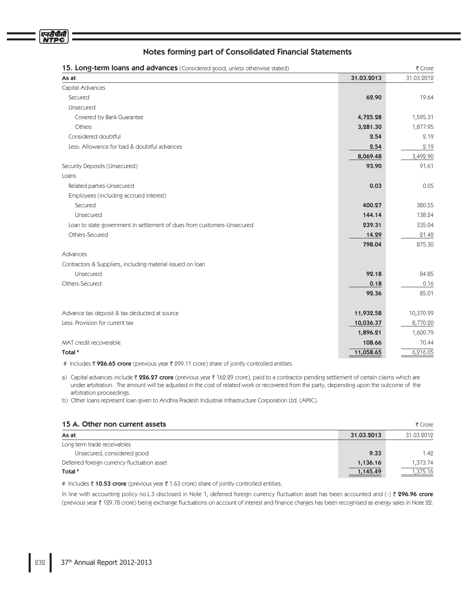

| 31.03.2012<br>31.03.2013<br>As at<br>Capital Advances<br>Secured<br>62.90<br>19.64<br>Unsecured<br>Covered by Bank Guarantee<br>4,725.28<br>1,595.31<br>Others<br>3,281.30<br>1,877.95<br>Considered doubtful<br>2.54<br>2.19<br>Less: Allowance for bad & doubtful advances<br>2.19<br>2.54<br>3,492.90<br>8,069.48<br>91.61<br>Security Deposits (Unsecured)<br>93.90<br>Loans<br>0.05<br>Related parties-Unsecured<br>0.03<br>Employees (including accrued interest)<br>Secured<br>400.27<br>380.55<br>144.14<br>Unsecured<br>138.24<br>Loan to state government in settlement of dues from customers-Unsecured<br>239.31<br>335.04<br>Others-Secured<br>14.29<br>21.42<br>875.30<br>798.04<br>Advances<br>Contractors & Suppliers, including material issued on loan<br>Unsecured<br>92.18<br>84.85<br>Others-Secured<br>0.16<br>0.18<br>85.01<br>92.36<br>Advance tax deposit & tax deducted at source<br>11,932.58<br>10,370.99<br>Less: Provision for current tax<br>8,770.20<br>10,036.37<br>1,896.21<br>1,600.79<br>MAT credit recoverable<br>108.66<br>70.44<br>Total #<br>11,058.65<br>6,216.05 | 15. Long-term loans and advances (Considered good, unless otherwise stated) | ₹ Crore |
|------------------------------------------------------------------------------------------------------------------------------------------------------------------------------------------------------------------------------------------------------------------------------------------------------------------------------------------------------------------------------------------------------------------------------------------------------------------------------------------------------------------------------------------------------------------------------------------------------------------------------------------------------------------------------------------------------------------------------------------------------------------------------------------------------------------------------------------------------------------------------------------------------------------------------------------------------------------------------------------------------------------------------------------------------------------------------------------------------------|-----------------------------------------------------------------------------|---------|
|                                                                                                                                                                                                                                                                                                                                                                                                                                                                                                                                                                                                                                                                                                                                                                                                                                                                                                                                                                                                                                                                                                            |                                                                             |         |
|                                                                                                                                                                                                                                                                                                                                                                                                                                                                                                                                                                                                                                                                                                                                                                                                                                                                                                                                                                                                                                                                                                            |                                                                             |         |
|                                                                                                                                                                                                                                                                                                                                                                                                                                                                                                                                                                                                                                                                                                                                                                                                                                                                                                                                                                                                                                                                                                            |                                                                             |         |
|                                                                                                                                                                                                                                                                                                                                                                                                                                                                                                                                                                                                                                                                                                                                                                                                                                                                                                                                                                                                                                                                                                            |                                                                             |         |
|                                                                                                                                                                                                                                                                                                                                                                                                                                                                                                                                                                                                                                                                                                                                                                                                                                                                                                                                                                                                                                                                                                            |                                                                             |         |
|                                                                                                                                                                                                                                                                                                                                                                                                                                                                                                                                                                                                                                                                                                                                                                                                                                                                                                                                                                                                                                                                                                            |                                                                             |         |
|                                                                                                                                                                                                                                                                                                                                                                                                                                                                                                                                                                                                                                                                                                                                                                                                                                                                                                                                                                                                                                                                                                            |                                                                             |         |
|                                                                                                                                                                                                                                                                                                                                                                                                                                                                                                                                                                                                                                                                                                                                                                                                                                                                                                                                                                                                                                                                                                            |                                                                             |         |
|                                                                                                                                                                                                                                                                                                                                                                                                                                                                                                                                                                                                                                                                                                                                                                                                                                                                                                                                                                                                                                                                                                            |                                                                             |         |
|                                                                                                                                                                                                                                                                                                                                                                                                                                                                                                                                                                                                                                                                                                                                                                                                                                                                                                                                                                                                                                                                                                            |                                                                             |         |
|                                                                                                                                                                                                                                                                                                                                                                                                                                                                                                                                                                                                                                                                                                                                                                                                                                                                                                                                                                                                                                                                                                            |                                                                             |         |
|                                                                                                                                                                                                                                                                                                                                                                                                                                                                                                                                                                                                                                                                                                                                                                                                                                                                                                                                                                                                                                                                                                            |                                                                             |         |
|                                                                                                                                                                                                                                                                                                                                                                                                                                                                                                                                                                                                                                                                                                                                                                                                                                                                                                                                                                                                                                                                                                            |                                                                             |         |
|                                                                                                                                                                                                                                                                                                                                                                                                                                                                                                                                                                                                                                                                                                                                                                                                                                                                                                                                                                                                                                                                                                            |                                                                             |         |
|                                                                                                                                                                                                                                                                                                                                                                                                                                                                                                                                                                                                                                                                                                                                                                                                                                                                                                                                                                                                                                                                                                            |                                                                             |         |
|                                                                                                                                                                                                                                                                                                                                                                                                                                                                                                                                                                                                                                                                                                                                                                                                                                                                                                                                                                                                                                                                                                            |                                                                             |         |
|                                                                                                                                                                                                                                                                                                                                                                                                                                                                                                                                                                                                                                                                                                                                                                                                                                                                                                                                                                                                                                                                                                            |                                                                             |         |
|                                                                                                                                                                                                                                                                                                                                                                                                                                                                                                                                                                                                                                                                                                                                                                                                                                                                                                                                                                                                                                                                                                            |                                                                             |         |
|                                                                                                                                                                                                                                                                                                                                                                                                                                                                                                                                                                                                                                                                                                                                                                                                                                                                                                                                                                                                                                                                                                            |                                                                             |         |
|                                                                                                                                                                                                                                                                                                                                                                                                                                                                                                                                                                                                                                                                                                                                                                                                                                                                                                                                                                                                                                                                                                            |                                                                             |         |
|                                                                                                                                                                                                                                                                                                                                                                                                                                                                                                                                                                                                                                                                                                                                                                                                                                                                                                                                                                                                                                                                                                            |                                                                             |         |
|                                                                                                                                                                                                                                                                                                                                                                                                                                                                                                                                                                                                                                                                                                                                                                                                                                                                                                                                                                                                                                                                                                            |                                                                             |         |
|                                                                                                                                                                                                                                                                                                                                                                                                                                                                                                                                                                                                                                                                                                                                                                                                                                                                                                                                                                                                                                                                                                            |                                                                             |         |
|                                                                                                                                                                                                                                                                                                                                                                                                                                                                                                                                                                                                                                                                                                                                                                                                                                                                                                                                                                                                                                                                                                            |                                                                             |         |
|                                                                                                                                                                                                                                                                                                                                                                                                                                                                                                                                                                                                                                                                                                                                                                                                                                                                                                                                                                                                                                                                                                            |                                                                             |         |
|                                                                                                                                                                                                                                                                                                                                                                                                                                                                                                                                                                                                                                                                                                                                                                                                                                                                                                                                                                                                                                                                                                            |                                                                             |         |
|                                                                                                                                                                                                                                                                                                                                                                                                                                                                                                                                                                                                                                                                                                                                                                                                                                                                                                                                                                                                                                                                                                            |                                                                             |         |
|                                                                                                                                                                                                                                                                                                                                                                                                                                                                                                                                                                                                                                                                                                                                                                                                                                                                                                                                                                                                                                                                                                            |                                                                             |         |
|                                                                                                                                                                                                                                                                                                                                                                                                                                                                                                                                                                                                                                                                                                                                                                                                                                                                                                                                                                                                                                                                                                            |                                                                             |         |

# Includes ₹ 926.65 crore (previous year ₹ 299.11 crore) share of jointly controlled entities.

a) Capital advances include ₹ **226.27 crore** (previous year ₹ 162.29 crore), paid to a contractor pending settlement of certain claims which are under arbitration. The amount will be adjusted in the cost of related work or recovered from the party, depending upon the outcome of the arbitration proceedings.

b) Other Ioans represent Ioan given to Andhra Pradesh Industrial Infrastructure Corporation Ltd. (APIIC).

| 15 A. Other non current assets              |            | ₹ Crore    |
|---------------------------------------------|------------|------------|
| As at                                       | 31.03.2013 | 31.03.2012 |
| Long term trade receivables                 |            |            |
| Unsecured, considered good                  | 9.33       | 1.42       |
| Deferred foreign currency fluctuation asset | 1,136.16   | 1.373.74   |
| Total #                                     | 1,145.49   | ,375.16    |

# Includes ₹ **10.53 crore** (previous year ₹ 1.63 crore) share of jointly controlled entities.

In line with accounting policy no.L.3 disclosed in Note 1, deferred foreign currency fluctuation asset has been accounted and (-)  $\bar{\tau}$  296.96 crore (previous year ₹ 129.78 crore) being exchange fluctuations on account of interest and finance charges has been recognised as energy sales in Note 22.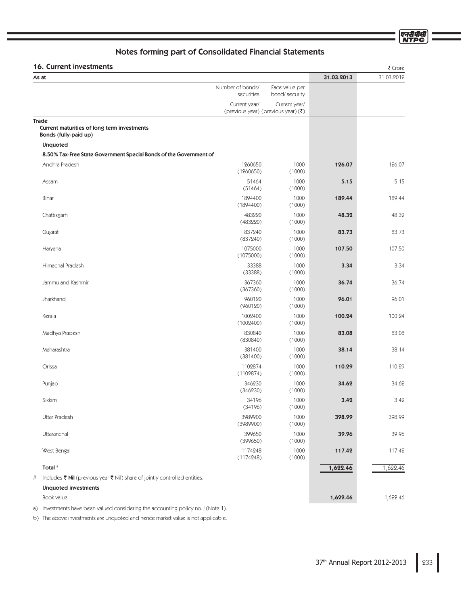एनदीपीसी<br>NTPC

# Notes forming part of Consolidated Financial Statements

# 16. Current investments  $\frac{3}{5}$

| <b>IO. CUITEIIL IIIVESUIIEIILS</b>                                                   |                                |                                                 |            | र Crore    |
|--------------------------------------------------------------------------------------|--------------------------------|-------------------------------------------------|------------|------------|
| As at                                                                                |                                |                                                 | 31.03.2013 | 31.03.2012 |
|                                                                                      | Number of bonds/<br>securities | Face value per<br>bond/ security                |            |            |
|                                                                                      | Current year/                  | Current year/                                   |            |            |
|                                                                                      |                                | (previous year) (previous year) $(\bar{\zeta})$ |            |            |
| <b>Trade</b><br>Current maturities of long term investments<br>Bonds (fully-paid up) |                                |                                                 |            |            |
| Unquoted                                                                             |                                |                                                 |            |            |
| 8.50% Tax-Free State Government Special Bonds of the Government of                   |                                |                                                 |            |            |
| Andhra Pradesh                                                                       | 1260650<br>(1260650)           | 1000<br>(1000)                                  | 126.07     | 126.07     |
| Assam                                                                                | 51464<br>(51464)               | 1000<br>(1000)                                  | 5.15       | 5.15       |
| Bihar                                                                                | 1894400<br>(1894400)           | 1000<br>(1000)                                  | 189.44     | 189.44     |
| Chattisgarh                                                                          | 483220<br>(483220)             | 1000<br>(1000)                                  | 48.32      | 48.32      |
| Gujarat                                                                              | 837240<br>(837240)             | 1000<br>(1000)                                  | 83.73      | 83.73      |
| Haryana                                                                              | 1075000<br>(1075000)           | 1000<br>(1000)                                  | 107.50     | 107.50     |
| Himachal Pradesh                                                                     | 33388<br>(33388)               | 1000<br>(1000)                                  | 3.34       | 3.34       |
| Jammu and Kashmir                                                                    | 367360<br>(367360)             | 1000<br>(1000)                                  | 36.74      | 36.74      |
| Jharkhand                                                                            | 960120<br>(960120)             | 1000<br>(1000)                                  | 96.01      | 96.01      |
| Kerala                                                                               | 1002400<br>(1002400)           | 1000<br>(1000)                                  | 100.24     | 100.24     |
| Madhya Pradesh                                                                       | 830840<br>(830840)             | 1000<br>(1000)                                  | 83.08      | 83.08      |
| Maharashtra                                                                          | 381400<br>(381400)             | 1000<br>(1000)                                  | 38.14      | 38.14      |
| Orissa                                                                               | 1102874<br>(1102874)           | 1000<br>(1000)                                  | 110.29     | 110.29     |
| Punjab                                                                               | 346230<br>(346230)             | 1000<br>(1000)                                  | 34.62      | 34.62      |
| Sikkim                                                                               | 34196<br>(34196)               | 1000<br>(1000)                                  | 3.42       | 3.42       |
| Uttar Pradesh                                                                        | 3989900<br>(3989900)           | 1000<br>(1000)                                  | 398.99     | 398.99     |
| Uttaranchal                                                                          | 399650<br>(399650)             | 1000<br>(1000)                                  | 39.96      | 39.96      |
| West Bengal                                                                          | 1174248<br>(1174248)           | 1000<br>(1000)                                  | 117.42     | 117.42     |
| Total <sup>#</sup>                                                                   |                                |                                                 | 1,622.46   | 1,622.46   |
| Includes ₹ Nil (previous year ₹ Nil) share of jointly controlled entities.<br>#      |                                |                                                 |            |            |
| <b>Unquoted investments</b>                                                          |                                |                                                 |            |            |
| Book value                                                                           |                                |                                                 | 1,622.46   | 1,622.46   |

a) Investments have been valued considering the accounting policy no.J (Note 1).

b) The above investments are unquoted and hence market value is not applicable.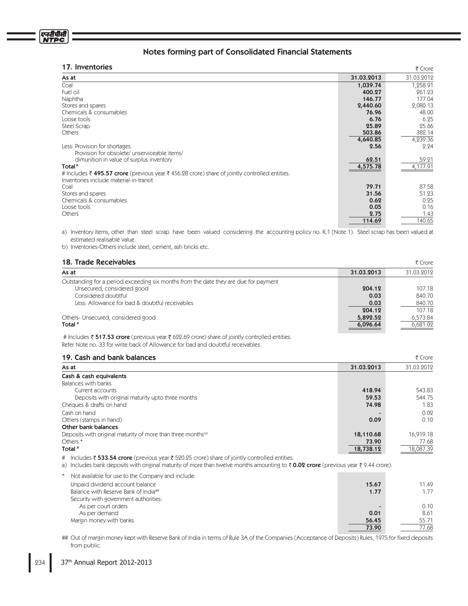| 17. Inventories                                                                                |            | ₹ Crore    |
|------------------------------------------------------------------------------------------------|------------|------------|
| As at                                                                                          | 31.03.2013 | 31.03.2012 |
| Coal                                                                                           | 1,039.74   | 1,258.91   |
| Fuel oil                                                                                       | 400.27     | 261.23     |
| Naphtha                                                                                        | 146.77     | 177.04     |
| Stores and spares                                                                              | 2,440.60   | 2,080.13   |
| Chemicals & consumables                                                                        | 76.96      | 48.00      |
| Loose tools                                                                                    | 6.76       | 6.25       |
| Steel Scrap                                                                                    | 25.89      | 25.66      |
| <b>Others</b>                                                                                  | 503.86     | 382.14     |
|                                                                                                | 4,640.85   | 4,239.36   |
| Less: Provision for shortages                                                                  | 2.56       | 2.24       |
| Provision for obsolete/ unserviceable items/                                                   |            |            |
| dimunition in value of surplus inventory                                                       | 62.51      | 59.21      |
| Total <sup>#</sup>                                                                             | 4,575.78   | 4,177.91   |
| # Includes ₹ 495.57 crore (previous year ₹ 456.28 crore) share of jointly controlled entities. |            |            |
| Inventories include material-in-transit                                                        |            |            |
| Coal                                                                                           | 79.71      | 87.58      |
| Stores and spares                                                                              | 31.56      | 51.23      |
| Chemicals & consumables                                                                        | 0.62       | 0.25       |
| Loose tools                                                                                    | 0.05       | 0.16       |
| Others                                                                                         | 2.75       | 1.43       |
|                                                                                                | 114.69     | 140.65     |
|                                                                                                |            |            |

a) Inventory items, other than steel scrap have been valued considering the accounting policy no. K.1 (Note 1). Steel scrap has been valued at estimated realisable value.

b) Inventories-Others include steel, cement, ash bricks etc.

# 18. Trade Receivables \$SPSF

| As at                                                                                | 31.03.2013 | 31.03.2012 |
|--------------------------------------------------------------------------------------|------------|------------|
| Outstanding for a period exceeding six months from the date they are due for payment |            |            |
| Unsecured, considered good                                                           | 204.12     | 107.18     |
| Considered doubtful                                                                  | 0.03       | 840.70     |
| Less: Allowance for bad & doubtful receivables                                       | 0.03       | 840.70     |
|                                                                                      | 204.12     | 107.18     |
| Others-Unsecured, considered good                                                    | 5,892.52   | 6,573.84   |
| Total #                                                                              | 6,096.64   | 6,681.02   |
|                                                                                      |            |            |

# Includes  $\bar{\tau}$  517.53 crore (previous year  $\bar{\tau}$  622.69 crore) share of jointly controlled entities. Refer Note no. 33 for write back of Allowance for bad and doubtful receivables.

| 19. Cash and bank balances                                               |            | ₹ Crore    |
|--------------------------------------------------------------------------|------------|------------|
| As at                                                                    | 31.03.2013 | 31.03.2012 |
| Cash & cash equivalents                                                  |            |            |
| Balances with banks                                                      |            |            |
| Current accounts                                                         | 418.94     | 543.83     |
| Deposits with original maturity upto three months                        | 59.53      | 544.75     |
| Cheques & drafts on hand                                                 | 74.98      | 1.83       |
| Cash on hand                                                             |            | 0.02       |
| Others (stamps in hand)                                                  | 0.09       | 0.10       |
| Other bank balances                                                      |            |            |
| Deposits with original maturity of more than three months <sup>(a)</sup> | 18,110.68  | 16,919.18  |
| Others *                                                                 | 73.90      | 77.68      |
| Total <sup>#</sup>                                                       | 18,738.12  | 18.087.39  |

# Includes ₹ **533.54 crore** (previous year ₹ 520.25 crore) share of jointly controlled entities.

a) Includes bank deposits with original maturity of more than twelve months amounting to ₹ **0.02 crore** (previous year ₹ 9.44 crore).

| Not available for use to the Company and include: |       |       |
|---------------------------------------------------|-------|-------|
| Unpaid dividend account balance                   | 15.67 | 11.49 |
| Balance with Reserve Bank of India##              | 1.77  | 1.77  |
| Security with government authorities:             |       |       |
| As per court orders                               |       | 0.10  |
| As per demand                                     | 0.01  | 8.61  |
| Margin money with banks                           | 56.45 | 55.71 |
|                                                   | 73.90 | 77.68 |

## Out of margin money kept with Reserve Bank of India in terms of Rule 3A of the Companies (Acceptance of Deposits) Rules, 1975 for fixed deposits from public.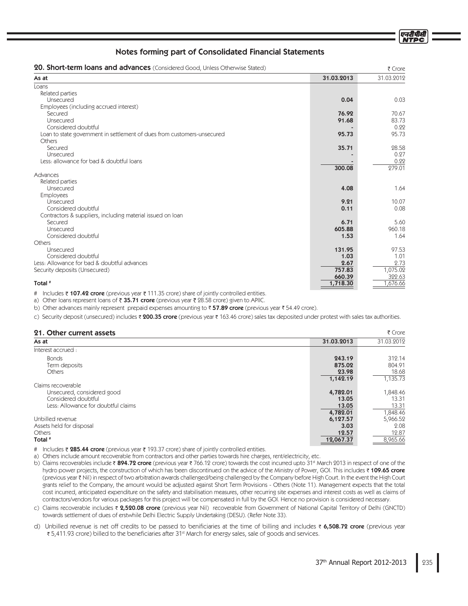| 20. Short-term loans and advances (Considered Good, Unless Otherwise Stated) |            | ₹ Crore    |
|------------------------------------------------------------------------------|------------|------------|
| As at                                                                        | 31.03.2013 | 31.03.2012 |
| Loans                                                                        |            |            |
| Related parties                                                              |            |            |
| Unsecured                                                                    | 0.04       | 0.03       |
| Employees (including accrued interest)                                       |            |            |
| Secured                                                                      | 76.92      | 70.67      |
| Unsecured                                                                    | 91.68      | 83.73      |
| Considered doubtful                                                          |            | 0.22       |
| Loan to state government in settlement of dues from customers-unsecured      | 95.73      | 95.73      |
| Others                                                                       |            |            |
| Secured                                                                      | 35.71      | 28.58      |
| Unsecured                                                                    |            | 0.27       |
| Less: allowance for bad & doubtful loans                                     |            | 0.22       |
|                                                                              | 300.08     | 279.01     |
| Advances                                                                     |            |            |
| Related parties                                                              |            |            |
| Unsecured                                                                    | 4.08       | 1.64       |
| <b>Employees</b>                                                             |            |            |
| Unsecured                                                                    | 9.21       | 10.07      |
| Considered doubtful                                                          | 0.11       | 0.08       |
| Contractors & suppliers, including material issued on loan                   |            |            |
| Secured                                                                      | 6.71       | 5.60       |
| Unsecured                                                                    | 605.88     | 960.18     |
| Considered doubtful                                                          | 1.53       | 1.64       |
| Others                                                                       |            |            |
| Unsecured                                                                    | 131.95     | 97.53      |
| Considered doubtful                                                          | 1.03       | 1.01       |
| Less: Allowance for bad & doubtful advances                                  | 2.67       | 2.73       |
| Security deposits (Unsecured)                                                | 757.83     | 1,075.02   |
|                                                                              | 660.39     | 322.63     |
| Total <sup>#</sup>                                                           | 1,718.30   | 1,676.66   |

# Includes ₹ 107.42 crore (previous year ₹ 111.35 crore) share of jointly controlled entities.

a) Other loans represent loans of ₹ **35.71 crore** (previous year ₹ 28.58 crore) given to APIIC.

b) Other advances mainly represent prepaid expenses amounting to ₹57.89 crore (previous year ₹ 54.49 crore).

c) Security deposit (unsecured) includes ₹ 200.35 crore (previous year ₹ 163.46 crore) sales tax deposited under protest with sales tax authorities.

# **21. Other current assets**  $\frac{3}{5}$  Crore

| As at                               | 31.03.2013 | 31.03.2012 |
|-------------------------------------|------------|------------|
| Interest accrued:                   |            |            |
| <b>Bonds</b>                        | 243.19     | 312.14     |
| Term deposits                       | 875.02     | 804.91     |
| Others                              | 23.98      | 18.68      |
|                                     | 1,142.19   | 1,135.73   |
| Claims recoverable                  |            |            |
| Unsecured, considered good          | 4,782.01   | 1,848.46   |
| Considered doubtful                 | 13.05      | 13.31      |
| Less: Allowance for doubtful claims | 13.05      | 13.31      |
|                                     | 4,782.01   | 1,848.46   |
| Unbilled revenue                    | 6,127.57   | 5,966.52   |
| Assets held for disposal            | 3.03       | 2.08       |
| Others                              | 12.57      | 12.87      |
| Total #                             | 12,067.37  | 8,965.66   |
|                                     |            |            |

- # Includes रैं **285.44 crore** (previous year रैं 193.37 crore) share of jointly controlled entities.
- a) Others include amount recoverable from contractors and other parties towards hire charges, rent/electricity, etc.
- b) Claims recoverables include ₹ **894.72 crore** (previous year ₹ 766.12 crore) towards the cost incurred upto 31\* March 2013 in respect of one of the hydro power projects, the construction of which has been discontinued on the advice of the Ministry of Power, GOI. This includes ₹ **109.65 crore** (previous year ₹ Nil) in respect of two arbitration awards challenged/being challenged by the Company before High Court. In the event the High Court grants relief to the Company, the amount would be adjusted against Short Term Provisions - Others (Note 11). Management expects that the total cost incurred, anticipated expenditure on the safety and stabilisation measures, other recurring site expenses and interest costs as well as claims of contractors/vendors for various packages for this project will be compensated in full by the GOI. Hence no provision is considered necessary.
- c) Claims recoverable includes ₹ **2,520.08 crore** (previous year Nil) recoverable from Government of National Capital Territory of Delhi (GNCTD) towards settlement of dues of erstwhile Delhi Electric Supply Undertaking (DESU). (Refer Note 33).
- d) Unbilled revenue is net off credits to be passed to benificiaries at the time of billing and includes  $\bar{\sigma}$  6,508.72 crore (previous year ₹ 5,411.93 crore) billed to the beneficiaries after 31<sup>st</sup> March for energy sales, sale of goods and services.

एनरीपीर्स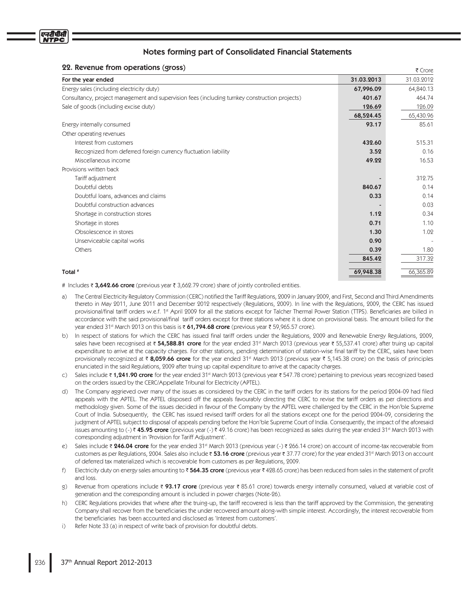# 22. Revenue from operations (gross)

| 22. Revenue from operations (gross)                                                            |            | ₹ Crore                  |
|------------------------------------------------------------------------------------------------|------------|--------------------------|
| For the year ended                                                                             | 31.03.2013 | 31.03.2012               |
| Energy sales (including electricity duty)                                                      | 67,996.09  | 64,840.13                |
| Consultancy, project management and supervision fees (including turnkey construction projects) | 401.67     | 464.74                   |
| Sale of goods (including excise duty)                                                          | 126.69     | 126.09                   |
|                                                                                                | 68,524.45  | 65,430.96                |
| Energy internally consumed                                                                     | 93.17      | 85.61                    |
| Other operating revenues                                                                       |            |                          |
| Interest from customers                                                                        | 432.60     | 515.31                   |
| Recognized from deferred foreign currency fluctuation liability                                | 3.52       | 0.16                     |
| Miscellaneous income                                                                           | 49.22      | 16.53                    |
| Provisions written back                                                                        |            |                          |
| Tariff adjustment                                                                              |            | 312.75                   |
| Doubtful debts                                                                                 | 840.67     | 0.14                     |
| Doubtful loans, advances and claims                                                            | 0.33       | 0.14                     |
| Doubtful construction advances                                                                 |            | 0.03                     |
| Shortage in construction stores                                                                | 1.12       | 0.34                     |
| Shortage in stores                                                                             | 0.71       | 1.10                     |
| Obsolescence in stores                                                                         | 1.30       | 1.02                     |
| Unserviceable capital works                                                                    | 0.90       | $\overline{\phantom{a}}$ |
| Others                                                                                         | 0.39       | 1.80                     |
|                                                                                                | 845.42     | 317.32                   |
|                                                                                                |            |                          |
| Total #                                                                                        | 69,948.38  | 66,365.89                |

# Includes ₹ 3,642.66 crore (previous year ₹ 3,662.79 crore) share of jointly controlled entities.

- a) The Central Electricity Regulatory Commission (CERC) notified the Tariff Regulations, 2009 in January 2009, and First, Second and Third Amendments thereto in May 2011, June 2011 and December 2012 respectively (Regulations, 2009). In line with the Regulations, 2009, the CERC has issued provisional/final tariff orders w.e.f. 1\* April 2009 for all the stations except for Talcher Thermal Power Station (TTPS). Beneficiaries are billed in accordance with the said provisional/final tariff orders except for three stations where it is done on provisional basis. The amount billed for the year ended 31st March 2013 on this basis is ₹ **61,794.68 crore** (previous year ₹ 59,965.57 crore).
- b) In respect of stations for which the CERC has issued final tariff orders under the Regulations, 2009 and Renewable Energy Regulations, 2009, sales have been recognised at ₹ **54,588.81 crore** for the year ended 31st March 2013 (previous year ₹ 55,537.41 crore) after truing up capital expenditure to arrive at the capacity charges. For other stations, pending determination of station-wise final tariff by the CERC, sales have been provisionally recognized at ₹ 8,059.66 crore for the year ended 31st March 2013 (previous year ₹ 5,145.38 crore) on the basis of principles enunciated in the said Regulations, 2009 after truing up capital expenditure to arrive at the capacity charges.
- c) Sales include₹1**,241.90 crore** for the year ended 31st March 2013 (previous year₹547.78 crore) pertaining to previous years recognized based on the orders issued by the CERC/Appellate Tribunal for Electricity (APTEL).
- d) The Company aggrieved over many of the issues as considered by the CERC in the tariff orders for its stations for the period 2004-09 had filed appeals with the APTEL. The APTEL disposed off the appeals favourably directing the CERC to revise the tariff orders as per directions and methodology given. Some of the issues decided in favour of the Company by the APTEL were challenged by the CERC in the Hon'ble Supreme Court of India. Subsequently, the CERC has issued revised tariff orders for all the stations except one for the period 2004-09, considering the judgment of APTEL subject to disposal of appeals pending before the Hon'ble Supreme Court of India. Consequently, the impact of the aforesaid issues amounting to (-) ₹ **45.95 crore** (previous year (-) ₹ 49.16 crore) has been recognized as sales during the year ended 31st March 2013 with corresponding adjustment in 'Provision for Tariff Adjustment'.
- e) Sales include ₹ **246.04 crore** for the year ended 31st March 2013 (previous year (-) ₹ 266.14 crore) on account of income-tax recoverable from customers as per Regulations, 2004. Sales also include ₹ **53.16 crore** (previous year ₹ 37.77 crore) for the year ended 31st March 2013 on account of deferred tax materialized which is recoverable from customers as per Regulations, 2009.
- $f$ Electricity duty on energy sales amounting to  $\bar{\tau}$  564.35 crore (previous year  $\bar{\tau}$  428.65 crore) has been reduced from sales in the statement of profit and loss
- $\mathfrak{g}$ ) Revenue from operations include ₹ 93.17 crore (previous year ₹ 85.61 crore) towards energy internally consumed, valued at variable cost of generation and the corresponding amount is included in power charges (Note-26).
- h) CERC Regulations provides that where after the truing-up, the tariff recovered is less than the tariff approved by the Commission, the generating Company shall recover from the beneficiaries the under recovered amount along-with simple interest. Accordingly, the interest recoverable from the beneficiaries has been accounted and disclosed as 'Interest from customers'.
- $i$ Refer Note 33 (a) in respect of write back of provision for doubtful debts.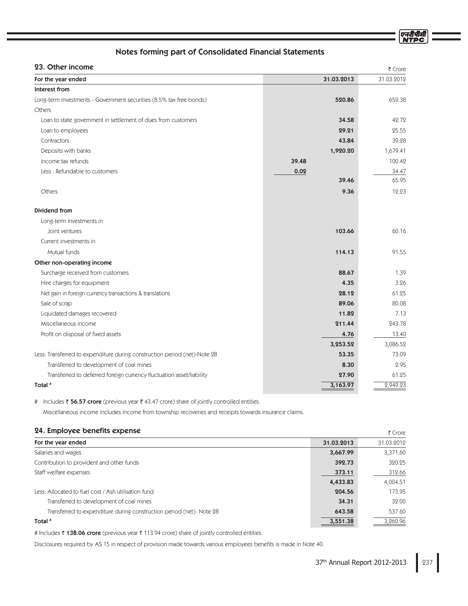एनदीपीर्स

# Notes forming part of Consolidated Financial Statements

# 23. Other income

| 23. Other income                                                          |            | ₹ Crore    |
|---------------------------------------------------------------------------|------------|------------|
| For the year ended                                                        | 31.03.2013 | 31.03.2012 |
| Interest from                                                             |            |            |
| Long-term investments - Government securities (8.5% tax free bonds)       | 520.86     | 659.38     |
| Others                                                                    |            |            |
| Loan to state government in settlement of dues from customers             | 34.58      | 42.72      |
| Loan to employees                                                         | 29.21      | 25.55      |
| Contractors                                                               | 43.84      | 39.28      |
| Deposits with banks                                                       | 1,920.20   | 1,679.41   |
| Income tax refunds                                                        | 39.48      | 100.42     |
| Less : Refundable to customers                                            | 0.02       | 34.47      |
|                                                                           | 39.46      | 65.95      |
| Others                                                                    | 9.36       | 12.23      |
| Dividend from                                                             |            |            |
| Long-term investments in                                                  |            |            |
| Joint ventures                                                            | 103.66     | 60.16      |
| Current investments in                                                    |            |            |
| Mutual funds                                                              | 114.13     | 91.55      |
| Other non-operating income                                                |            |            |
| Surcharge received from customers                                         | 88.67      | 1.39       |
| Hire charges for equipment                                                | 4.35       | 3.26       |
| Net gain in foreign currency transactions & translations                  | 28.12      | 61.25      |
| Sale of scrap                                                             | 89.06      | 80.08      |
| Liquidated damages recovered                                              | 11.82      | 7.13       |
| Miscellaneous income                                                      | 211.44     | 243.78     |
| Profit on disposal of fixed assets                                        | 4.76       | 13.40      |
|                                                                           | 3,253.52   | 3,086.52   |
| Less: Transferred to expenditure during construction period (net)-Note 28 | 53.35      | 73.09      |
| Transferred to development of coal mines                                  | 8.30       | 2.95       |
| Transferred to deferred foreign currency fluctuation asset/liability      | 27.90      | 61.25      |
| Total #                                                                   | 3,163.97   | 2,949.23   |

# Includes ₹ 56.57 crore (previous year ₹ 43.47 crore) share of jointly controlled entities.

Miscellaneous income includes income from township recoveries and receipts towards insurance claims.

# 24. Employee benefits expense

| 24. Employee benefits expense                                       |            | ₹ Crore    |
|---------------------------------------------------------------------|------------|------------|
| For the year ended                                                  | 31.03.2013 | 31.03.2012 |
| Salaries and wages                                                  | 3,667.99   | 3,371.60   |
| Contribution to provident and other funds                           | 392.73     | 320.25     |
| Staff welfare expenses                                              | 373.11     | 312.66     |
|                                                                     | 4,433.83   | 4,004.51   |
| Less: Allocated to fuel cost / Ash utilisation fund                 | 204.56     | 173.95     |
| Transferred to development of coal mines                            | 34.31      | 32.00      |
| Transferred to expenditure during construction period (net)-Note 28 | 643.58     | 537.60     |
| Total #                                                             | 3,551.38   | 3,260.96   |

# Includes ₹ **138.06 crore** (previous year ₹ 113.94 crore) share of jointly controlled entities.

Disclosures required by AS 15 in respect of provision made towards various employees benefits is made in Note 40.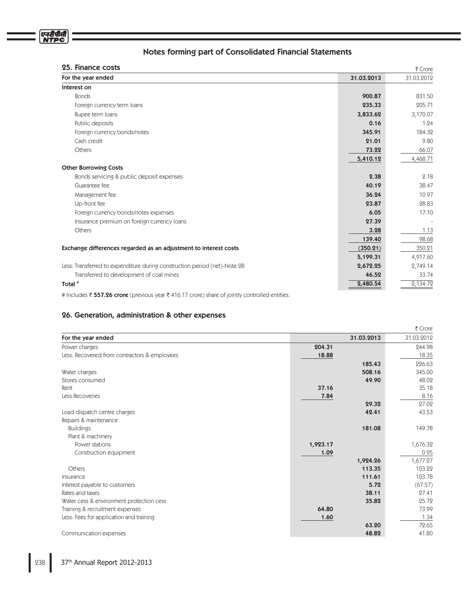| 25. Finance costs                                                         |            | ₹ Crore    |
|---------------------------------------------------------------------------|------------|------------|
| For the year ended                                                        | 31.03.2013 | 31.03.2012 |
| Interest on                                                               |            |            |
| <b>Bonds</b>                                                              | 900.87     | 831.50     |
| Foreign currency term loans                                               | 235.33     | 205.71     |
| Rupee term loans                                                          | 3,833.62   | 3,170.07   |
| Public deposits                                                           | 0.16       | 1.24       |
| Foreign currency bonds/notes                                              | 345.91     | 184.32     |
| Cash credit                                                               | 21.01      | 9.80       |
| Others                                                                    | 73.22      | 66.07      |
|                                                                           | 5,410.12   | 4,468.71   |
| <b>Other Borrowing Costs</b>                                              |            |            |
| Bonds servicing & public deposit expenses                                 | 2.38       | 2.18       |
| Guarantee fee                                                             | 40.19      | 38.47      |
| Management fee                                                            | 36.24      | 10.97      |
| Up-front fee                                                              | 23.87      | 28.83      |
| Foreign currency bonds/notes expenses                                     | 6.05       | 17.10      |
| Insurance premium on foreign currency loans                               | 27.39      |            |
| Others                                                                    | 3.28       | 1.13       |
|                                                                           | 139.40     | 98.68      |
| Exchange differences regarded as an adjustment to interest costs          | (350.21)   | 350.21     |
|                                                                           | 5,199.31   | 4,917.60   |
| Less: Transferred to expenditure during construction period (net)-Note 28 | 2,672.25   | 2,749.14   |
| Transferred to development of coal mines                                  | 46.52      | 33.74      |
| Total <sup>#</sup>                                                        | 2,480.54   | 2,134.72   |

# Includes ₹ 557.26 crore (previous year ₹ 416.17 crore) share of jointly controlled entities.

# 26. Generation, administration & other expenses

|                                              |          |            | ₹ Crore    |
|----------------------------------------------|----------|------------|------------|
| For the year ended                           |          | 31.03.2013 | 31.03.2012 |
| Power charges                                | 204.31   |            | 244.98     |
| Less: Recovered from contractors & employees | 18.88    |            | 18.35      |
|                                              |          | 185.43     | 226.63     |
| Water charges                                |          | 508.16     | 345.00     |
| Stores consumed                              |          | 49.90      | 48.02      |
| Rent                                         | 37.16    |            | 35.18      |
| Less:Recoveries                              | 7.84     |            | 8.16       |
|                                              |          | 29.32      | 27.02      |
| Load dispatch centre charges                 |          | 42.41      | 43.53      |
| Repairs & maintenance                        |          |            |            |
| <b>Buildings</b>                             |          | 181.08     | 149.78     |
| Plant & machinery                            |          |            |            |
| Power stations                               | 1,923.17 |            | 1,676.32   |
| Construction equipment                       | 1.09     |            | 0.95       |
|                                              |          | 1,924.26   | 1,677.27   |
| Others                                       |          | 113.35     | 103.22     |
| Insurance                                    |          | 111.61     | 103.78     |
| Interest payable to customers                |          | 5.72       | (67.57)    |
| Rates and taxes                              |          | 38.11      | 27.41      |
| Water cess & environment protection cess     |          | 35.82      | 25.72      |
| Training & recruitment expenses              | 64.80    |            | 73.99      |
| Less: Fees for application and training      | 1.60     |            | 1.34       |
|                                              |          | 63.20      | 72.65      |
| Communication expenses                       |          | 48.82      | 41.80      |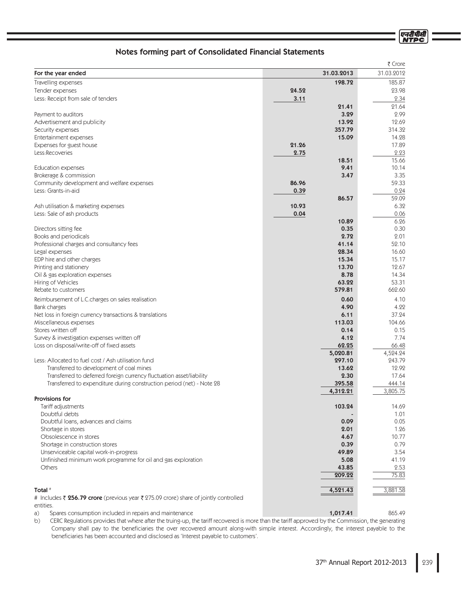एनदीपीसी **NTPC** 

# Notes forming part of Consolidated Financial Statements

|                                                                                      |       |               | ₹ Crore       |
|--------------------------------------------------------------------------------------|-------|---------------|---------------|
| For the year ended                                                                   |       | 31.03.2013    | 31.03.2012    |
| Travelling expenses                                                                  |       | 198.72        | 185.87        |
| Tender expenses                                                                      | 24.52 |               | 23.98         |
| Less: Receipt from sale of tenders                                                   | 3.11  |               | 2.34          |
|                                                                                      |       | 21.41         | 21.64         |
| Payment to auditors                                                                  |       | 3.29          | 2.99          |
| Advertisement and publicity                                                          |       | 13.92         | 12.69         |
| Security expenses                                                                    |       | 357.79        | 314.32        |
| Entertainment expenses                                                               |       | 15.09         | 14.28         |
| Expenses for guest house                                                             | 21.26 |               | 17.89         |
| Less:Recoveries                                                                      | 2.75  |               | 2.23          |
|                                                                                      |       | 18.51         | 15.66         |
| <b>Education expenses</b>                                                            |       | 9.41          | 10.14         |
| Brokerage & commission                                                               | 86.96 | 3.47          | 3.35<br>59.33 |
| Community development and welfare expenses<br>Less: Grants-in-aid                    | 0.39  |               | 0.24          |
|                                                                                      |       | 86.57         | 59.09         |
| Ash utilisation & marketing expenses                                                 | 10.93 |               | 6.32          |
| Less: Sale of ash products                                                           | 0.04  |               | 0.06          |
|                                                                                      |       | 10.89         | 6.26          |
| Directors sitting fee                                                                |       | 0.35          | 0.30          |
| Books and periodicals                                                                |       | 2.72          | 2.01          |
| Professional charges and consultancy fees                                            |       | 41.14         | 52.10         |
| Legal expenses                                                                       |       | 28.34         | 16.60         |
| EDP hire and other charges                                                           |       | 15.34         | 15.17         |
| Printing and stationery                                                              |       | 13.70         | 12.67         |
| Oil & gas exploration expenses                                                       |       | 8.78          | 14.34         |
| Hiring of Vehicles                                                                   |       | 63.22         | 53.31         |
| Rebate to customers                                                                  |       | 579.81        | 662.60        |
| Reimbursement of L.C.charges on sales realisation                                    |       | 0.60          | 4.10          |
| Bank charges                                                                         |       | 4.90          | 4.22          |
| Net loss in foreign currency transactions & translations                             |       | 6.11          | 37.24         |
| Miscellaneous expenses                                                               |       | 113.03        | 104.66        |
| Stores written off<br>Survey & investigation expenses written off                    |       | 0.14<br>4.12  | 0.15<br>7.74  |
| Loss on disposal/write-off of fixed assets                                           |       | 62.25         | 66.48         |
|                                                                                      |       | 5,020.81      | 4,524.24      |
| Less: Allocated to fuel cost / Ash utilisation fund                                  |       | 297.10        | 243.79        |
| Transferred to development of coal mines                                             |       | 13.62         | 12.92         |
| Transferred to deferred foreign currency fluctuation asset/liability                 |       | 2.30          | 17.64         |
| Transferred to expenditure during construction period (net) - Note 28                |       | 395.58        | 444.14        |
|                                                                                      |       | 4,312.21      | 3,805.75      |
| <b>Provisions for</b>                                                                |       |               |               |
| Tariff adjustments                                                                   |       | 103.24        | 14.69         |
| Doubtful debts                                                                       |       |               | 1.01          |
| Doubtful loans, advances and claims                                                  |       | 0.09          | 0.05          |
| Shortage in stores                                                                   |       | 2.01          | 1.26          |
| Obsolescence in stores                                                               |       | 4.67          | 10.77         |
| Shortage in construction stores<br>Unserviceable capital work-in-progress            |       | 0.39<br>49.89 | 0.79<br>3.54  |
| Unfinished minimum work programme for oil and gas exploration                        |       | 5.08          | 41.19         |
| Others                                                                               |       | 43.85         | 2.53          |
|                                                                                      |       | 209.22        | 75.83         |
|                                                                                      |       |               |               |
| Total #                                                                              |       | 4,521.43      | 3,881.58      |
| # Includes ₹ 256.79 crore (previous year ₹ 275.09 crore) share of jointly controlled |       |               |               |
| entities.                                                                            |       |               |               |

 $a)$ 465.49 Spares consumption included in repairs and maintenance and the consumption of the consumption included in repairs and maintenance

 $b)$ CERC Regulations provides that where after the truing-up, the tariff recovered is more than the tariff approved by the Commission, the generating Company shall pay to the beneficiaries the over recovered amount along-with simple interest. Accordingly, the interest payable to the beneficiaries has been accounted and disclosed as 'Interest payable to customers'.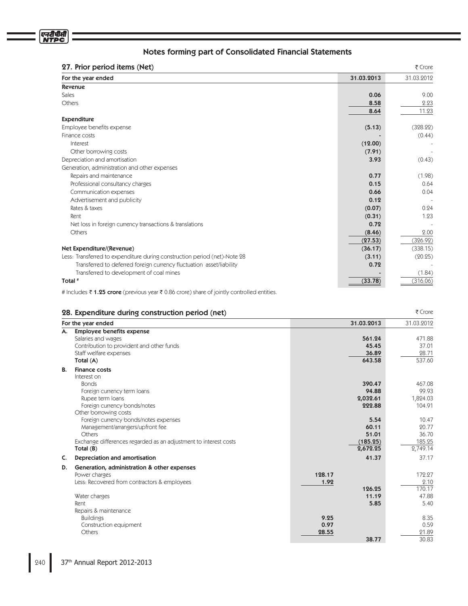#### **27. Prior period items (Net)**  $\frac{1}{5}$  Crore **For the year ended** 31.03.2012 31.03.2012 Revenue 4BMFT 0.06 Others **8.58** 2.23 8.64 11.23 Expenditure  $\mathsf{Employee}$  benefits expense  $(5.13)$  $(328.22)$ Finance costs  $(0.44)$  $(0.44)$  $\blacksquare$   $\blacksquare$   $\blacksquare$   $\blacksquare$   $\blacksquare$   $\blacksquare$   $\blacksquare$   $\blacksquare$   $\blacksquare$   $\blacksquare$   $\blacksquare$   $\blacksquare$   $\blacksquare$   $\blacksquare$   $\blacksquare$   $\blacksquare$   $\blacksquare$   $\blacksquare$   $\blacksquare$   $\blacksquare$   $\blacksquare$   $\blacksquare$   $\blacksquare$   $\blacksquare$   $\blacksquare$   $\blacksquare$   $\blacksquare$   $\blacksquare$   $\blacksquare$   $\blacksquare$   $\blacksquare$   $\blacks$ Other borrowing costs (7.91) (3.91) **Depreciation and amortisation** 3.93  $(0.43)$ Generation, administration and other expenses **3FS** Repairs and maintenance **0.77**  $(1.98)$ Professional consultancy charges and the consultancy charges and the consultancy charges and the consultancy charges and the consultancy charges and the consultancy charges and the consultancy charges and the consultancy c **Communication expenses** 0.04 0.04 Advertisement and publicity **6.12** and the control of the control of the control of the control of the control of the control of the control of the control of the control of the control of the control of the control of the Rates & taxes  $\hspace{1.6cm} 0.24$ Rent **(0.31)**  $1.23$ Net loss in foreign currency transactions & translations and the contraction of the contraction of the contraction of the contraction of the contraction of the contraction of the contraction of the contraction of the contr Others  $(8.46)$  2.00  $(27.53)$   $(326.92)$ Net Expenditure/(Revenue) (36.17)  $(338.15)$ Less: Transferred to expenditure during construction period (net)-Note 28 **Case Community Construction** (20.25)  $(20.25)$ Transferred to deferred foreign currency fluctuation asset/liability and the control of the control of the control of the control of the control of the control of the control of the control of the control of the control of Transferred to development of coal mines  $(1.84)$ Total #  $(33.78)$   $(316.06)$

# Includes ₹ 1.25 crore (previous year ₹ 0.86 crore) share of jointly controlled entities.

# **28. Expenditure during construction period (net)**  $\frac{3}{5}$  Cross

|    | For the year ended                                               | 31.03.2013 |          | 31.03.2012 |
|----|------------------------------------------------------------------|------------|----------|------------|
| А. | <b>Employee benefits expense</b>                                 |            |          |            |
|    | Salaries and wages                                               |            | 561.24   | 471.88     |
|    | Contribution to provident and other funds                        |            | 45.45    | 37.01      |
|    | Staff welfare expenses                                           |            | 36.89    | 28.71      |
|    | Total (A)                                                        |            | 643.58   | 537.60     |
| В. | <b>Finance costs</b>                                             |            |          |            |
|    | Interest on                                                      |            |          |            |
|    | <b>Bonds</b>                                                     |            | 390.47   | 467.08     |
|    | Foreign currency term loans                                      |            | 94.88    | 99.93      |
|    | Rupee term loans                                                 |            | 2,032.61 | 1,824.03   |
|    | Foreign currency bonds/notes                                     |            | 222.88   | 104.91     |
|    | Other borrowing costs                                            |            |          |            |
|    | Foreign currency bonds/notes expenses                            |            | 5.54     | 10.47      |
|    | Management/arrangers/upfront fee                                 |            | 60.11    | 20.77      |
|    | Others                                                           |            | 51.01    | 36.70      |
|    | Exchange differences regarded as an adjustment to interest costs |            | (185.25) | 185.25     |
|    | Total $(B)$                                                      |            | 2,672.25 | 2,749.14   |
| C. | Depreciation and amortisation                                    |            | 41.37    | 37.17      |
| D. | Generation, administration & other expenses                      |            |          |            |
|    | Power charges                                                    | 128.17     |          | 172.27     |
|    | Less: Recovered from contractors & employees                     | 1.92       |          | 2.10       |
|    |                                                                  |            | 126.25   | 170.17     |
|    | Water charges                                                    |            | 11.19    | 47.88      |
|    | Rent                                                             |            | 5.85     | 5.40       |
|    | Repairs & maintenance                                            |            |          |            |
|    | <b>Buildings</b>                                                 | 9.25       |          | 8.35       |
|    | Construction equipment                                           | 0.97       |          | 0.59       |
|    | Others                                                           | 28.55      |          | 21.89      |
|    |                                                                  |            | 38.77    | 30.83      |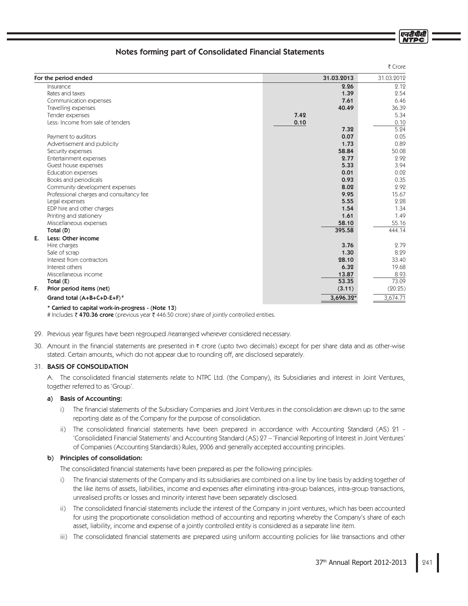|                                          |            | ₹ Crore    |
|------------------------------------------|------------|------------|
| For the period ended                     | 31.03.2013 | 31.03.2012 |
| Insurance                                | 2.26       | 2.12       |
| Rates and taxes                          | 1.39       | 2.54       |
| Communication expenses                   | 7.61       | 6.46       |
| Travelling expenses                      | 40.49      | 36.39      |
| Tender expenses                          | 7.42       | 5.34       |
| Less: Income from sale of tenders        | 0.10       | 0.10       |
|                                          | 7.32       | 5.24       |
| Payment to auditors                      | 0.07       | 0.05       |
| Advertisement and publicity              | 1.73       | 0.89       |
| Security expenses                        | 58.84      | 50.08      |
| Entertainment expenses                   | 2.77       | 2.92       |
| Guest house expenses                     | 5.33       | 3.94       |
| Education expenses                       | 0.01       | 0.02       |
| Books and periodicals                    | 0.93       | 0.35       |
| Community development expenses           | 8.02       | 2.92       |
| Professional charges and consultancy fee | 9.95       | 15.67      |
| Legal expenses                           | 5.55       | 2.28       |
| EDP hire and other charges               | 1.54       | 1.34       |
| Printing and stationery                  | 1.61       | 1.49       |
| Miscellaneous expenses                   | 58.10      | 55.16      |
| Total (D)                                | 395.58     | 444.14     |
| E.<br>Less: Other income                 |            |            |
| Hire charges                             | 3.76       | 2.79       |
| Sale of scrap                            | 1.30       | 8.29       |
| Interest from contractors                | 28.10      | 33.40      |
| Interest others                          | 6.32       | 19.68      |
| Miscellaneous income                     | 13.87      | 8.93       |
| Total (E)                                | 53.35      | 73.09      |
| F.<br>Prior period items (net)           | (3.11)     | (20.25)    |
| Grand total (A+B+C+D-E+F) <sup>#</sup>   | 3,696.32*  | 3,674.71   |

\* Carried to capital work-in-progress - (Note 13)

# Includes ₹ 470.36 crore (previous year ₹ 446.50 crore) share of jointly controlled entities.

29. Previous year figures have been regrouped /rearranged wherever considered necessary.

30. Amount in the financial statements are presented in ₹ crore (upto two decimals) except for per share data and as other-wise stated. Certain amounts, which do not appear due to rounding off, are disclosed separately.

# **31. BASIS OF CONSOLIDATION**

A. The consolidated financial statements relate to NTPC Ltd. (the Company), its Subsidiaries and interest in Joint Ventures, together referred to as 'Group'.

#### a) Basis of Accounting:

- i) The financial statements of the Subsidiary Companies and Joint Ventures in the consolidation are drawn up to the same reporting date as of the Company for the purpose of consolidation.
- ii) The consolidated financial statements have been prepared in accordance with Accounting Standard (AS) 21 -'Consolidated Financial Statements' and Accounting Standard (AS) 27 – 'Financial Reporting of Interest in Joint Ventures' of Companies (Accounting Standards) Rules, 2006 and generally accepted accounting principles.

## b) Principles of consolidation:

The consolidated financial statements have been prepared as per the following principles:

- i) The financial statements of the Company and its subsidiaries are combined on a line by line basis by adding together of the like items of assets, liabilities, income and expenses after eliminating intra-group balances, intra-group transactions, unrealised profits or losses and minority interest have been separately disclosed.
- ii) The consolidated financial statements include the interest of the Company in joint ventures, which has been accounted for using the proportionate consolidation method of accounting and reporting whereby the Company's share of each asset, liability, income and expense of a jointly controlled entity is considered as a separate line item.
- iii) The consolidated financial statements are prepared using uniform accounting policies for like transactions and other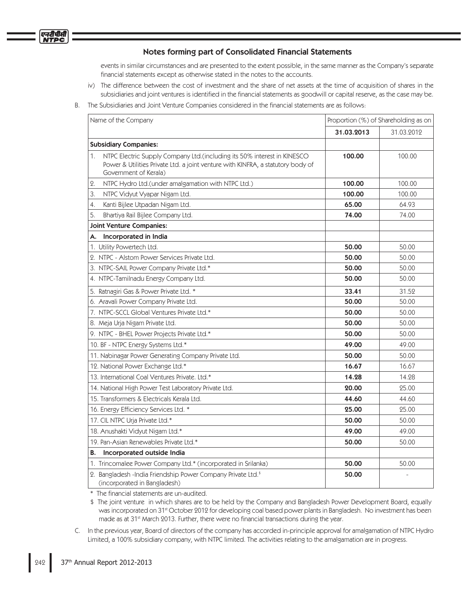events in similar circumstances and are presented to the extent possible, in the same manner as the Company's separate financial statements except as otherwise stated in the notes to the accounts.

- iv) The difference between the cost of investment and the share of net assets at the time of acquisition of shares in the subsidiaries and joint ventures is identified in the financial statements as goodwill or capital reserve, as the case may be.
- Β. The Subsidiaries and Joint Venture Companies considered in the financial statements are as follows:

| Name of the Company                                                                                                                                                                       | Proportion (%) of Shareholding as on |            |
|-------------------------------------------------------------------------------------------------------------------------------------------------------------------------------------------|--------------------------------------|------------|
|                                                                                                                                                                                           | 31.03.2013                           | 31.03.2012 |
| <b>Subsidiary Companies:</b>                                                                                                                                                              |                                      |            |
| NTPC Electric Supply Company Ltd.(including its 50% interest in KINESCO<br>1.<br>Power & Utilities Private Ltd. a joint venture with KINFRA, a statutory body of<br>Government of Kerala) | 100.00                               | 100.00     |
| NTPC Hydro Ltd.(under amalgamation with NTPC Ltd.)<br>2.                                                                                                                                  | 100.00                               | 100.00     |
| NTPC Vidyut Vyapar Nigam Ltd.<br>З.                                                                                                                                                       | 100.00                               | 100.00     |
| Kanti Bijlee Utpadan Nigam Ltd.<br>4.                                                                                                                                                     | 65.00                                | 64.93      |
| 5.<br>Bhartiya Rail Bijlee Company Ltd.                                                                                                                                                   | 74.00                                | 74.00      |
| <b>Joint Venture Companies:</b>                                                                                                                                                           |                                      |            |
| Incorporated in India<br>А.                                                                                                                                                               |                                      |            |
| 1. Utility Powertech Ltd.                                                                                                                                                                 | 50.00                                | 50.00      |
| 2. NTPC - Alstom Power Services Private Ltd.                                                                                                                                              | 50.00                                | 50.00      |
| 3. NTPC-SAIL Power Company Private Ltd.*                                                                                                                                                  | 50.00                                | 50.00      |
| 4. NTPC-Tamilnadu Energy Company Ltd.                                                                                                                                                     | 50.00                                | 50.00      |
| 5. Ratnagiri Gas & Power Private Ltd. *                                                                                                                                                   | 33.41                                | 31.52      |
| 6. Aravali Power Company Private Ltd.                                                                                                                                                     | 50.00                                | 50.00      |
| 7. NTPC-SCCL Global Ventures Private Ltd.*                                                                                                                                                | 50.00                                | 50.00      |
| 8. Meja Urja Nigam Private Ltd.                                                                                                                                                           | 50.00                                | 50.00      |
| 9. NTPC - BHEL Power Projects Private Ltd.*                                                                                                                                               | 50.00                                | 50.00      |
| 10. BF - NTPC Energy Systems Ltd.*                                                                                                                                                        | 49.00                                | 49.00      |
| 11. Nabinagar Power Generating Company Private Ltd.                                                                                                                                       | 50.00                                | 50.00      |
| 12. National Power Exchange Ltd.*                                                                                                                                                         | 16.67                                | 16.67      |
| 13. International Coal Ventures Private. Ltd.*                                                                                                                                            | 14.28                                | 14.28      |
| 14. National High Power Test Laboratory Private Ltd.                                                                                                                                      | 20.00                                | 25.00      |
| 15. Transformers & Electricals Kerala Ltd.                                                                                                                                                | 44.60                                | 44.60      |
| 16. Energy Efficiency Services Ltd. *                                                                                                                                                     | 25.00                                | 25.00      |
| 17. CIL NTPC Urja Private Ltd.*                                                                                                                                                           | 50.00                                | 50.00      |
| 18. Anushakti Vidyut Nigam Ltd.*                                                                                                                                                          | 49.00                                | 49.00      |
| 19. Pan-Asian Renewables Private Ltd.*                                                                                                                                                    | 50.00                                | 50.00      |
| Incorporated outside India<br>В.                                                                                                                                                          |                                      |            |
| 1. Trincomalee Power Company Ltd.* (incorporated in Srilanka)                                                                                                                             | 50.00                                | 50.00      |
| 2. Bangladesh -India Friendship Power Company Private Ltd. <sup>\$</sup><br>(incorporated in Bangladesh)                                                                                  | 50.00                                |            |

\* The financial statements are un-audited.

\$ The joint venture in which shares are to be held by the Company and Bangladesh Power Development Board, equally was incorporated on 31<sup>st</sup> October 2012 for developing coal based power plants in Bangladesh. No investment has been made as at 31<sup>st</sup> March 2013. Further, there were no financial transactions during the year.

C. In the previous year, Board of directors of the company has accorded in-principle approval for amalgamation of NTPC Hydro Limited, a 100% subsidiary company, with NTPC limited. The activities relating to the amalgamation are in progress.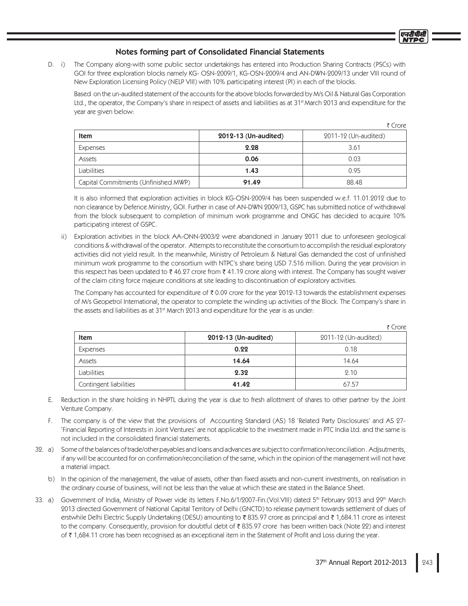D. i) The Company along-with some public sector undertakings has entered into Production Sharing Contracts (PSCs) with GOI for three exploration blocks namely KG- OSN-2009/1, KG-OSN-2009/4 and AN-DWN-2009/13 under VIII round of New Exploration Licensing Policy (NELP VIII) with 10% participating interest (PI) in each of the blocks.

Based on the un-audited statement of the accounts for the above blocks forwarded by M/s Oil & Natural Gas Corporation Ltd., the operator, the Company's share in respect of assets and liabilities as at 31<sup>st</sup> March 2013 and expenditure for the year are given below:

|                                      |                      | こしいし                 |
|--------------------------------------|----------------------|----------------------|
| <b>Item</b>                          | 2012-13 (Un-audited) | 2011-12 (Un-audited) |
| Expenses                             | 2.28                 | 3.61                 |
| Assets                               | 0.06                 | 0.03                 |
| Liabilities                          | 1.43                 | 0.95                 |
| Capital Commitments (Unfinished MWP) | 91.49                | 88.48                |

It is also informed that exploration activities in block KG-OSN-2009/4 has been suspended w.e.f. 11.01.2012 due to non clearance by Defence Ministry, GOI. Further in case of AN-DWN 2009/13, GSPC has submitted notice of withdrawal from the block subsequent to completion of minimum work programme and ONGC has decided to acquire 10% participating interest of GSPC.

Exploration activities in the block AA-ONN-2003/2 were abandoned in January 2011 due to unforeseen geological  $\mathsf{ii}$ ) conditions & withdrawal of the operator. Attempts to reconstitute the consortium to accomplish the residual exploratory activities did not yield result. In the meanwhile, Ministry of Petroleum & Natural Gas demanded the cost of unfinished minimum work programme to the consortium with NTPC's share being USD 7.516 million. During the year provision in this respect has been updated to  $\bar{\tau}$  46.27 crore from  $\bar{\tau}$  41.19 crore along with interest. The Company has sought waiver of the claim citing force majeure conditions at site leading to discontinuation of exploratory activities.

The Company has accounted for expenditure of  $\bar{\zeta}$  0.09 crore for the year 2012-13 towards the establishment expenses of M/s Geopetrol International, the operator to complete the winding up activities of the Block. The Company's share in the assets and liabilities as at 31<sup>st</sup> March 2013 and expenditure for the year is as under:

 $\overline{z}$  Crore

 $F$  Cross

|                        |                      | 1999                 |
|------------------------|----------------------|----------------------|
| <b>Item</b>            | 2012-13 (Un-audited) | 2011-12 (Un-audited) |
| Expenses               | 0.22                 | 0.18                 |
| Assets                 | 14.64                | 14.64                |
| Liabilities            | 2.32                 | 2.10                 |
| Contingent liabilities | 41.42                | 67.57                |

- E. Reduction in the share holding in NHPTL during the year is due to fresh allottment of shares to other partner by the Joint Venture Company.
- F. The company is of the view that the provisions of Accounting Standard (AS) 18 'Related Party Disclosures' and AS 27-'Financial Reporting of Interests in Joint Ventures' are not applicable to the investment made in PTC India Ltd. and the same is not included in the consolidated financial statements.
- 32. a) Some of the balances of trade/other payables and loans and advances are subject to confirmation/reconciliation. Adjsutments, if any will be accounted for on confirmation/reconciliation of the same, which in the opinion of the management will not have a material impact.
	- b) In the opinion of the management, the value of assets, other than fixed assets and non-current investments, on realisation in the ordinary course of business, will not be less than the value at which these are stated in the Balance Sheet.
- 33. a) Government of India, Ministry of Power vide its letters F.No.6/1/2007-Fin.(Vol.VIII) dated 5<sup>th</sup> February 2013 and 29<sup>th</sup> March 2013 directed Government of National Capital Territory of Delhi (GNCTD) to release payment towards settlement of dues of erstwhile Delhi Electric Supply Undertaking (DESU) amounting to ₹835.97 crore as principal and ₹1,684.11 crore as interest to the company. Consequently, provision for doubtful debt of ₹835.97 crore has been written back (Note 22) and interest of ₹1,684.11 crore has been recognised as an exceptional item in the Statement of Profit and Loss during the year.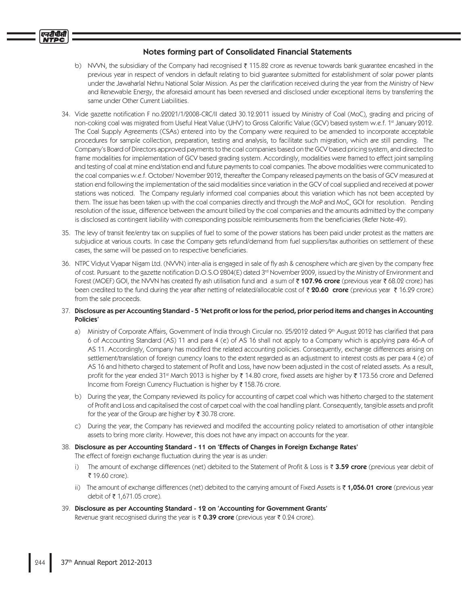- b) NVVN, the subsidiary of the Company had recognised  $\bar{\tau}$  115.82 crore as revenue towards bank guarantee encashed in the previous year in respect of vendors in default relating to bid guarantee submitted for establishment of solar power plants under the Jawaharlal Nehru National Solar Mission. As per the clarification received during the year from the Ministry of New and Renewable Energy, the aforesaid amount has been reversed and disclosed under exceptional items by transferring the same under Other Current Liabilities.
- 34. Vide gazette notification F no.22021/1/2008-CRC/II dated 30.12.2011 issued by Ministry of Coal (MoC), grading and pricing of non-coking coal was migrated from Useful Heat Value (UHV) to Gross Calorific Value (GCV) based system w.e.f. 1st January 2012. The Coal Supply Agreements (CSAs) entered into by the Company were required to be amended to incorporate acceptable procedures for sample collection, preparation, testing and analysis, to facilitate such migration, which are still pending. The Company's Board of Directors approved payments to the coal companies based on the GCV based pricing system, and directed to frame modalities for implementation of GCV based grading system. Accordingly, modalities were framed to effect joint sampling and testing of coal at mine end/station end and future payments to coal companies. The above modalities were communicated to the coal companies w.e.f. October/November 2012, thereafter the Company released payments on the basis of GCV measured at station end following the implementation of the said modalities since variation in the GCV of coal supplied and received at power stations was noticed. The Company regularly informed coal companies about this variation which has not been accepted by them. The issue has been taken up with the coal companies directly and through the MoP and MoC, GOI for resolution. Pending resolution of the issue, difference between the amount billed by the coal companies and the amounts admitted by the company is disclosed as contingent liability with corresponding possible reimbursements from the beneficiaries (Refer Note-49).
- 35. The levy of transit fee/entry tax on supplies of fuel to some of the power stations has been paid under protest as the matters are subjudice at various courts. In case the Company gets refund/demand from fuel suppliers/tax authorities on settlement of these cases, the same will be passed on to respective beneficiaries.
- 36. NTPC Vidyut Vyapar Nigam Ltd. (NVVN) inter-alia is engaged in sale of fly ash & cenosphere which are given by the company free of cost. Pursuant to the gazette notification D.O.S.O 2804(E) dated 3<sup>rd</sup> November 2009, issued by the Ministry of Environment and Forest (MOEF) GOI, the NVVN has created fly ash utilisation fund and a sum of ₹107.96 crore (previous year ₹68.02 crore) has been credited to the fund during the year after netting of related/allocable cost of  $\bar{\tau}$  20.60 crore (previous year  $\bar{\tau}$  16.29 crore) from the sale proceeds.
- 37. Disclosure as per Accounting Standard 5 'Net profit or loss for the period, prior period items and changes in Accounting Policies'
	- a) Ministry of Corporate Affairs, Government of India through Circular no. 25/2012 dated 9th August 2012 has clarified that para 6 of Accounting Standard (AS) 11 and para 4 (e) of AS 16 shall not apply to a Company which is applying para 46-A of AS 11. Accordingly, Company has modifed the related accounting policies. Consequently, exchange differences arising on settlement/translation of foreign currency loans to the extent regarded as an adjustment to interest costs as per para 4 (e) of AS 16 and hitherto charged to statement of Profit and Loss, have now been adjusted in the cost of related assets. As a result, profit for the year ended 31<sup>st</sup> March 2013 is higher by ₹ 14.80 crore, fixed assets are higher by ₹ 173.56 crore and Deferred Income from Foreign Currency Fluctuation is higher by ₹158.76 crore.
	- b) During the year, the Company reviewed its policy for accounting of carpet coal which was hitherto charged to the statement of Profit and Loss and capitalised the cost of carpet coal with the coal handling plant. Consequently, tangible assets and profit for the year of the Group are higher by  $\bar{\tau}$  30.78 crore.
	- c) During the year, the Company has reviewed and modifed the accounting policy related to amortisation of other intangible assets to bring more clarity. However, this does not have any impact on accounts for the year.
- 38. Disclosure as per Accounting Standard 11 on 'Effects of Changes in Foreign Exchange Rates'

The effect of foreign exchange fluctuation during the year is as under:

- The amount of exchange differences (net) debited to the Statement of Profit & Loss is ₹ 3.59 crore (previous year debit of  $i)$ ₹ 19.60 crore).
- ii) The amount of exchange differences (net) debited to the carrying amount of Fixed Assets is ₹ 1,056.01 crore (previous year debit of ₹1,671.05 crore).
- 39. Disclosure as per Accounting Standard 12 on 'Accounting for Government Grants' Revenue grant recognised during the year is ₹ 0.39 crore (previous year ₹ 0.24 crore).

एनटीपीर्स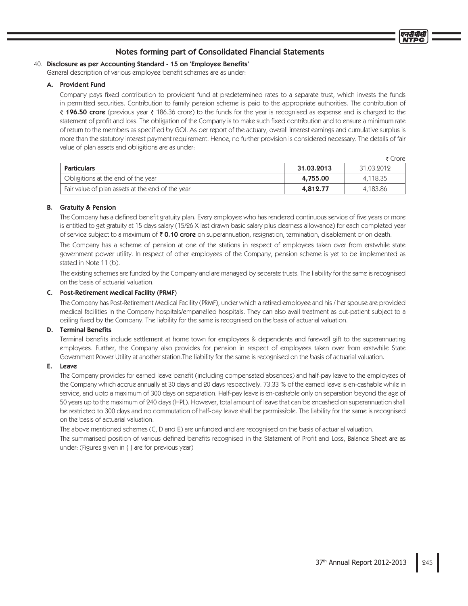# 40. Disclosure as per Accounting Standard - 15 on 'Employee Benefits'

General description of various employee benefit schemes are as under.

# A. Provident Fund

Company pays fixed contribution to provident fund at predetermined rates to a separate trust, which invests the funds in permitted securities. Contribution to family pension scheme is paid to the appropriate authorities. The contribution of ₹ 196.50 crore (previous year ₹ 186.36 crore) to the funds for the year is recognised as expense and is charged to the statement of profit and loss. The obligation of the Company is to make such fixed contribution and to ensure a minimum rate of return to the members as specified by GOI. As per report of the actuary, overall interest earnings and cumulative surplus is more than the statutory interest payment requirement. Hence, no further provision is considered necessary. The details of fair value of plan assets and obligitions are as under:

|                                                  |            | Crore      |
|--------------------------------------------------|------------|------------|
| <b>Particulars</b>                               | 31.03.2013 | 31.03.9019 |
| Obligitions at the end of the year               | 4,755.00   | 4.118.35   |
| Fair value of plan assets at the end of the year | 4,812.77   | 4,183.86   |

# **B.** Gratuity & Pension

The Company has a defined benefit gratuity plan. Every employee who has rendered continuous service of five years or more is entitled to get gratuity at 15 days salary (15/26 X last drawn basic salary plus dearness allowance) for each completed year of service subject to a maximum of  $\bar{\tau}$  0.10 crore on superannuation, resignation, termination, disablement or on death.

The Company has a scheme of pension at one of the stations in respect of employees taken over from erstwhile state government power utility. In respect of other employees of the Company, pension scheme is yet to be implemented as stated in Note 11 (b).

The existing schemes are funded by the Company and are managed by separate trusts. The liability for the same is recognised on the basis of actuarial valuation.

# C. Post-Retirement Medical Facility (PRMF)

The Company has Post-Retirement Medical Facility (PRMF), under which a retired employee and his / her spouse are provided medical facilities in the Company hospitals/empanelled hospitals. They can also avail treatment as out-patient subject to a ceiling fixed by the Company. The liability for the same is recognised on the basis of actuarial valuation.

# **D.** Terminal Benefits

Terminal benefits include settlement at home town for employees & dependents and farewell gift to the superannuating employees. Further, the Company also provides for pension in respect of employees taken over from erstwhile State Government Power Utility at another station. The liability for the same is recognised on the basis of actuarial valuation.

# E. Leave

The Company provides for earned leave benefit (including compensated absences) and half-pay leave to the employees of the Company which accrue annually at 30 days and 20 days respectively. 73.33 % of the earned leave is en-cashable while in service, and upto a maximum of 300 days on separation. Half-pay leave is en-cashable only on separation beyond the age of 50 years up to the maximum of 240 days (HPL). However, total amount of leave that can be encashed on superannuation shall be restricted to 300 days and no commutation of half-pay leave shall be permissible. The liability for the same is recognised on the basis of actuarial valuation.

The above mentioned schemes (C, D and E) are unfunded and are recognised on the basis of actuarial valuation.

The summarised position of various defined benefits recognised in the Statement of Profit and Loss, Balance Sheet are as under: (Figures given in { } are for previous year)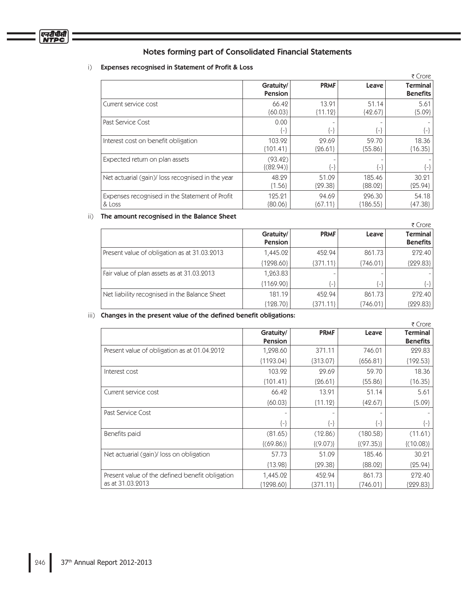# i) Expenses recognised in Statement of Profit & Loss

|                                                  |                          |             |            | ₹ Crore                            |
|--------------------------------------------------|--------------------------|-------------|------------|------------------------------------|
|                                                  | Gratuity/<br>Pension     | <b>PRMF</b> | Leave      | <b>Terminal</b><br><b>Benefits</b> |
| Current service cost                             | 66.42                    | 13.91       | 51.14      | 5.61                               |
|                                                  | ${60.03}$                | ${11.12}$   | ${42.67}$  | ${5.09}$                           |
| Past Service Cost                                | 0.00<br>{⊢}              | {-}         | $\{-\}$    | {−}                                |
| Interest cost on benefit obligation              | 103.92                   | 29.69       | 59.70      | 18.36                              |
|                                                  | ${101.41}$               | ${26.61}$   | ${55.86}$  | ${16.35}$                          |
| Expected return on plan assets                   | (93.42)<br>$\{(82.94)\}$ | $\{ - \}$   | $\{-\}$    | {-}                                |
| Net actuarial (gain)/loss recognised in the year | 48.29                    | 51.09       | 185.46     | 30.21                              |
|                                                  | ${1.56}$                 | ${29.38}$   | ${88.02}$  | ${25.94}$                          |
| Expenses recognised in the Statement of Profit   | 125.21                   | 94.69       | 296.30     | 54.18                              |
| & Loss                                           | ${80.06}$                | ${67.11}$   | ${186.55}$ | ${47.38}$                          |

#### ii) The amount recognised in the Balance Sheet

|                                               |                             |               |          | ₹ Crore                            |
|-----------------------------------------------|-----------------------------|---------------|----------|------------------------------------|
|                                               | Gratuity/<br><b>Pension</b> | <b>PRMF</b>   | Leave    | <b>Terminal</b><br><b>Benefits</b> |
| Present value of obligation as at 31.03.2013  | 1,445.02                    | 452.94        | 861.73   | 272.40                             |
|                                               | ${1298.60}$                 | ${371.11}$    | {746.01} | ${229.83}$                         |
| Fair value of plan assets as at 31.03.2013    | 1,263.83                    |               |          |                                    |
|                                               | ${1169.90}$                 | $\mathcal{A}$ | {-}      | ${-}$                              |
| Net liability recognised in the Balance Sheet | 181.19                      | 452.94        | 861.73   | 272.40                             |
|                                               | {128.70}                    | ${371.11}$    | {746.01} | ${229.83}$                         |

# iii) Changes in the present value of the defined benefit obligations:

|                                                 |                |               |                | ₹ Crore         |
|-------------------------------------------------|----------------|---------------|----------------|-----------------|
|                                                 | Gratuity/      | <b>PRMF</b>   | Leave          | <b>Terminal</b> |
|                                                 | <b>Pension</b> |               |                | <b>Benefits</b> |
| Present value of obligation as at 01.04.2012    | 1,298.60       | 371.11        | 746.01         | 229.83          |
|                                                 | ${1193.04}$    | ${313.07}$    | ${656.81}$     | ${192.53}$      |
| Interest cost                                   | 103.92         | 29.69         | 59.70          | 18.36           |
|                                                 | ${101.41}$     | ${26.61}$     | ${55.86}$      | ${16.35}$       |
| Current service cost                            | 66.42          | 13.91         | 51.14          | 5.61            |
|                                                 | ${60.03}$      | ${11.12}$     | ${42.67}$      | ${5.09}$        |
| Past Service Cost                               |                |               |                |                 |
|                                                 | $\{-\}$        | ${-}$         | $\{\text{-}\}$ | $\{-\}$         |
| Benefits paid                                   | (81.65)        | (12.86)       | (180.58)       | (11.61)         |
|                                                 | $\{(69.86)\}\$ | $\{(9.07)\}\$ | $\{(97.35)\}\$ | ${(10.08)}$     |
| Net actuarial (gain)/loss on obligation         | 57.73          | 51.09         | 185.46         | 30.21           |
|                                                 | ${13.98}$      | ${29.38}$     | ${88.02}$      | ${25.94}$       |
| Present value of the defined benefit obligation | 1,445.02       | 452.94        | 861.73         | 272.40          |
| as at 31.03.2013                                | ${1298.60}$    | ${371.11}$    | {746.01}       | ${229.83}$      |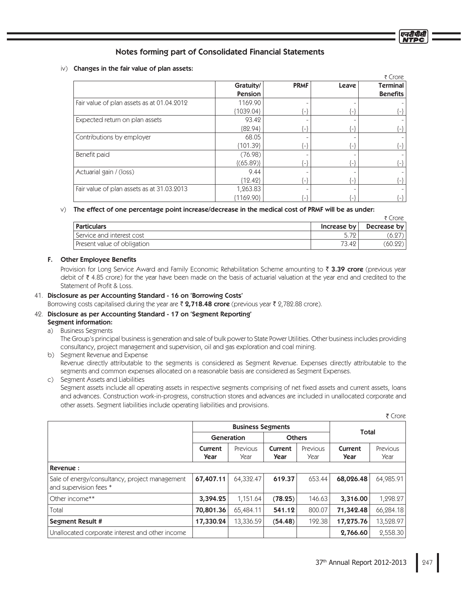# $iv)$  Changes in the fair value of plan assets:

|                                            |                |                     |       | ₹ Crore                    |
|--------------------------------------------|----------------|---------------------|-------|----------------------------|
|                                            | Gratuity/      | <b>PRMF</b>         | Leave | <b>Terminal</b>            |
|                                            | <b>Pension</b> |                     |       | <b>Benefits</b>            |
| Fair value of plan assets as at 01.04.2012 | 1169.90        |                     |       |                            |
|                                            | ${1039.04}$    | $\left\{ -\right\}$ | {−}   | $\{-\}$                    |
| Expected return on plan assets             | 93.42          |                     |       |                            |
|                                            | ${82.94}$      | $\left\{ -\right\}$ | {−}   | $\{-\}$                    |
| Contributions by employer                  | 68.05          |                     |       |                            |
|                                            | ${101.39}$     | $\{-\}$             | l – l | $\{-\}$                    |
| Benefit paid                               | (76.98)        |                     |       |                            |
|                                            | $\{(65.89)\}$  | $\vert$ -           | l — l | $\{-\}$                    |
| Actuarial gain / (loss)                    | 9.44           |                     |       |                            |
|                                            | ${12.42}$      | -}                  | l – l | $\{-\}$                    |
| Fair value of plan assets as at 31.03.2013 | 1,263.83       |                     |       |                            |
|                                            | {1169.90}      | $\mathcal{L}$       |       | $\left\{ -\right\}$ $\mid$ |

## W The effect of one percentage point increase/decrease in the medical cost of PRMF will be as under:

|                             |             | ₹ Crore     |
|-----------------------------|-------------|-------------|
| <sup>'</sup> Particulars    | Increase by | Decrease by |
| l Service and interest cost | 5.72        | (6.27)      |
| Present value of obligation | 73.42       | (60.22)     |

# F. Other Employee Benefits

Provision for Long Service Award and Family Economic Rehabilitation Scheme amounting to ₹ 3.39 crore (previous year debit of  $\bar{\xi}$  4.85 crore) for the year have been made on the basis of actuarial valuation at the year end and credited to the Statement of Profit & Loss.

# Disclosure as per Accounting Standard - 16 on 'Borrowing Costs'

Borrowing costs capitalised during the year are ₹ **2,718.48 crore** (previous year ₹ 2,782.88 crore).

# 42. Disclosure as per Accounting Standard - 17 on 'Segment Reporting'

# Segment information:

a) Business Segments

The Group's principal business is generation and sale of bulk power to State Power Utilities. Other business includes providing consultancy, project management and supervision, oil and gas exploration and coal mining.

b) Segment Revenue and Expense Revenue directly attributable to the segments is considered as Segment Revenue. Expenses directly attributable to the segments and common expenses allocated on a reasonable basis are considered as Segment Expenses.

c) Segment Assets and Liabilities

Segment assets include all operating assets in respective segments comprising of net fixed assets and current assets, loans and advances. Construction work-in-progress, construction stores and advances are included in unallocated corporate and other assets. Segment liabilities include operating liabilities and provisions.

|                                                                          |                 |                          |                 |                  |                 | ₹ Crore          |
|--------------------------------------------------------------------------|-----------------|--------------------------|-----------------|------------------|-----------------|------------------|
|                                                                          |                 | <b>Business Segments</b> |                 |                  |                 |                  |
|                                                                          | Generation      |                          | <b>Others</b>   |                  | Total           |                  |
|                                                                          | Current<br>Year | Previous<br>Year         | Current<br>Year | Previous<br>Year | Current<br>Year | Previous<br>Year |
| Revenue:                                                                 |                 |                          |                 |                  |                 |                  |
| Sale of energy/consultancy, project management<br>and supervision fees * | 67,407.11       | 64,332.47                | 619.37          | 653.44           | 68,026.48       | 64,985.91        |
| Other income**                                                           | 3,394.25        | 1,151.64                 | (78.25)         | 146.63           | 3,316.00        | 1,298.27         |
| Total                                                                    | 70,801.36       | 65,484.11                | 541.12          | 800.07           | 71,342.48       | 66,284.18        |
| <b>Segment Result #</b>                                                  | 17,330.24       | 13,336.59                | (54.48)         | 192.38           | 17,275.76       | 13,528.97        |
| Unallocated corporate interest and other income                          |                 |                          |                 |                  | 2,766.60        | 2,558.30         |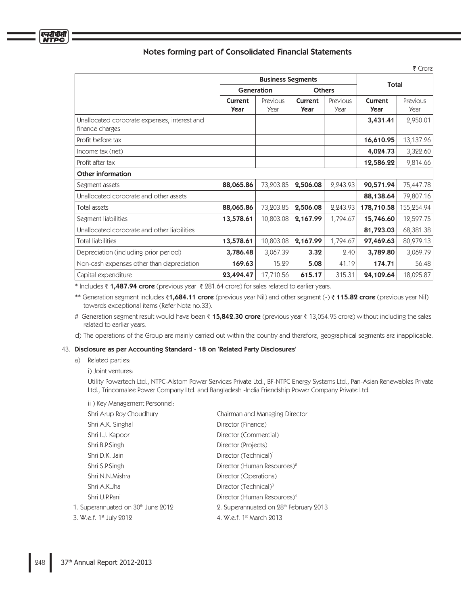|                                                                 |                 |                          |                        |                  |                 | ₹ Crore          |
|-----------------------------------------------------------------|-----------------|--------------------------|------------------------|------------------|-----------------|------------------|
|                                                                 |                 | <b>Business Segments</b> |                        |                  |                 |                  |
|                                                                 | Generation      |                          | <b>Others</b>          |                  | <b>Total</b>    |                  |
|                                                                 | Current<br>Year | Previous<br>Year         | Current<br><b>Year</b> | Previous<br>Year | Current<br>Year | Previous<br>Year |
| Unallocated corporate expenses, interest and<br>finance charges |                 |                          |                        |                  | 3,431.41        | 2,950.01         |
| Profit before tax                                               |                 |                          |                        |                  | 16,610.95       | 13,137.26        |
| Income tax (net)                                                |                 |                          |                        |                  | 4,024.73        | 3,322.60         |
| Profit after tax                                                |                 |                          |                        |                  | 12,586.22       | 9,814.66         |
| <b>Other information</b>                                        |                 |                          |                        |                  |                 |                  |
| Segment assets                                                  | 88,065.86       | 73,203.85                | 2,506.08               | 2,243.93         | 90,571.94       | 75,447.78        |
| Unallocated corporate and other assets                          |                 |                          |                        |                  | 88,138.64       | 79,807.16        |
| Total assets                                                    | 88,065.86       | 73,203.85                | 2,506.08               | 2,243.93         | 178,710.58      | 155,254.94       |
| Segment liabilities                                             | 13,578.61       | 10,803.08                | 2,167.99               | 1,794.67         | 15,746.60       | 12,597.75        |
| Unallocated corporate and other liabilities                     |                 |                          |                        |                  | 81,723.03       | 68,381.38        |
| <b>Total liabilities</b>                                        | 13,578.61       | 10,803.08                | 2,167.99               | 1,794.67         | 97,469.63       | 80,979.13        |
| Depreciation (including prior period)                           | 3,786.48        | 3,067.39                 | 3.32                   | 2.40             | 3,789.80        | 3,069.79         |
| Non-cash expenses other than depreciation                       | 169.63          | 15.29                    | 5.08                   | 41.19            | 174.71          | 56.48            |
| Capital expenditure                                             | 23,494.47       | 17,710.56                | 615.17                 | 315.31           | 24,109.64       | 18,025.87        |

\* Includes **₹ 1,487.94 crore** (previous year ₹ 281.64 crore) for sales related to earlier years.

\*\* Generation segment includes ₹**1,684.11 crore** (previous year Nil) and other segment (-) ₹ **115.82 crore** (previous year Nil) towards exceptional items (Refer Note no.33).

# Generation segment result would have been ₹ **15,842.30 crore** (previous year ₹ 13,054.95 crore) without including the sales related to earlier years.

d) The operations of the Group are mainly carried out within the country and therefore, geographical segments are inapplicable.

# Disclosure as per Accounting Standard - 18 on 'Related Party Disclosures'

a) Related parties:

i) Joint ventures:

Utility Powertech Ltd., NTPC-Alstom Power Services Private Ltd., BF-NTPC Energy Systems Ltd., Pan-Asian Renewables Private Ltd., Trincomalee Power Company Ltd. and Bangladesh -India Friendship Power Company Private Ltd.

# ii) Key Management Personnel:

| Shri Arup Roy Choudhury             | Chairman and Managing Director          |
|-------------------------------------|-----------------------------------------|
| Shri A.K. Singhal                   | Director (Finance)                      |
| Shri I.J. Kapoor                    | Director (Commercial)                   |
| Shri.B.P.Singh                      | Director (Projects)                     |
| Shri D.K. Jain                      | Director (Technical) <sup>1</sup>       |
| Shri S.P.Singh                      | Director (Human Resources) <sup>2</sup> |
| Shri N.N.Mishra                     | Director (Operations)                   |
| Shri A.K.Jha                        | Director (Technical) <sup>3</sup>       |
| Shri U.P.Pani                       | Director (Human Resources) <sup>4</sup> |
| 1. Superannuated on 30th June 2012  | 2. Superannuated on 28th February 2013  |
| 3. W.e.f. 1 <sup>st</sup> July 2012 | 4. W.e.f. 1st March 2013                |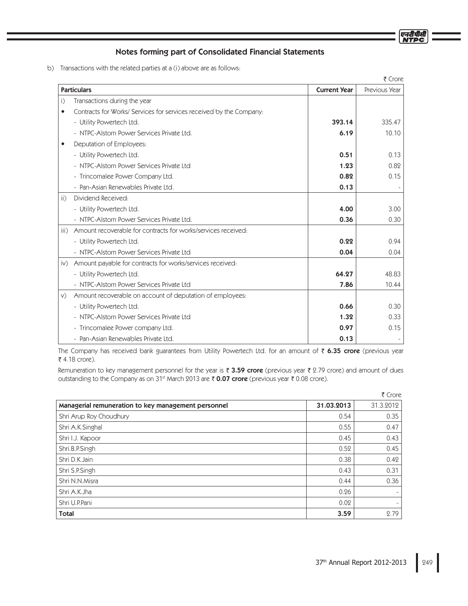एनदीपीर्स

# Notes forming part of Consolidated Financial Statements

b) Transactions with the related parties at a (i) above are as follows:

|               |                                                                     |                     | ₹ Crore       |
|---------------|---------------------------------------------------------------------|---------------------|---------------|
|               | <b>Particulars</b>                                                  | <b>Current Year</b> | Previous Year |
| i)            | Transactions during the year                                        |                     |               |
| $\bullet$     | Contracts for Works/ Services for services received by the Company: |                     |               |
|               | - Utility Powertech Ltd.                                            | 393.14              | 335.47        |
|               | - NTPC-Alstom Power Services Private Ltd.                           | 6.19                | 10.10         |
| $\bullet$     | Deputation of Employees:                                            |                     |               |
|               | - Utility Powertech Ltd.                                            | 0.51                | 0.13          |
|               | - NTPC-Alstom Power Services Private Ltd                            | 1.23                | 0.82          |
|               | - Trincomalee Power Company Ltd.                                    | 0.82                | 0.15          |
|               | - Pan-Asian Renewables Private Ltd.                                 | 0.13                |               |
| ii)           | Dividend Received:                                                  |                     |               |
|               | - Utility Powertech Ltd.                                            | 4.00                | 3.00          |
|               | - NTPC-Alstom Power Services Private Ltd.                           | 0.36                | 0.30          |
| iii)          | Amount recoverable for contracts for works/services received:       |                     |               |
|               | - Utility Powertech Ltd.                                            | 0.22                | 0.94          |
|               | - NTPC-Alstom Power Services Private Ltd                            | 0.04                | 0.04          |
| $\mathsf{iv}$ | Amount payable for contracts for works/services received:           |                     |               |
|               | - Utility Powertech Ltd.                                            | 64.27               | 48.83         |
|               | - NTPC-Alstom Power Services Private Ltd                            | 7.86                | 10.44         |
| V)            | Amount recoverable on account of deputation of employees:           |                     |               |
|               | - Utility Powertech Ltd.                                            | 0.66                | 0.30          |
|               | - NTPC-Alstom Power Services Private Ltd                            | 1.32                | 0.33          |
|               | - Trincomalee Power company Ltd.                                    | 0.97                | 0.15          |
|               | - Pan-Asian Renewables Private Ltd.                                 | 0.13                |               |

The Company has received bank guarantees from Utility Powertech Ltd. for an amount of ₹ 6.35 crore (previous year ₹ 4.18 crore).

Remuneration to key management personnel for the year is ₹ 3.59 crore (previous year ₹ 2.79 crore) and amount of dues outstanding to the Company as on 31<sup>st</sup> March 2013 are ₹ 0.07 crore (previous year ₹ 0.08 crore).

|                                                     |            | ₹ Crore                  |
|-----------------------------------------------------|------------|--------------------------|
| Managerial remuneration to key management personnel | 31.03.2013 | 31.3.2012                |
| Shri Arup Roy Choudhury                             | 0.54       | 0.35                     |
| Shri A.K.Singhal                                    | 0.55       | 0.47                     |
| Shri I.J. Kapoor                                    | 0.45       | 0.43                     |
| Shri.B.P.Singh                                      | 0.52       | 0.45                     |
| Shri D.K.Jain                                       | 0.38       | 0.42                     |
| Shri S.P.Singh                                      | 0.43       | 0.31                     |
| Shri N.N.Misra                                      | 0.44       | 0.36                     |
| Shri A.K.Jha                                        | 0.26       | $\overline{\phantom{a}}$ |
| Shri U.P.Pani                                       | 0.02       | $\overline{\phantom{a}}$ |
| <b>Total</b>                                        | 3.59       | 2.79                     |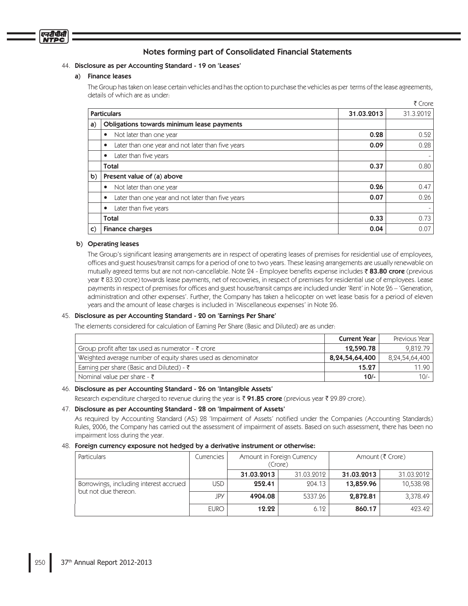

#### Disclosure as per Accounting Standard - 19 on 'Leases'

#### a) Finance leases

The Group has taken on lease certain vehicles and has the option to purchase the vehicles as per terms of the lease agreements, details of which are as under:

|              |                                                                |            | ₹ Crore   |
|--------------|----------------------------------------------------------------|------------|-----------|
|              | <b>Particulars</b>                                             | 31.03.2013 | 31.3.2012 |
| a)           | Obligations towards minimum lease payments                     |            |           |
|              | Not later than one year<br>٠                                   | 0.28       | 0.52      |
|              | Later than one year and not later than five years<br>٠         | 0.09       | 0.28      |
|              | Later than five years<br>٠                                     |            |           |
|              | Total                                                          | 0.37       | 0.80      |
| b)           | Present value of (a) above                                     |            |           |
|              | Not later than one year<br>٠                                   | 0.26       | 0.47      |
|              | Later than one year and not later than five years<br>$\bullet$ | 0.07       | 0.26      |
|              | Later than five years<br>٠                                     |            |           |
|              | Total                                                          | 0.33       | 0.73      |
| $\mathsf{C}$ | <b>Finance charges</b>                                         | 0.04       | 0.07      |

#### b) Operating leases

The Group's significant leasing arrangements are in respect of operating leases of premises for residential use of employees, offices and guest houses/transit camps for a period of one to two years. These leasing arrangements are usually renewable on mutually agreed terms but are not non-cancellable. Note 24 - Employee benefits expense includes ₹83.80 crore (previous year ₹ 83.20 crore) towards lease payments, net of recoveries, in respect of premises for residential use of employees. Lease payments in respect of premises for offices and guest house/transit camps are included under 'Rent' in Note 26 – 'Generation, administration and other expenses'. Further, the Company has taken a helicopter on wet lease basis for a period of eleven years and the amount of lease charges is included in 'Miscellaneous expenses' in Note 26.

# Disclosure as per Accounting Standard - 20 on 'Earnings Per Share'

The elements considered for calculation of Earning Per Share (Basic and Diluted) are as under:

|                                                               | <b>Current Year</b> | Previous Year  |
|---------------------------------------------------------------|---------------------|----------------|
| Group profit after tax used as numerator - $\bar{\tau}$ crore | 12,590.78           | 9.812.79       |
| Weighted average number of equity shares used as denominator  | 8,24,54,64,400      | 8,24,54,64,400 |
| Earning per share (Basic and Diluted) - $\bar{\tau}$          | 15.27               | $11.90$ ,      |
| Nominal value per share - $\bar{\zeta}$                       | $10/-$              | $10/-$         |

#### Disclosure as per Accounting Standard - 26 on 'Intangible Assets'

Research expenditure charged to revenue during the year is **₹ 91.85 crore** (previous year ₹ 29.89 crore).

#### Disclosure as per Accounting Standard - 28 on 'Impairment of Assets'

As required by Accounting Standard (AS) 28 'Impairment of Assets' notified under the Companies (Accounting Standards) Rules, 2006, the Company has carried out the assessment of impairment of assets. Based on such assessment, there has been no impairment loss during the year.

#### Foreign currency exposure not hedged by a derivative instrument or otherwise:

| Particulars                                                    | Currencies  | Amount in Foreign Currency<br>(Crore) |            | Amount (₹ Crore) |            |
|----------------------------------------------------------------|-------------|---------------------------------------|------------|------------------|------------|
|                                                                |             | 31.03.2013                            | 31.03.2012 | 31.03.2013       | 31.03.2012 |
| Borrowings, including interest accrued<br>but not due thereon. | USD.        | 252.41                                | 204.13     | 13,859.96        | 10,538.98  |
|                                                                | JPY         | 4904.08                               | 5337.26    | 2,872.81         | 3,378.49   |
|                                                                | <b>EURO</b> | 12.22                                 | 6.12       | 860.17           | 423.42     |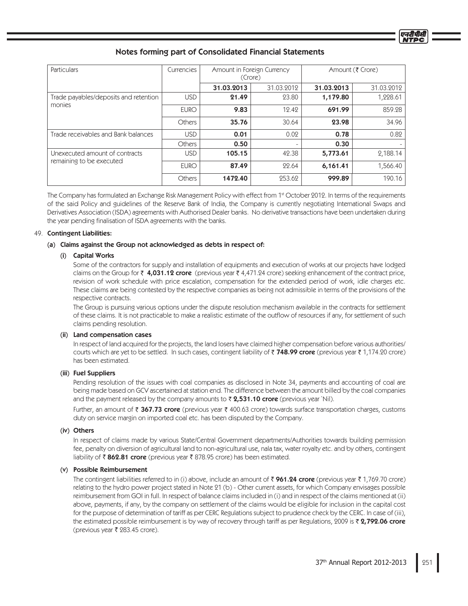| Particulars                                                | Currencies    | Amount in Foreign Currency<br>(Crore) |            | Amount (₹ Crore) |            |
|------------------------------------------------------------|---------------|---------------------------------------|------------|------------------|------------|
|                                                            |               | 31.03.2013                            | 31.03.2012 | 31.03.2013       | 31.03.2012 |
| Trade payables/deposits and retention<br>monies            | <b>USD</b>    | 21.49                                 | 23.80      | 1,179.80         | 1,228.61   |
|                                                            | <b>EURO</b>   | 9.83                                  | 12.42      | 691.99           | 859.28     |
|                                                            | <b>Others</b> | 35.76                                 | 30.64      | 23.98            | 34.96      |
| Trade receivables and Bank balances                        | <b>USD</b>    | 0.01                                  | 0.02       | 0.78             | 0.82       |
|                                                            | <b>Others</b> | 0.50                                  | ۰          | 0.30             |            |
| Unexecuted amount of contracts<br>remaining to be executed | <b>USD</b>    | 105.15                                | 42.38      | 5,773.61         | 2,188.14   |
|                                                            | <b>EURO</b>   | 87.49                                 | 22.64      | 6,161.41         | 1,566.40   |
|                                                            | Others        | 1472.40                               | 253.62     | 999.89           | 190.16     |

The Company has formulated an Exchange Risk Management Policy with effect from 1<sup>st</sup> October 2012. In terms of the requirements of the said Policy and guidelines of the Reserve Bank of India, the Company is currently negotiating International Swaps and Derivatives Association (ISDA) agreements with Authorised Dealer banks. No derivative transactions have been undertaken during the year pending finalisation of ISDA agreements with the banks.

# 49. Contingent Liabilities:

# (a) Claims against the Group not acknowledged as debts in respect of:

# (i) Capital Works

Some of the contractors for supply and installation of equipments and execution of works at our projects have lodged claims on the Group for ₹ 4,031.12 crore (previous year ₹ 4,471.24 crore) seeking enhancement of the contract price, revision of work schedule with price escalation, compensation for the extended period of work, idle charges etc. These claims are being contested by the respective companies as being not admissible in terms of the provisions of the respective contracts.

The Group is pursuing various options under the dispute resolution mechanism available in the contracts for settlement of these claims. It is not practicable to make a realistic estimate of the outflow of resources if any, for settlement of such claims pending resolution.

# (ii) Land compensation cases

In respect of land acquired for the projects, the land losers have claimed higher compensation before various authorities/ courts which are yet to be settled. In such cases, contingent liability of ₹748.99 crore (previous year ₹1,174.20 crore) has been estimated.

# (iii) Fuel Suppliers

Pending resolution of the issues with coal companies as disclosed in Note 34, payments and accounting of coal are being made based on GCV ascertained at station end. The difference between the amount billed by the coal companies and the payment released by the company amounts to ₹ 2,531.10 crore (previous year `Nil).

Further, an amount of  $\bar{\tau}$  367.73 crore (previous year  $\bar{\tau}$  400.63 crore) towards surface transportation charges, customs duty on service margin on imported coal etc. has been disputed by the Company.

# (iv) Others

In respect of claims made by various State/Central Government departments/Authorities towards building permission fee, penalty on diversion of agricultural land to non-agricultural use, nala tax, water royalty etc. and by others, contingent liability of ₹862.81 crore (previous year ₹878.95 crore) has been estimated.

# (v) Possible Reimbursement

The contingent liabilities referred to in (i) above, include an amount of  $\bar{\tau}$  961.24 crore (previous year  $\bar{\tau}$  1,769.70 crore) relating to the hydro power project stated in Note 21 (b) - Other current assets, for which Company envisages possible reimbursement from GOI in full. In respect of balance claims included in (i) and in respect of the claims mentioned at (ii) above, payments, if any, by the company on settlement of the claims would be eligible for inclusion in the capital cost for the purpose of determination of tariff as per CERC Regulations subject to prudence check by the CERC. In case of (iii), the estimated possible reimbursement is by way of recovery through tariff as per Regulations, 2009 is ₹ 2,792.06 crore (previous year ₹ 283.45 crore).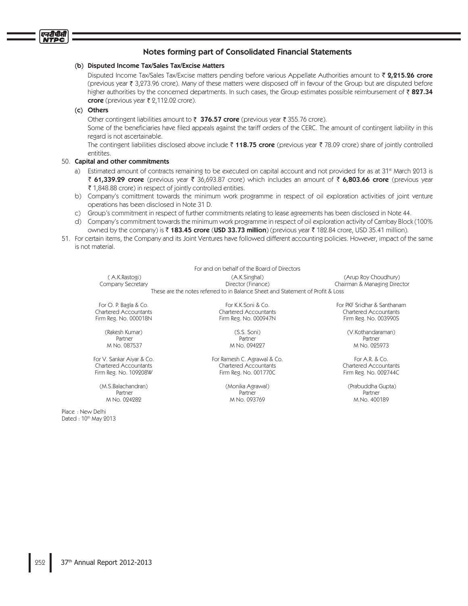#### (b) Disputed Income Tax/Sales Tax/Excise Matters

Disputed Income Tax/Sales Tax/Excise matters pending before various Appellate Authorities amount to  $\bar{z}$  2,215.26 crore (previous year ₹ 3,273.96 crore). Many of these matters were disposed off in favour of the Group but are disputed before higher authorities by the concerned departments. In such cases, the Group estimates possible reimbursement of  $\bar{\tau}$  827.34 crore (previous year  $\overline{\xi}$  2,112.02 crore).

# (c) Others

एनटीपीसी **NTPC** 

Other contingent liabilities amount to  $\bar{\tau}$  376.57 crore (previous year  $\bar{\tau}$  355.76 crore).

Some of the beneficiaries have filed appeals against the tariff orders of the CERC. The amount of contingent liability in this regard is not ascertainable.

The contingent liabilities disclosed above include ₹ 118.75 crore (previous year ₹ 78.09 crore) share of jointly controlled entitites.

#### 50. Capital and other commitments

- a) Estimated amount of contracts remaining to be executed on capital account and not provided for as at 31<sup>st</sup> March 2013 is ₹ 61,339.29 crore (previous year ₹ 36,693.87 crore) which includes an amount of ₹ 6,803.66 crore (previous year  $\bar{\xi}$  1,848.88 crore) in respect of jointly controlled entities.
- b) Company's comittment towards the minimum work programme in respect of oil exploration activities of joint venture operations has been disclosed in Note 31 D.
- c) Group's commitment in respect of further commitments relating to lease agreements has been disclosed in Note 44.
- d) Company's commitment towards the minimum work programme in respect of oil exploration activity of Cambay Block (100% owned by the company) is ₹ **183.45 crore (USD 33.73 million**) (previous year ₹ 182.84 crore, USD 35.41 million).
- 51. For certain items, the Company and its Joint Ventures have followed different accounting policies. However, impact of the same is not material.

|                                                                                 | For and on behalf of the Board of Directors |                              |  |  |  |
|---------------------------------------------------------------------------------|---------------------------------------------|------------------------------|--|--|--|
| (A.K.Rastogi)                                                                   | (A.K.Singhal)                               | (Arup Roy Choudhury)         |  |  |  |
| Company Secretary                                                               | Director (Finance)                          | Chairman & Managing Director |  |  |  |
| These are the notes referred to in Balance Sheet and Statement of Profit & Loss |                                             |                              |  |  |  |
| For O. P. Bagla & Co.                                                           | For K.K.Soni & Co.                          | For PKF Sridhar & Santhanam  |  |  |  |
| <b>Chartered Accountants</b>                                                    | <b>Chartered Accountants</b>                | <b>Chartered Accountants</b> |  |  |  |
| Firm Reg. No. 000018N                                                           | Firm Reg. No. 000947N                       | Firm Reg. No. 003990S        |  |  |  |

(V Kothandaraman) M No. 097537 M No. 094227 M No. 094227 M No. 095973

(Prabuddha Gupta)

(Rakesh Kumar)

(M.S.Balachandran)

Place: New Delhi Dated: 10th May 2013

 $(55.5)$ Partner Partner Partner Partner Partner Partner Partner Partner Partner Partner Partner

'PS74BOLBS"JZBS\$P 'PS3BNFTI\$"HSBXBM\$P 'PS"3\$P Chartered Accountants Firm Reg. No. 109208W **Firm Reg. No. 20017700** Firm Reg. No. 002744C

(Monika Agrawal) Partner Partner Partner Partner Partner Partner Partner Partner Partner Partner M No. 093769 M.No. 100189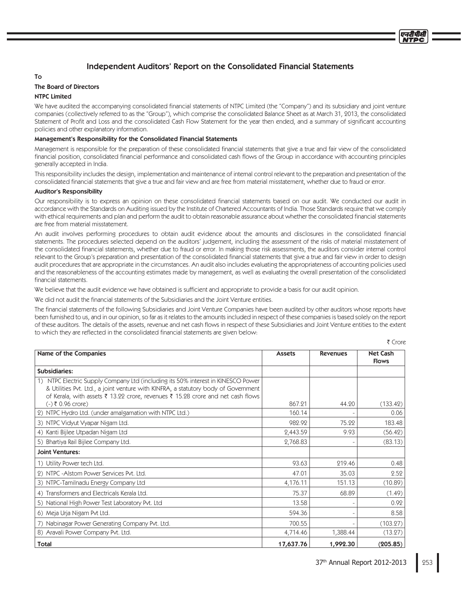# Independent Auditors' Report on the Consolidated Financial Statements

# To

# **The Board of Directors**

# NTPC Limited

We have audited the accompanying consolidated financial statements of NTPC Limited (the "Company") and its subsidiary and joint venture companies (collectively referred to as the "Group"), which comprise the consolidated Balance Sheet as at March 31, 2013, the consolidated Statement of Profit and Loss and the consolidated Cash Flow Statement for the year then ended, and a summary of significant accounting policies and other explanatory information.

### Management's Responsibility for the Consolidated Financial Statements

Management is responsible for the preparation of these consolidated financial statements that give a true and fair view of the consolidated financial position, consolidated financial performance and consolidated cash flows of the Group in accordance with accounting principles generally accepted in India.

This responsibility includes the design, implementation and maintenance of internal control relevant to the preparation and presentation of the consolidated financial statements that give a true and fair view and are free from material misstatement, whether due to fraud or error.

#### **Auditor's Responsibility**

Our responsibility is to express an opinion on these consolidated financial statements based on our audit. We conducted our audit in accordance with the Standards on Auditing issued by the Institute of Chartered Accountants of India. Those Standards require that we comply with ethical requirements and plan and perform the audit to obtain reasonable assurance about whether the consolidated financial statements are free from material misstatement.

An audit involves performing procedures to obtain audit evidence about the amounts and disclosures in the consolidated financial statements. The procedures selected depend on the auditors' judgement, including the assessment of the risks of material misstatement of the consolidated financial statements, whether due to fraud or error. In making those risk assessments, the auditors consider internal control relevant to the Group's preparation and presentation of the consolidated financial statements that give a true and fair view in order to design audit procedures that are appropriate in the circumstances. An audit also includes evaluating the appropriateness of accounting policies used and the reasonableness of the accounting estimates made by management, as well as evaluating the overall presentation of the consolidated financial statements.

We believe that the audit evidence we have obtained is sufficient and appropriate to provide a basis for our audit opinion.

We did not audit the financial statements of the Subsidiaries and the Joint Venture entities.

The financial statements of the following Subsidiaries and Joint Venture Companies have been audited by other auditors whose reports have been furnished to us, and in our opinion, so far as it relates to the amounts included in respect of these companies is based solely on the report of these auditors. The details of the assets, revenue and net cash flows in respect of these Subsidiaries and Joint Venture entities to the extent to which they are reflected in the consolidated financial statements are given below:

₹ Crore

| Name of the Companies                                                                                                                                                                                                                                  | <b>Assets</b> | <b>Revenues</b> | <b>Net Cash</b><br><b>Flows</b> |
|--------------------------------------------------------------------------------------------------------------------------------------------------------------------------------------------------------------------------------------------------------|---------------|-----------------|---------------------------------|
| <b>Subsidiaries:</b>                                                                                                                                                                                                                                   |               |                 |                                 |
| NTPC Electric Supply Company Ltd (including its 50% interest in KINESCO Power<br>& Utilities Pvt. Ltd., a joint venture with KINFRA, a statutory body of Government<br>of Kerala, with assets ₹ 13.22 crore, revenues ₹ 15.28 crore and net cash flows |               |                 |                                 |
| $(-)$ ₹ 0.96 crore)                                                                                                                                                                                                                                    | 867.21        | 44.20           | (133.42)                        |
| 2) NTPC Hydro Ltd. (under amalgamation with NTPC Ltd.)                                                                                                                                                                                                 | 160.14        |                 | 0.06                            |
| 3) NTPC Vidyut Vyapar Nigam Ltd.                                                                                                                                                                                                                       | 982.92        | 75.22           | 183.48                          |
| 4) Kanti Bijlee Utpadan Nigam Ltd                                                                                                                                                                                                                      | 2,443.59      | 9.93            | (56.42)                         |
| 5) Bhartiya Rail Bijlee Company Ltd.                                                                                                                                                                                                                   | 2,768.83      |                 | (83.13)                         |
| Joint Ventures:                                                                                                                                                                                                                                        |               |                 |                                 |
| 1) Utility Power tech Ltd.                                                                                                                                                                                                                             | 93.63         | 219.46          | 0.48                            |
| 2) NTPC - Alstom Power Services Pvt. Ltd.                                                                                                                                                                                                              | 47.01         | 35.03           | 2.52                            |
| 3) NTPC-Tamilnadu Energy Company Ltd                                                                                                                                                                                                                   | 4,176.11      | 151.13          | (10.89)                         |
| 4) Transformers and Electricals Kerala Ltd.                                                                                                                                                                                                            | 75.37         | 68.89           | (1.49)                          |
| 5) National High Power Test Laboratory Pvt. Ltd                                                                                                                                                                                                        | 13.58         |                 | 0.92                            |
| 6) Meja Urja Nigam Pvt Ltd.                                                                                                                                                                                                                            | 594.36        |                 | 8.58                            |
| 7) Nabinagar Power Generating Company Pvt. Ltd.                                                                                                                                                                                                        | 700.55        |                 | (103.27)                        |
| 8) Aravali Power Company Pvt. Ltd.                                                                                                                                                                                                                     | 4,714.46      | 1,388.44        | (13.27)                         |
| Total                                                                                                                                                                                                                                                  | 17,637.76     | 1,992.30        | (205.85)                        |